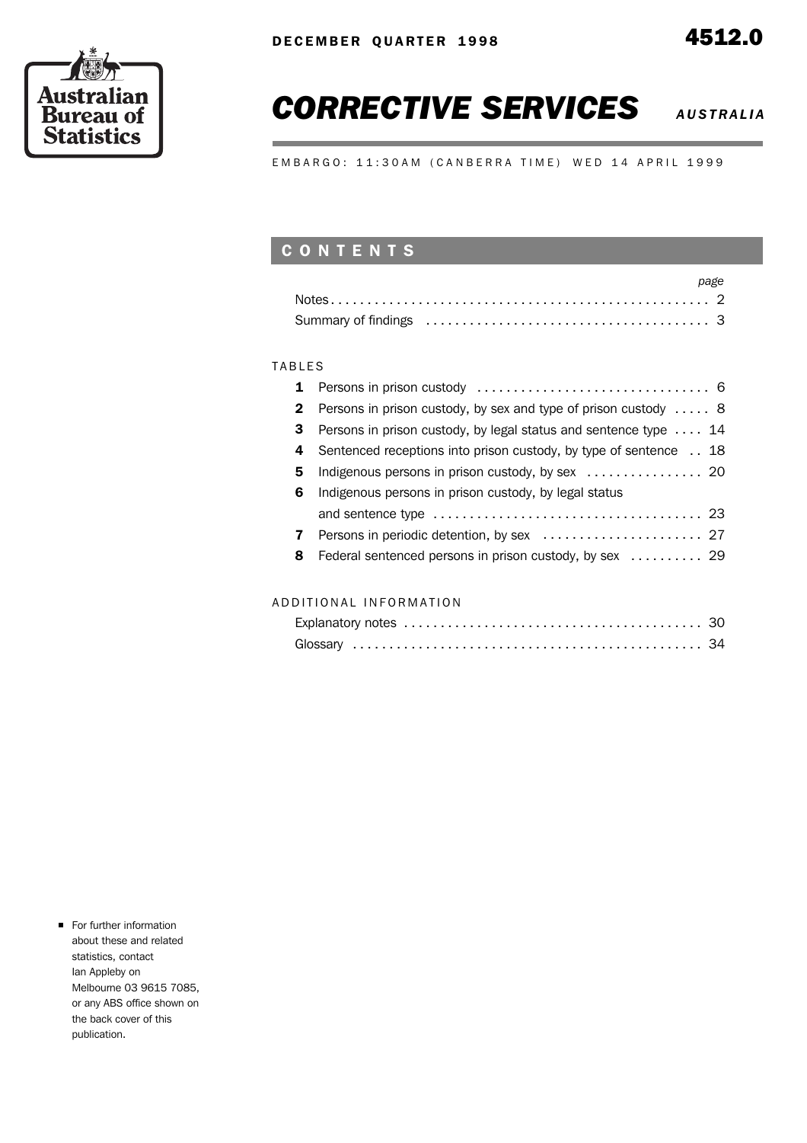

## **CORRECTIVE SERVICES** *AUSTRALIA***</del>**

EMBARGO: 11:30AM (CANBERRA TIME) WED 14 APRIL 1999

### C O N T E N T S

| page |  |
|------|--|
|      |  |
|      |  |

### **TABLES**

| $\mathbf{1}$ |                                                                          |
|--------------|--------------------------------------------------------------------------|
| $\mathbf{2}$ | Persons in prison custody, by sex and type of prison custody  8          |
| 3            | Persons in prison custody, by legal status and sentence type $\ldots$ 14 |
| 4            | Sentenced receptions into prison custody, by type of sentence 18         |
| 5            | Indigenous persons in prison custody, by sex  20                         |
| 6            | Indigenous persons in prison custody, by legal status                    |
|              |                                                                          |
| 7            |                                                                          |
| 8            | Federal sentenced persons in prison custody, by sex  29                  |
|              |                                                                          |

### A D D I T I O N A L I N F O R M A T I O N

**For further information** about these and related statistics, contact Ian Appleby on Melbourne 03 9615 7085, or any ABS office shown on the back cover of this publication.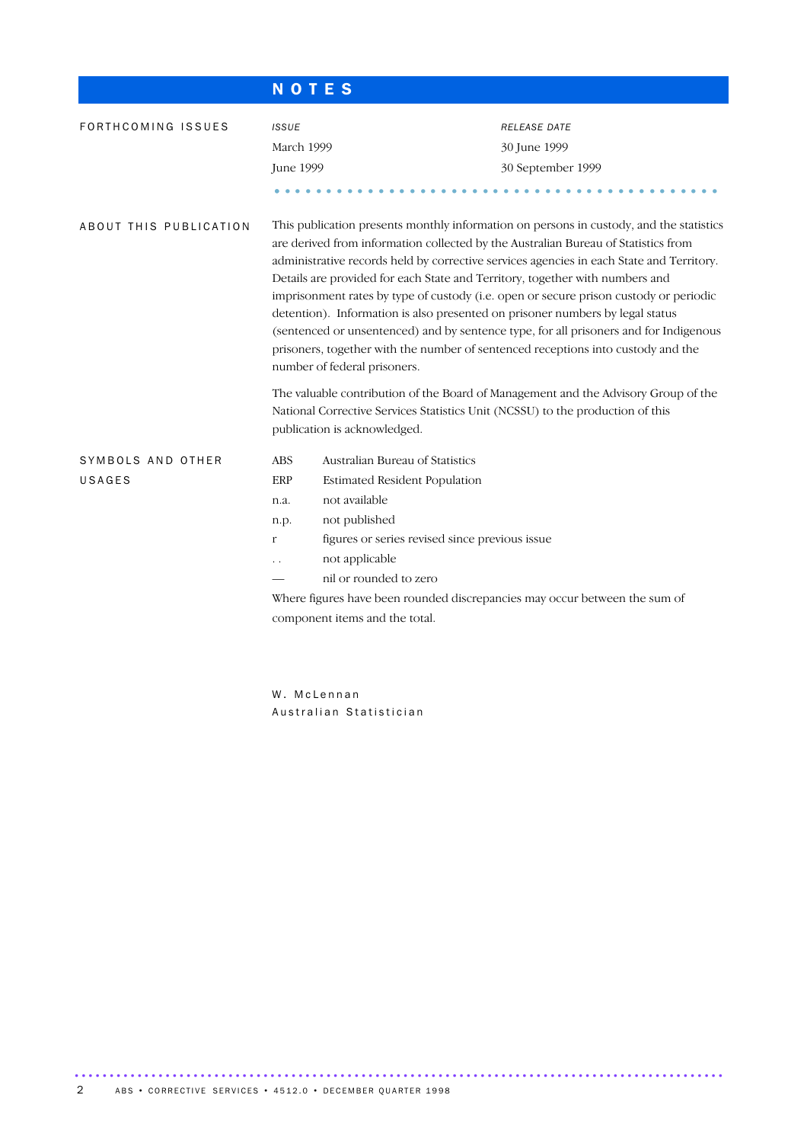|                             | <b>NOTES</b>                                                                                                                                                                                                                                                                                                                                                                                                                                                                                                                                                                                                                                                                                                                                     |                                                                                                                                                                                                                                           |                                                                            |  |  |  |  |  |
|-----------------------------|--------------------------------------------------------------------------------------------------------------------------------------------------------------------------------------------------------------------------------------------------------------------------------------------------------------------------------------------------------------------------------------------------------------------------------------------------------------------------------------------------------------------------------------------------------------------------------------------------------------------------------------------------------------------------------------------------------------------------------------------------|-------------------------------------------------------------------------------------------------------------------------------------------------------------------------------------------------------------------------------------------|----------------------------------------------------------------------------|--|--|--|--|--|
| FORTHCOMING ISSUES          | <b>ISSUE</b><br>March 1999<br>June 1999                                                                                                                                                                                                                                                                                                                                                                                                                                                                                                                                                                                                                                                                                                          |                                                                                                                                                                                                                                           | <b>RELEASE DATE</b><br>30 June 1999<br>30 September 1999                   |  |  |  |  |  |
| ABOUT THIS PUBLICATION      | This publication presents monthly information on persons in custody, and the statistics<br>are derived from information collected by the Australian Bureau of Statistics from<br>administrative records held by corrective services agencies in each State and Territory.<br>Details are provided for each State and Territory, together with numbers and<br>imprisonment rates by type of custody (i.e. open or secure prison custody or periodic<br>detention). Information is also presented on prisoner numbers by legal status<br>(sentenced or unsentenced) and by sentence type, for all prisoners and for Indigenous<br>prisoners, together with the number of sentenced receptions into custody and the<br>number of federal prisoners. |                                                                                                                                                                                                                                           |                                                                            |  |  |  |  |  |
|                             | The valuable contribution of the Board of Management and the Advisory Group of the<br>National Corrective Services Statistics Unit (NCSSU) to the production of this<br>publication is acknowledged.                                                                                                                                                                                                                                                                                                                                                                                                                                                                                                                                             |                                                                                                                                                                                                                                           |                                                                            |  |  |  |  |  |
| SYMBOLS AND OTHER<br>USAGES | <b>ABS</b><br>ERP<br>n.a.<br>n.p.<br>r                                                                                                                                                                                                                                                                                                                                                                                                                                                                                                                                                                                                                                                                                                           | Australian Bureau of Statistics<br><b>Estimated Resident Population</b><br>not available<br>not published<br>figures or series revised since previous issue<br>not applicable<br>nil or rounded to zero<br>component items and the total. | Where figures have been rounded discrepancies may occur between the sum of |  |  |  |  |  |
|                             |                                                                                                                                                                                                                                                                                                                                                                                                                                                                                                                                                                                                                                                                                                                                                  |                                                                                                                                                                                                                                           |                                                                            |  |  |  |  |  |

W. McLennan Australian Statistician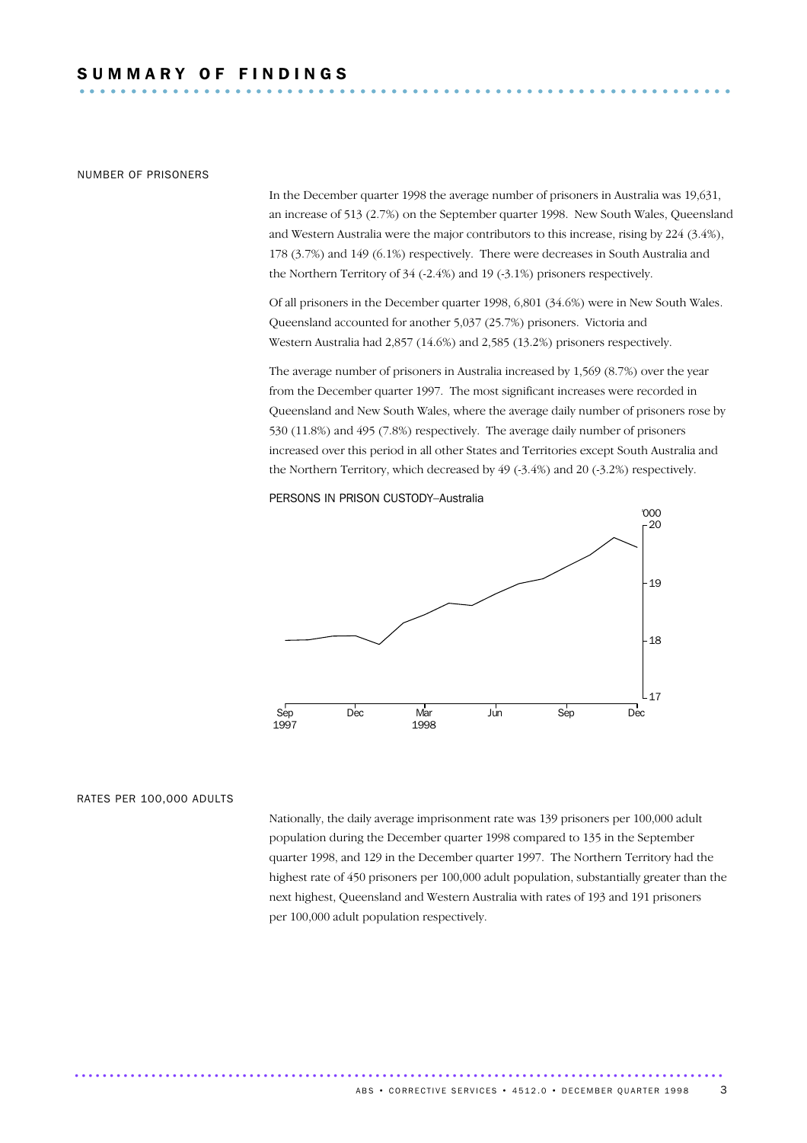### NUMBER OF PRISONERS

In the December quarter 1998 the average number of prisoners in Australia was 19,631, an increase of 513 (2.7%) on the September quarter 1998. New South Wales, Queensland and Western Australia were the major contributors to this increase, rising by 224 (3.4%), 178 (3.7%) and 149 (6.1%) respectively. There were decreases in South Australia and the Northern Territory of 34 (-2.4%) and 19 (-3.1%) prisoners respectively.

Of all prisoners in the December quarter 1998, 6,801 (34.6%) were in New South Wales. Queensland accounted for another 5,037 (25.7%) prisoners. Victoria and Western Australia had 2,857 (14.6%) and 2,585 (13.2%) prisoners respectively.

The average number of prisoners in Australia increased by 1,569 (8.7%) over the year from the December quarter 1997. The most significant increases were recorded in Queensland and New South Wales, where the average daily number of prisoners rose by 530 (11.8%) and 495 (7.8%) respectively. The average daily number of prisoners increased over this period in all other States and Territories except South Australia and the Northern Territory, which decreased by 49 (-3.4%) and 20 (-3.2%) respectively.

### PERSONS IN PRISON CUSTODY–Australia



### RATES PER 100,000 ADULTS

Nationally, the daily average imprisonment rate was 139 prisoners per 100,000 adult population during the December quarter 1998 compared to 135 in the September quarter 1998, and 129 in the December quarter 1997. The Northern Territory had the highest rate of 450 prisoners per 100,000 adult population, substantially greater than the next highest, Queensland and Western Australia with rates of 193 and 191 prisoners per 100,000 adult population respectively.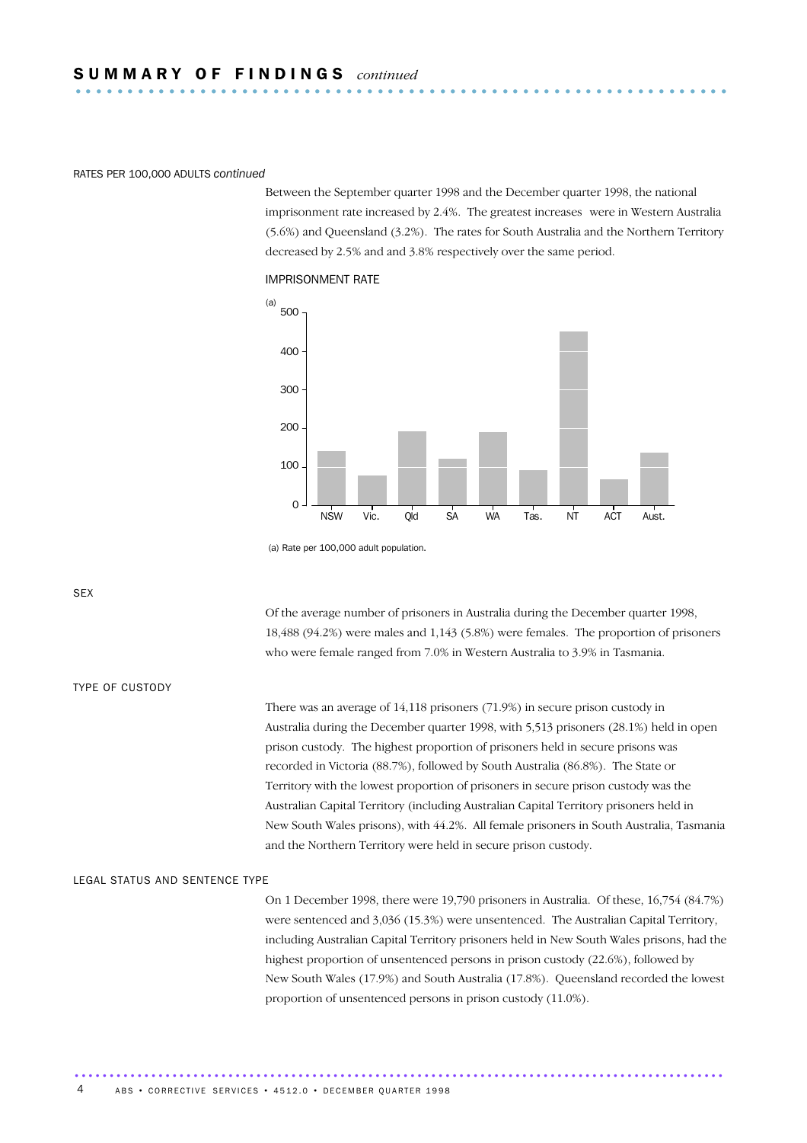### RATES PER 100,000 ADULTS *continued*

Between the September quarter 1998 and the December quarter 1998, the national imprisonment rate increased by 2.4%. The greatest increases were in Western Australia (5.6%) and Queensland (3.2%). The rates for South Australia and the Northern Territory decreased by 2.5% and and 3.8% respectively over the same period.

### IMPRISONMENT RATE



 <sup>(</sup>a) Rate per 100,000 adult population.

SEX

Of the average number of prisoners in Australia during the December quarter 1998, 18,488 (94.2%) were males and 1,143 (5.8%) were females. The proportion of prisoners who were female ranged from 7.0% in Western Australia to 3.9% in Tasmania.

### TYPE OF CUSTODY

There was an average of 14,118 prisoners (71.9%) in secure prison custody in Australia during the December quarter 1998, with 5,513 prisoners (28.1%) held in open prison custody. The highest proportion of prisoners held in secure prisons was recorded in Victoria (88.7%), followed by South Australia (86.8%). The State or Territory with the lowest proportion of prisoners in secure prison custody was the Australian Capital Territory (including Australian Capital Territory prisoners held in New South Wales prisons), with 44.2%. All female prisoners in South Australia, Tasmania and the Northern Territory were held in secure prison custody.

#### LEGAL STATUS AND SENTENCE TYPE

On 1 December 1998, there were 19,790 prisoners in Australia. Of these, 16,754 (84.7%) were sentenced and 3,036 (15.3%) were unsentenced. The Australian Capital Territory, including Australian Capital Territory prisoners held in New South Wales prisons, had the highest proportion of unsentenced persons in prison custody (22.6%), followed by New South Wales (17.9%) and South Australia (17.8%). Queensland recorded the lowest proportion of unsentenced persons in prison custody (11.0%).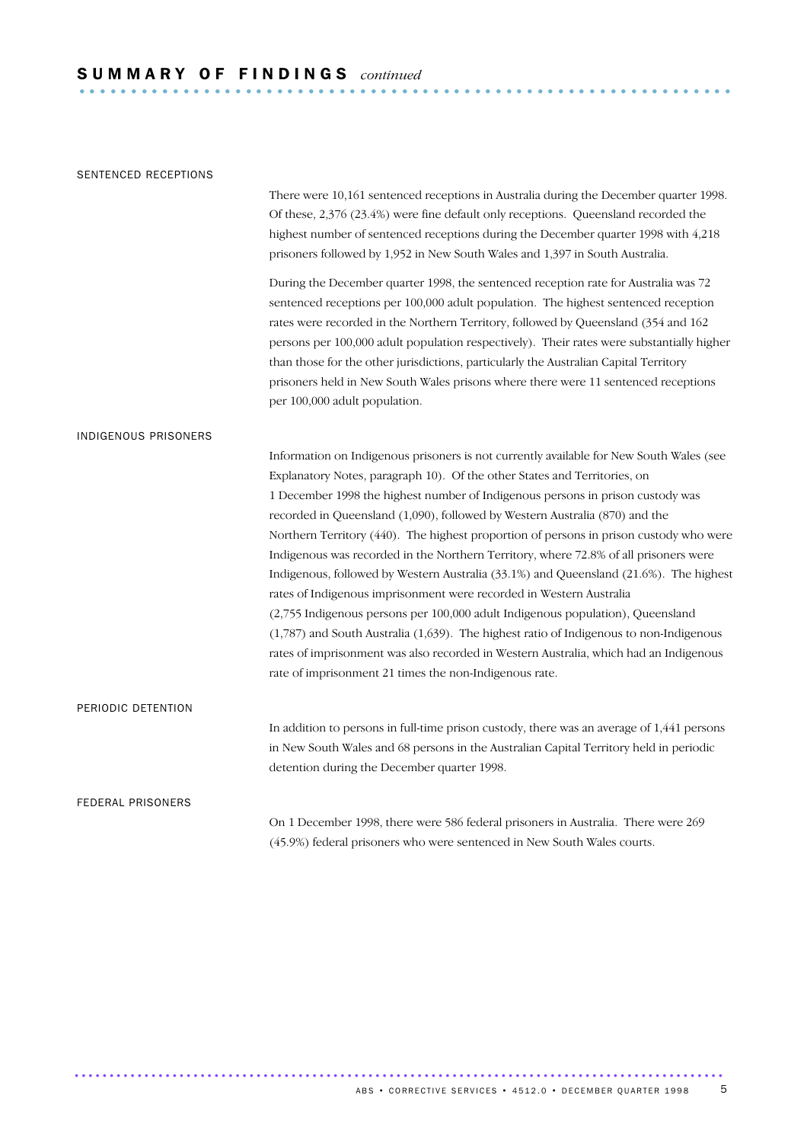### SENTENCED RECEPTIONS

There were 10,161 sentenced receptions in Australia during the December quarter 1998. Of these, 2,376 (23.4%) were fine default only receptions. Queensland recorded the highest number of sentenced receptions during the December quarter 1998 with 4,218 prisoners followed by 1,952 in New South Wales and 1,397 in South Australia.

During the December quarter 1998, the sentenced reception rate for Australia was 72 sentenced receptions per 100,000 adult population. The highest sentenced reception rates were recorded in the Northern Territory, followed by Queensland (354 and 162 persons per 100,000 adult population respectively). Their rates were substantially higher than those for the other jurisdictions, particularly the Australian Capital Territory prisoners held in New South Wales prisons where there were 11 sentenced receptions per 100,000 adult population.

### INDIGENOUS PRISONERS

Information on Indigenous prisoners is not currently available for New South Wales (see Explanatory Notes, paragraph 10). Of the other States and Territories, on 1 December 1998 the highest number of Indigenous persons in prison custody was recorded in Queensland (1,090), followed by Western Australia (870) and the Northern Territory (440). The highest proportion of persons in prison custody who were Indigenous was recorded in the Northern Territory, where 72.8% of all prisoners were Indigenous, followed by Western Australia (33.1%) and Queensland (21.6%). The highest rates of Indigenous imprisonment were recorded in Western Australia (2,755 Indigenous persons per 100,000 adult Indigenous population), Queensland (1,787) and South Australia (1,639). The highest ratio of Indigenous to non-Indigenous rates of imprisonment was also recorded in Western Australia, which had an Indigenous rate of imprisonment 21 times the non-Indigenous rate.

### PERIODIC DETENTION

In addition to persons in full-time prison custody, there was an average of 1,441 persons in New South Wales and 68 persons in the Australian Capital Territory held in periodic detention during the December quarter 1998.

### FEDERAL PRISONERS

On 1 December 1998, there were 586 federal prisoners in Australia. There were 269 (45.9%) federal prisoners who were sentenced in New South Wales courts.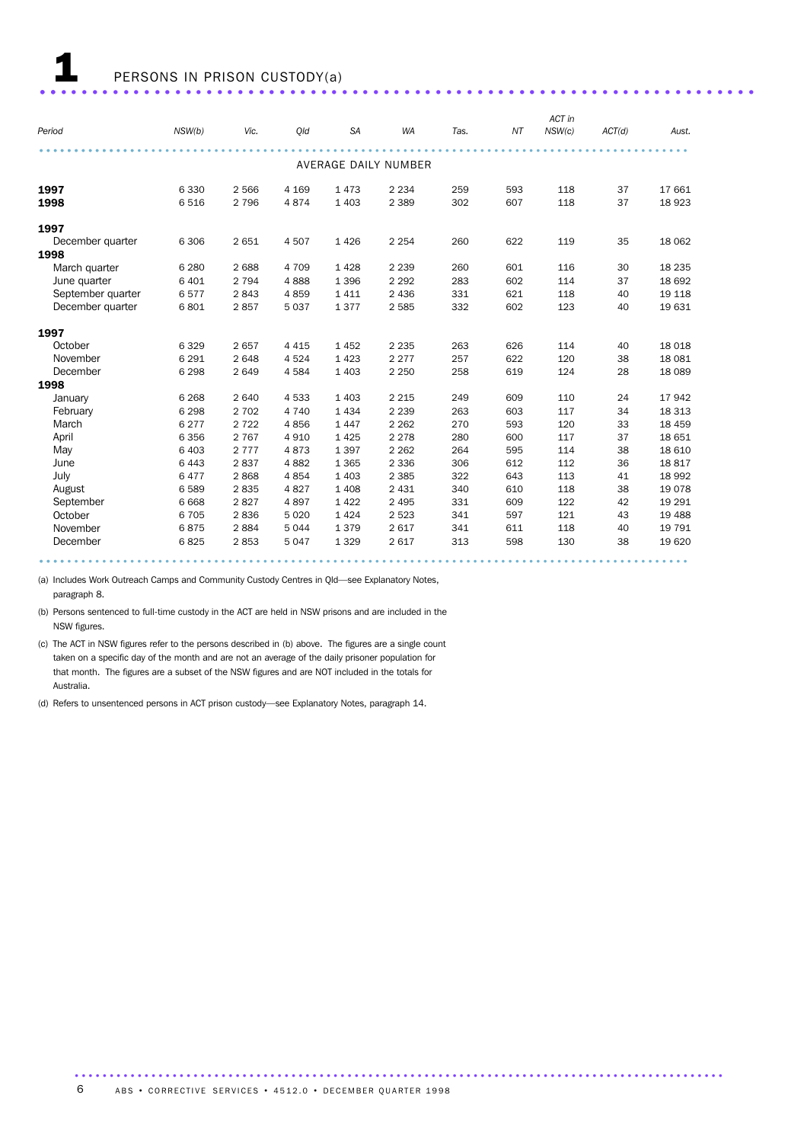|                   |         |         |         |           |                      |      |     | ACT in |        |          |
|-------------------|---------|---------|---------|-----------|----------------------|------|-----|--------|--------|----------|
| Period            | NSW(b)  | Vic.    | Old     | <b>SA</b> | <b>WA</b>            | Tas. | NΤ  | NSW(c) | ACT(d) | Aust.    |
|                   |         |         |         |           |                      |      |     |        |        |          |
|                   |         |         |         |           | AVERAGE DAILY NUMBER |      |     |        |        |          |
| 1997              | 6 3 3 0 | 2 5 6 6 | 4 1 6 9 | 1 4 7 3   | 2 2 3 4              | 259  | 593 | 118    | 37     | 17 661   |
| 1998              | 6516    | 2 7 9 6 | 4874    | 1 4 0 3   | 2 3 8 9              | 302  | 607 | 118    | 37     | 18923    |
| 1997              |         |         |         |           |                      |      |     |        |        |          |
| December quarter  | 6 3 0 6 | 2 6 5 1 | 4507    | 1 4 2 6   | 2 2 5 4              | 260  | 622 | 119    | 35     | 18 062   |
| 1998              |         |         |         |           |                      |      |     |        |        |          |
| March quarter     | 6 2 8 0 | 2688    | 4 7 0 9 | 1 4 2 8   | 2 2 3 9              | 260  | 601 | 116    | 30     | 18 2 35  |
| June quarter      | 6 4 0 1 | 2 7 9 4 | 4888    | 1 3 9 6   | 2 2 9 2              | 283  | 602 | 114    | 37     | 18 692   |
| September quarter | 6577    | 2843    | 4859    | 1 4 1 1   | 2 4 3 6              | 331  | 621 | 118    | 40     | 19 118   |
| December quarter  | 6801    | 2857    | 5 0 3 7 | 1377      | 2 5 8 5              | 332  | 602 | 123    | 40     | 19 631   |
| 1997              |         |         |         |           |                      |      |     |        |        |          |
| October           | 6 3 2 9 | 2657    | 4 4 1 5 | 1452      | 2 2 3 5              | 263  | 626 | 114    | 40     | 18 0 18  |
| November          | 6 2 9 1 | 2648    | 4524    | 1 4 2 3   | 2 2 7 7              | 257  | 622 | 120    | 38     | 18 0 81  |
| December          | 6 2 9 8 | 2649    | 4584    | 1 4 0 3   | 2 2 5 0              | 258  | 619 | 124    | 28     | 18 0 89  |
| 1998              |         |         |         |           |                      |      |     |        |        |          |
| January           | 6 2 6 8 | 2 6 4 0 | 4533    | 1 4 0 3   | 2 2 1 5              | 249  | 609 | 110    | 24     | 17942    |
| February          | 6 2 9 8 | 2 7 0 2 | 4 7 4 0 | 1 4 3 4   | 2 2 3 9              | 263  | 603 | 117    | 34     | 18 3 13  |
| March             | 6 2 7 7 | 2 7 2 2 | 4856    | 1 4 4 7   | 2 2 6 2              | 270  | 593 | 120    | 33     | 18 459   |
| April             | 6 3 5 6 | 2 7 6 7 | 4910    | 1 4 2 5   | 2 2 7 8              | 280  | 600 | 117    | 37     | 18 651   |
| May               | 6 4 0 3 | 2 7 7 7 | 4873    | 1 3 9 7   | 2 2 6 2              | 264  | 595 | 114    | 38     | 18 6 10  |
| June              | 6 4 4 3 | 2837    | 4882    | 1 3 6 5   | 2 3 3 6              | 306  | 612 | 112    | 36     | 18817    |
| July              | 6477    | 2868    | 4854    | 1 4 0 3   | 2 3 8 5              | 322  | 643 | 113    | 41     | 18 992   |
| August            | 6589    | 2835    | 4827    | 1 4 0 8   | 2 4 3 1              | 340  | 610 | 118    | 38     | 19078    |
| September         | 6 6 6 8 | 2827    | 4897    | 1 4 2 2   | 2 4 9 5              | 331  | 609 | 122    | 42     | 19 29 1  |
| October           | 6 7 0 5 | 2836    | 5 0 20  | 1 4 2 4   | 2 5 2 3              | 341  | 597 | 121    | 43     | 19 4 88  |
| November          | 6875    | 2884    | 5044    | 1379      | 2 6 1 7              | 341  | 611 | 118    | 40     | 19 7 9 1 |
| December          | 6825    | 2853    | 5047    | 1 3 2 9   | 2 6 1 7              | 313  | 598 | 130    | 38     | 19 6 20  |
|                   |         |         |         |           |                      |      |     |        |        |          |

(a) Includes Work Outreach Camps and Community Custody Centres in Qld—see Explanatory Notes, paragraph 8.

(b) Persons sentenced to full-time custody in the ACT are held in NSW prisons and are included in the NSW figures.

(c) The ACT in NSW figures refer to the persons described in (b) above. The figures are a single count taken on a specific day of the month and are not an average of the daily prisoner population for that month. The figures are a subset of the NSW figures and are NOT included in the totals for Australia.

(d) Refers to unsentenced persons in ACT prison custody—see Explanatory Notes, paragraph 14.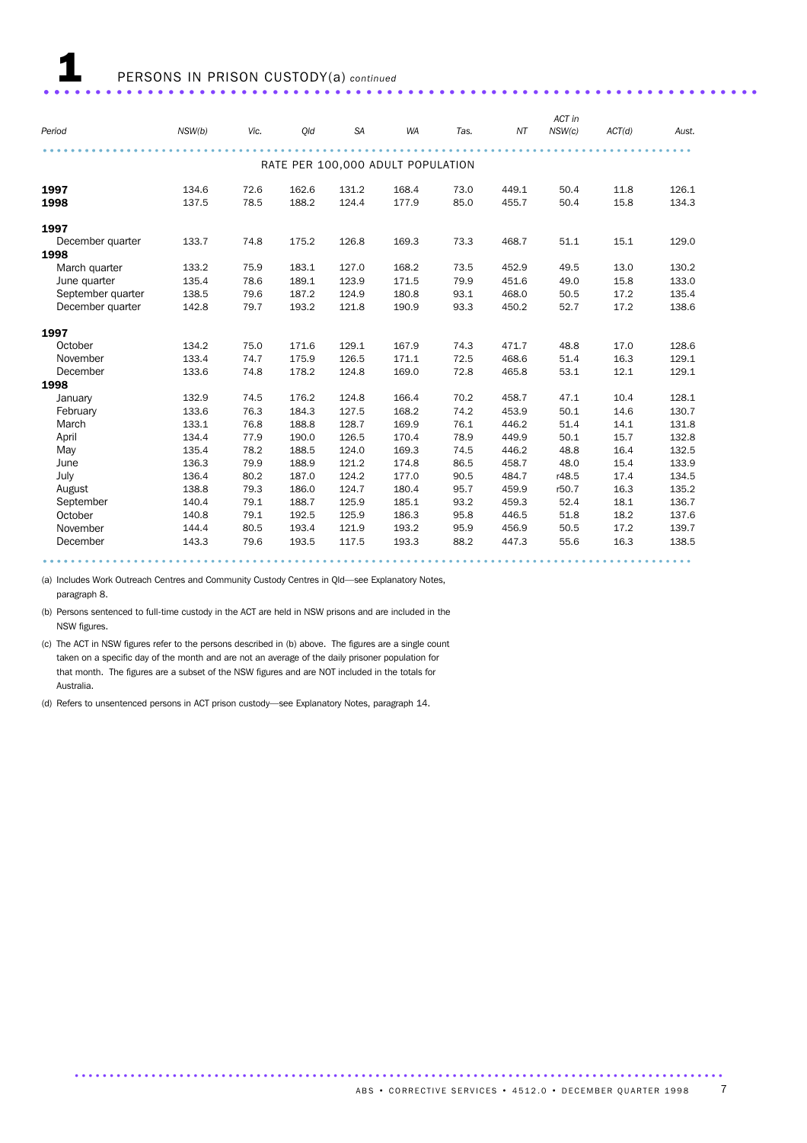|                   |        |      |       |           |                                   |      |       | ACT in |        |       |
|-------------------|--------|------|-------|-----------|-----------------------------------|------|-------|--------|--------|-------|
| Period            | NSW(b) | Vic. | Old   | <b>SA</b> | <b>WA</b>                         | Tas. | NT    | NSW(c) | ACT(d) | Aust. |
|                   |        |      |       |           |                                   |      |       |        |        |       |
|                   |        |      |       |           | RATE PER 100,000 ADULT POPULATION |      |       |        |        |       |
| 1997              | 134.6  | 72.6 | 162.6 | 131.2     | 168.4                             | 73.0 | 449.1 | 50.4   | 11.8   | 126.1 |
| 1998              | 137.5  | 78.5 | 188.2 | 124.4     | 177.9                             | 85.0 | 455.7 | 50.4   | 15.8   | 134.3 |
| 1997              |        |      |       |           |                                   |      |       |        |        |       |
| December quarter  | 133.7  | 74.8 | 175.2 | 126.8     | 169.3                             | 73.3 | 468.7 | 51.1   | 15.1   | 129.0 |
| 1998              |        |      |       |           |                                   |      |       |        |        |       |
| March quarter     | 133.2  | 75.9 | 183.1 | 127.0     | 168.2                             | 73.5 | 452.9 | 49.5   | 13.0   | 130.2 |
| June quarter      | 135.4  | 78.6 | 189.1 | 123.9     | 171.5                             | 79.9 | 451.6 | 49.0   | 15.8   | 133.0 |
| September quarter | 138.5  | 79.6 | 187.2 | 124.9     | 180.8                             | 93.1 | 468.0 | 50.5   | 17.2   | 135.4 |
| December quarter  | 142.8  | 79.7 | 193.2 | 121.8     | 190.9                             | 93.3 | 450.2 | 52.7   | 17.2   | 138.6 |
| 1997              |        |      |       |           |                                   |      |       |        |        |       |
| October           | 134.2  | 75.0 | 171.6 | 129.1     | 167.9                             | 74.3 | 471.7 | 48.8   | 17.0   | 128.6 |
| November          | 133.4  | 74.7 | 175.9 | 126.5     | 171.1                             | 72.5 | 468.6 | 51.4   | 16.3   | 129.1 |
| December          | 133.6  | 74.8 | 178.2 | 124.8     | 169.0                             | 72.8 | 465.8 | 53.1   | 12.1   | 129.1 |
| 1998              |        |      |       |           |                                   |      |       |        |        |       |
| January           | 132.9  | 74.5 | 176.2 | 124.8     | 166.4                             | 70.2 | 458.7 | 47.1   | 10.4   | 128.1 |
| February          | 133.6  | 76.3 | 184.3 | 127.5     | 168.2                             | 74.2 | 453.9 | 50.1   | 14.6   | 130.7 |
| March             | 133.1  | 76.8 | 188.8 | 128.7     | 169.9                             | 76.1 | 446.2 | 51.4   | 14.1   | 131.8 |
| April             | 134.4  | 77.9 | 190.0 | 126.5     | 170.4                             | 78.9 | 449.9 | 50.1   | 15.7   | 132.8 |
| May               | 135.4  | 78.2 | 188.5 | 124.0     | 169.3                             | 74.5 | 446.2 | 48.8   | 16.4   | 132.5 |
| June              | 136.3  | 79.9 | 188.9 | 121.2     | 174.8                             | 86.5 | 458.7 | 48.0   | 15.4   | 133.9 |
| July              | 136.4  | 80.2 | 187.0 | 124.2     | 177.0                             | 90.5 | 484.7 | r48.5  | 17.4   | 134.5 |
| August            | 138.8  | 79.3 | 186.0 | 124.7     | 180.4                             | 95.7 | 459.9 | r50.7  | 16.3   | 135.2 |
| September         | 140.4  | 79.1 | 188.7 | 125.9     | 185.1                             | 93.2 | 459.3 | 52.4   | 18.1   | 136.7 |
| October           | 140.8  | 79.1 | 192.5 | 125.9     | 186.3                             | 95.8 | 446.5 | 51.8   | 18.2   | 137.6 |
| November          | 144.4  | 80.5 | 193.4 | 121.9     | 193.2                             | 95.9 | 456.9 | 50.5   | 17.2   | 139.7 |
| December          | 143.3  | 79.6 | 193.5 | 117.5     | 193.3                             | 88.2 | 447.3 | 55.6   | 16.3   | 138.5 |
|                   |        |      |       |           |                                   |      |       |        |        |       |

(a) Includes Work Outreach Centres and Community Custody Centres in Qld—see Explanatory Notes, paragraph 8.

(b) Persons sentenced to full-time custody in the ACT are held in NSW prisons and are included in the NSW figures.

(c) The ACT in NSW figures refer to the persons described in (b) above. The figures are a single count taken on a specific day of the month and are not an average of the daily prisoner population for that month. The figures are a subset of the NSW figures and are NOT included in the totals for Australia.

(d) Refers to unsentenced persons in ACT prison custody—see Explanatory Notes, paragraph 14.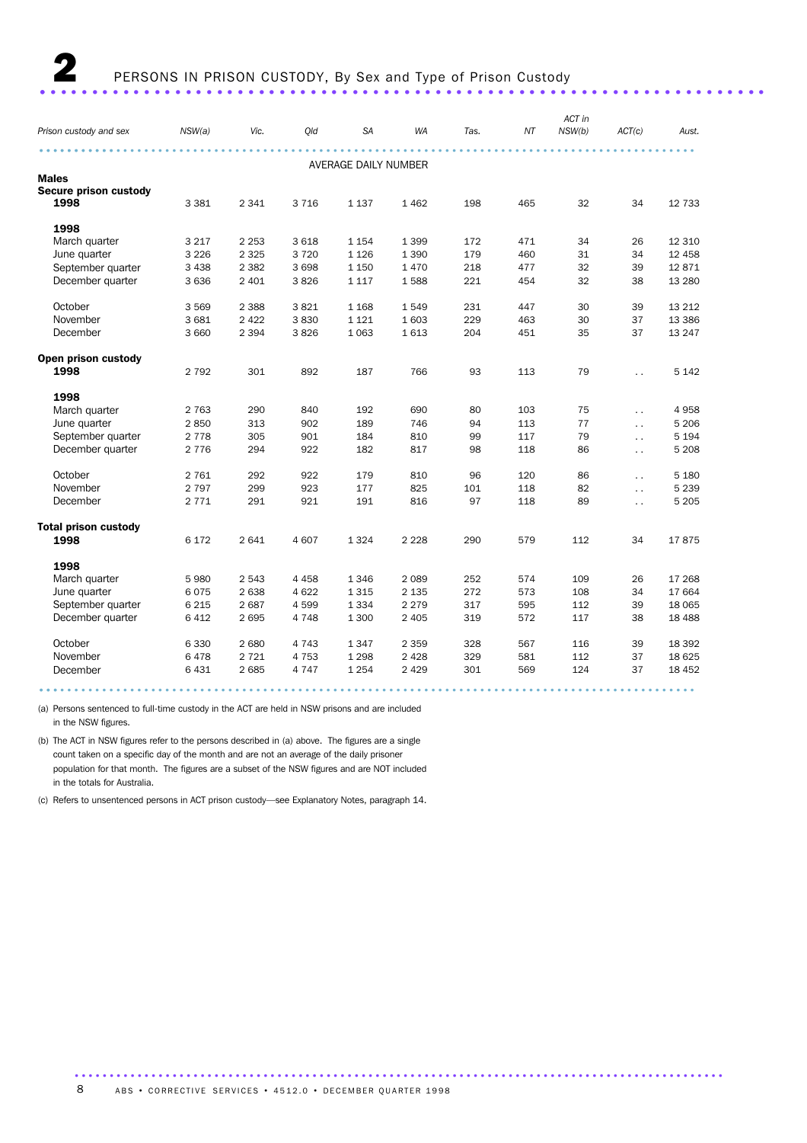### 2 PERSONS IN PRISON CUSTODY, By Sex and Type of Prison Custody ...................................................................... .

### *Prison custody and sex NSW(a) Vic. Qld SA WA Tas. NT ACT in NSW(b) ACT(c) Aust.* .............................................................................................. ........... AVERAGE DAILY NUMBER Males Secure prison custody<br>1998 **1998** 3381 2341 3716 1137 1962 198 465 32 34 12733 1998 March quarter 3 217 2 253 3 618 1 154 1 399 172 471 34 26 12 310 June quarter 3 226 2 325 3 720 1 126 1 390 179 460 31 34 12 458 September quarter 3 438 2 382 3 698 1 150 1 470 218 477 32 39 12 871 December quarter 3 636 2 401 3 826 1 117 1 588 221 454 32 38 13 280 October 3 569 2 388 3 821 1 168 1 549 231 447 30 39 13 212 November 3 681 2 422 3 830 1 121 1 603 229 463 30 37 13 386 December 3 660 2 394 3 826 1 063 1 613 204 451 35 37 13 247 Open prison custody **1998** 2 792 301 892 187 766 93 113 79 .. 5 142 1998 March quarter 2 763 290 840 192 690 80 103 75 . . 4 958 June quarter 2 850 313 902 189 746 94 113 77 . . 5 206 September quarter 2 778 305 901 184 810 99 117 79 . . 5 194 December quarter 2 776 294 922 182 817 98 118 86 . . 5 208 October 2 761 292 922 179 810 96 120 86 . . 5 180 November 2 797 299 923 177 825 101 118 82 . . 5 239 December 2 771 291 921 191 816 97 118 89 . . 5 205 Total prison custody **1998** 6 172 2 641 4 607 1 324 2 228 290 579 112 34 17 875 1998 March quarter 5 980 2 543 4 458 1 346 2 089 252 574 109 26 17 268 June quarter 6 075 2 638 4 622 1 315 2 135 272 573 108 34 17 664 September quarter 6 215 2 687 4 599 1 334 2 279 317 595 112 39 18 065 December quarter 6 412 2 695 4 748 1 300 2 405 319 572 117 38 18 488 October 6 330 2 680 4 743 1 347 2 359 328 567 116 39 18 392 November 6 478 2 721 4 753 1 298 2 428 329 581 112 37 18 625 December 6 431 2 685 4 747 1 254 2 429 301 569 124 37 18 452 .............................................................................................. ...

(a) Persons sentenced to full-time custody in the ACT are held in NSW prisons and are included in the NSW figures.

(b) The ACT in NSW figures refer to the persons described in (a) above. The figures are a single count taken on a specific day of the month and are not an average of the daily prisoner population for that month. The figures are a subset of the NSW figures and are NOT included in the totals for Australia.

(c) Refers to unsentenced persons in ACT prison custody—see Explanatory Notes, paragraph 14.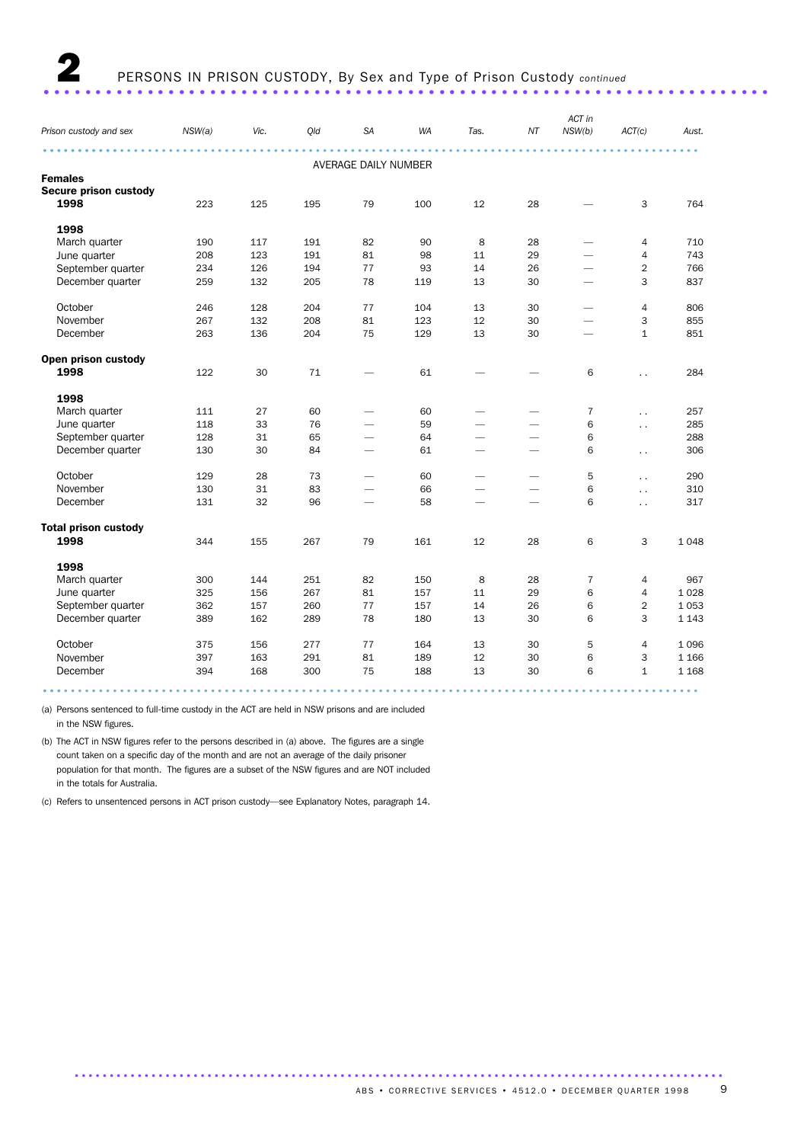| Prison custody and sex      | NSW(a) | Vic. | Qld | <b>SA</b>                | <b>WA</b> | Tas.                     | ΝT                       | ACT in<br>NSW(b)         | ACT(c)               | Aust.   |
|-----------------------------|--------|------|-----|--------------------------|-----------|--------------------------|--------------------------|--------------------------|----------------------|---------|
|                             |        |      |     | AVERAGE DAILY NUMBER     |           |                          |                          |                          |                      |         |
| <b>Females</b>              |        |      |     |                          |           |                          |                          |                          |                      |         |
| Secure prison custody       |        |      |     |                          |           |                          |                          |                          |                      |         |
| 1998                        | 223    | 125  | 195 | 79                       | 100       | 12                       | 28                       |                          | 3                    | 764     |
| 1998                        |        |      |     |                          |           |                          |                          |                          |                      |         |
| March quarter               | 190    | 117  | 191 | 82                       | 90        | 8                        | 28                       |                          | 4                    | 710     |
| June quarter                | 208    | 123  | 191 | 81                       | 98        | 11                       | 29                       |                          | $\sqrt{4}$           | 743     |
| September quarter           | 234    | 126  | 194 | 77                       | 93        | 14                       | 26                       |                          | $\overline{2}$       | 766     |
| December quarter            | 259    | 132  | 205 | 78                       | 119       | 13                       | 30                       | $\overline{\phantom{0}}$ | 3                    | 837     |
| October                     | 246    | 128  | 204 | 77                       | 104       | 13                       | 30                       |                          | 4                    | 806     |
| November                    | 267    | 132  | 208 | 81                       | 123       | 12                       | 30                       |                          | 3                    | 855     |
| December                    | 263    | 136  | 204 | 75                       | 129       | 13                       | 30                       |                          | $\mathbf{1}$         | 851     |
| Open prison custody         |        |      |     |                          |           |                          |                          |                          |                      |         |
| 1998                        | 122    | 30   | 71  |                          | 61        |                          |                          | 6                        | $\ddot{\phantom{a}}$ | 284     |
| 1998                        |        |      |     |                          |           |                          |                          |                          |                      |         |
| March quarter               | 111    | 27   | 60  |                          | 60        |                          |                          | $\overline{7}$           | $\ddotsc$            | 257     |
| June quarter                | 118    | 33   | 76  |                          | 59        |                          |                          | 6                        | $\ddotsc$            | 285     |
| September quarter           | 128    | 31   | 65  | $\overline{\phantom{0}}$ | 64        | $\overline{\phantom{a}}$ | -                        | 6                        |                      | 288     |
| December quarter            | 130    | 30   | 84  | $\overline{\phantom{0}}$ | 61        | $\overline{\phantom{0}}$ | $\overline{\phantom{0}}$ | 6                        | $\ddot{\phantom{0}}$ | 306     |
| October                     | 129    | 28   | 73  | $\overline{\phantom{0}}$ | 60        |                          |                          | 5                        | $\ddot{\phantom{a}}$ | 290     |
| November                    | 130    | 31   | 83  |                          | 66        |                          |                          | 6                        | $\ddotsc$            | 310     |
| December                    | 131    | 32   | 96  |                          | 58        | $\overline{\phantom{0}}$ |                          | 6                        | $\ddotsc$            | 317     |
| <b>Total prison custody</b> |        |      |     |                          |           |                          |                          |                          |                      |         |
| 1998                        | 344    | 155  | 267 | 79                       | 161       | 12                       | 28                       | 6                        | 3                    | 1048    |
| 1998                        |        |      |     |                          |           |                          |                          |                          |                      |         |
| March quarter               | 300    | 144  | 251 | 82                       | 150       | 8                        | 28                       | $\overline{7}$           | $\overline{4}$       | 967     |
| June quarter                | 325    | 156  | 267 | 81                       | 157       | 11                       | 29                       | 6                        | $\overline{4}$       | 1028    |
| September quarter           | 362    | 157  | 260 | 77                       | 157       | 14                       | 26                       | 6                        | $\overline{2}$       | 1 0 5 3 |
| December quarter            | 389    | 162  | 289 | 78                       | 180       | 13                       | 30                       | 6                        | 3                    | 1 1 4 3 |
| October                     | 375    | 156  | 277 | 77                       | 164       | 13                       | 30                       | 5                        | $\overline{4}$       | 1096    |
| November                    | 397    | 163  | 291 | 81                       | 189       | 12                       | 30                       | 6                        | 3                    | 1 1 6 6 |
| December                    | 394    | 168  | 300 | 75                       | 188       | 13                       | 30                       | 6                        | $\mathbf{1}$         | 1 1 6 8 |
|                             |        |      |     |                          |           |                          |                          |                          |                      |         |

(a) Persons sentenced to full-time custody in the ACT are held in NSW prisons and are included in the NSW figures.

(b) The ACT in NSW figures refer to the persons described in (a) above. The figures are a single count taken on a specific day of the month and are not an average of the daily prisoner population for that month. The figures are a subset of the NSW figures and are NOT included in the totals for Australia.

(c) Refers to unsentenced persons in ACT prison custody—see Explanatory Notes, paragraph 14.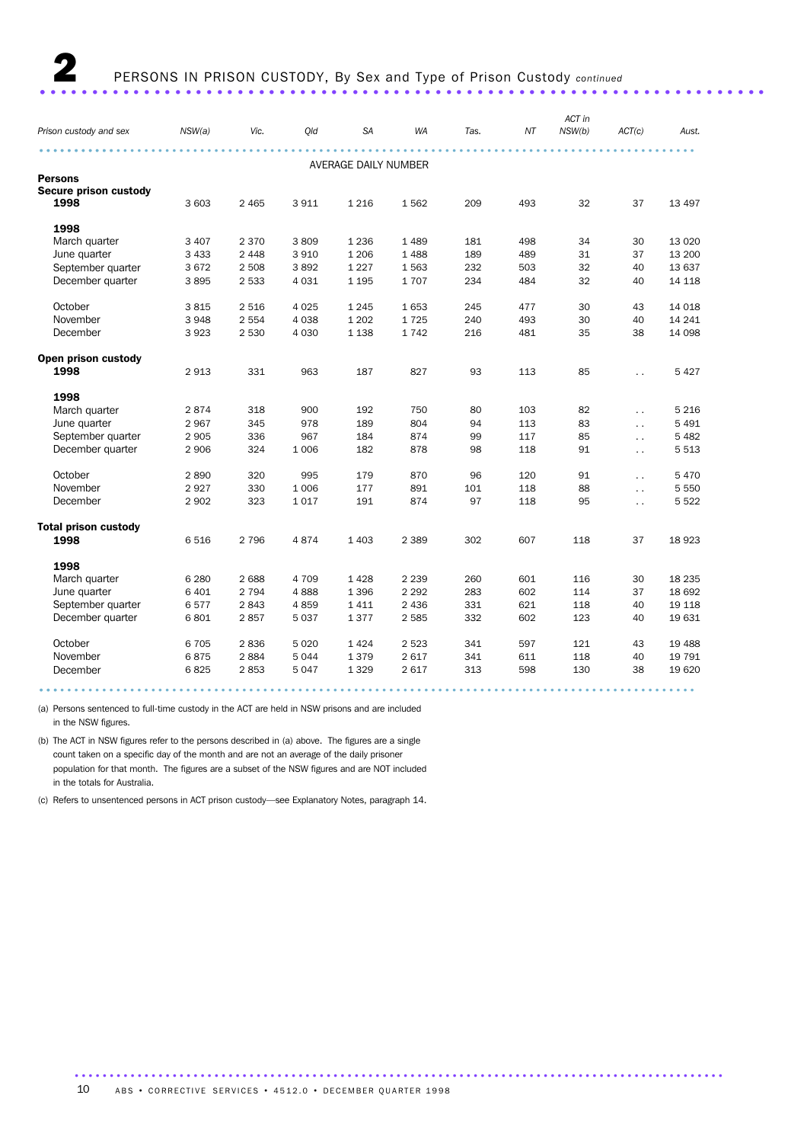# 2 PERSONS IN PRISON CUSTODY, By Sex and Type of Prison Custody *continued*

...................................................................... .

|                             |         |         |         |                      |           |      |     | ACT in |                      |          |
|-----------------------------|---------|---------|---------|----------------------|-----------|------|-----|--------|----------------------|----------|
| Prison custody and sex      | NSW(a)  | Vic.    | Qld     | <b>SA</b>            | <b>WA</b> | Tas. | ΝT  | NSW(b) | ACT(c)               | Aust.    |
|                             |         |         |         |                      |           |      |     |        |                      |          |
|                             |         |         |         | AVERAGE DAILY NUMBER |           |      |     |        |                      |          |
| Persons                     |         |         |         |                      |           |      |     |        |                      |          |
| Secure prison custody       |         |         |         |                      |           |      |     |        |                      |          |
| 1998                        | 3 603   | 2 4 6 5 | 3 9 1 1 | 1 2 1 6              | 1562      | 209  | 493 | 32     | 37                   | 13 4 9 7 |
| 1998                        |         |         |         |                      |           |      |     |        |                      |          |
| March quarter               | 3 4 0 7 | 2 3 7 0 | 3809    | 1 2 3 6              | 1489      | 181  | 498 | 34     | 30                   | 13 0 20  |
| June quarter                | 3 4 3 3 | 2 4 4 8 | 3 9 1 0 | 1 2 0 6              | 1488      | 189  | 489 | 31     | 37                   | 13 200   |
| September quarter           | 3672    | 2 5 0 8 | 3892    | 1 2 2 7              | 1 5 6 3   | 232  | 503 | 32     | 40                   | 13 637   |
| December quarter            | 3895    | 2 5 3 3 | 4 0 3 1 | 1 1 9 5              | 1707      | 234  | 484 | 32     | 40                   | 14 118   |
| October                     | 3815    | 2 5 1 6 | 4 0 25  | 1 2 4 5              | 1653      | 245  | 477 | 30     | 43                   | 14 0 18  |
| November                    | 3948    | 2 5 5 4 | 4 0 38  | 1 2 0 2              | 1725      | 240  | 493 | 30     | 40                   | 14 24 1  |
| December                    | 3923    | 2 5 3 0 | 4 0 3 0 | 1 1 3 8              | 1742      | 216  | 481 | 35     | 38                   | 14 098   |
| Open prison custody         |         |         |         |                      |           |      |     |        |                      |          |
| 1998                        | 2913    | 331     | 963     | 187                  | 827       | 93   | 113 | 85     | $\ddot{\phantom{0}}$ | 5 4 2 7  |
| 1998                        |         |         |         |                      |           |      |     |        |                      |          |
| March quarter               | 2874    | 318     | 900     | 192                  | 750       | 80   | 103 | 82     | $\ddot{\phantom{a}}$ | 5 2 1 6  |
| June quarter                | 2967    | 345     | 978     | 189                  | 804       | 94   | 113 | 83     | $\ddot{\phantom{0}}$ | 5 4 9 1  |
| September quarter           | 2 9 0 5 | 336     | 967     | 184                  | 874       | 99   | 117 | 85     | $\ddot{\phantom{a}}$ | 5 4 8 2  |
| December quarter            | 2 9 0 6 | 324     | 1 0 0 6 | 182                  | 878       | 98   | 118 | 91     | $\ddot{\phantom{a}}$ | 5513     |
| October                     | 2890    | 320     | 995     | 179                  | 870       | 96   | 120 | 91     | $\ddot{\phantom{0}}$ | 5470     |
| November                    | 2927    | 330     | 1 0 0 6 | 177                  | 891       | 101  | 118 | 88     | $\ddot{\phantom{a}}$ | 5 5 5 0  |
| December                    | 2 9 0 2 | 323     | 1 0 1 7 | 191                  | 874       | 97   | 118 | 95     | $\ddot{\phantom{0}}$ | 5 5 2 2  |
| <b>Total prison custody</b> |         |         |         |                      |           |      |     |        |                      |          |
| 1998                        | 6516    | 2 7 9 6 | 4874    | 1 4 0 3              | 2 3 8 9   | 302  | 607 | 118    | 37                   | 18923    |
| 1998                        |         |         |         |                      |           |      |     |        |                      |          |
| March quarter               | 6 2 8 0 | 2688    | 4 7 0 9 | 1 4 2 8              | 2 2 3 9   | 260  | 601 | 116    | 30                   | 18 2 35  |
| June quarter                | 6 4 0 1 | 2 7 9 4 | 4888    | 1 3 9 6              | 2 2 9 2   | 283  | 602 | 114    | 37                   | 18 692   |
| September quarter           | 6577    | 2843    | 4859    | 1411                 | 2 4 3 6   | 331  | 621 | 118    | 40                   | 19 118   |
| December quarter            | 6801    | 2857    | 5 0 3 7 | 1377                 | 2 5 8 5   | 332  | 602 | 123    | 40                   | 19 631   |
| October                     | 6705    | 2836    | 5 0 2 0 | 1 4 2 4              | 2 5 2 3   | 341  | 597 | 121    | 43                   | 19 4 88  |
| November                    | 6875    | 2884    | 5044    | 1379                 | 2617      | 341  | 611 | 118    | 40                   | 19 791   |
| December                    | 6825    | 2853    | 5047    | 1 3 2 9              | 2617      | 313  | 598 | 130    | 38                   | 19 6 20  |
|                             |         |         |         |                      |           |      |     |        |                      |          |

(a) Persons sentenced to full-time custody in the ACT are held in NSW prisons and are included

in the NSW figures.

(b) The ACT in NSW figures refer to the persons described in (a) above. The figures are a single count taken on a specific day of the month and are not an average of the daily prisoner population for that month. The figures are a subset of the NSW figures and are NOT included in the totals for Australia.

(c) Refers to unsentenced persons in ACT prison custody—see Explanatory Notes, paragraph 14.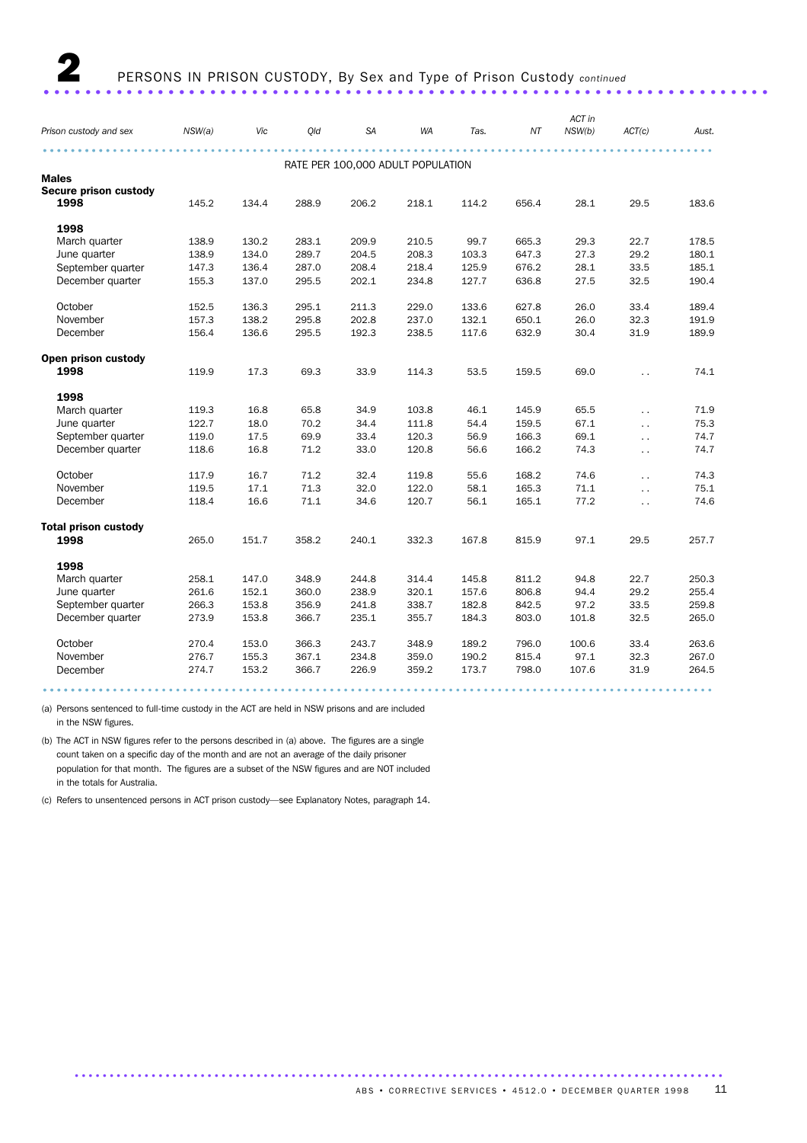|                             | ACT in |       |       |                                   |           |       |       |        |                      |       |  |
|-----------------------------|--------|-------|-------|-----------------------------------|-----------|-------|-------|--------|----------------------|-------|--|
| Prison custody and sex      | NSW(a) | Vic   | Old   | <b>SA</b>                         | <b>WA</b> | Tas.  | ΝT    | NSW(b) | ACT(c)               | Aust. |  |
|                             |        |       |       | RATE PER 100,000 ADULT POPULATION |           |       |       |        |                      |       |  |
| <b>Males</b>                |        |       |       |                                   |           |       |       |        |                      |       |  |
| Secure prison custody       |        |       |       |                                   |           |       |       |        |                      |       |  |
| 1998                        | 145.2  | 134.4 | 288.9 | 206.2                             | 218.1     | 114.2 | 656.4 | 28.1   | 29.5                 | 183.6 |  |
| 1998                        |        |       |       |                                   |           |       |       |        |                      |       |  |
| March quarter               | 138.9  | 130.2 | 283.1 | 209.9                             | 210.5     | 99.7  | 665.3 | 29.3   | 22.7                 | 178.5 |  |
| June quarter                | 138.9  | 134.0 | 289.7 | 204.5                             | 208.3     | 103.3 | 647.3 | 27.3   | 29.2                 | 180.1 |  |
| September quarter           | 147.3  | 136.4 | 287.0 | 208.4                             | 218.4     | 125.9 | 676.2 | 28.1   | 33.5                 | 185.1 |  |
| December quarter            | 155.3  | 137.0 | 295.5 | 202.1                             | 234.8     | 127.7 | 636.8 | 27.5   | 32.5                 | 190.4 |  |
| October                     | 152.5  | 136.3 | 295.1 | 211.3                             | 229.0     | 133.6 | 627.8 | 26.0   | 33.4                 | 189.4 |  |
| November                    | 157.3  | 138.2 | 295.8 | 202.8                             | 237.0     | 132.1 | 650.1 | 26.0   | 32.3                 | 191.9 |  |
| December                    | 156.4  | 136.6 | 295.5 | 192.3                             | 238.5     | 117.6 | 632.9 | 30.4   | 31.9                 | 189.9 |  |
| Open prison custody         |        |       |       |                                   |           |       |       |        |                      |       |  |
| 1998                        | 119.9  | 17.3  | 69.3  | 33.9                              | 114.3     | 53.5  | 159.5 | 69.0   | $\ddot{\phantom{a}}$ | 74.1  |  |
| 1998                        |        |       |       |                                   |           |       |       |        |                      |       |  |
| March quarter               | 119.3  | 16.8  | 65.8  | 34.9                              | 103.8     | 46.1  | 145.9 | 65.5   | $\ddot{\phantom{a}}$ | 71.9  |  |
| June quarter                | 122.7  | 18.0  | 70.2  | 34.4                              | 111.8     | 54.4  | 159.5 | 67.1   | $\ddot{\phantom{0}}$ | 75.3  |  |
| September quarter           | 119.0  | 17.5  | 69.9  | 33.4                              | 120.3     | 56.9  | 166.3 | 69.1   | $\ddot{\phantom{0}}$ | 74.7  |  |
| December quarter            | 118.6  | 16.8  | 71.2  | 33.0                              | 120.8     | 56.6  | 166.2 | 74.3   | $\ddotsc$            | 74.7  |  |
| October                     | 117.9  | 16.7  | 71.2  | 32.4                              | 119.8     | 55.6  | 168.2 | 74.6   | $\ddot{\phantom{0}}$ | 74.3  |  |
| November                    | 119.5  | 17.1  | 71.3  | 32.0                              | 122.0     | 58.1  | 165.3 | 71.1   | $\ddotsc$            | 75.1  |  |
| December                    | 118.4  | 16.6  | 71.1  | 34.6                              | 120.7     | 56.1  | 165.1 | 77.2   | $\ddot{\phantom{a}}$ | 74.6  |  |
| <b>Total prison custody</b> |        |       |       |                                   |           |       |       |        |                      |       |  |
| 1998                        | 265.0  | 151.7 | 358.2 | 240.1                             | 332.3     | 167.8 | 815.9 | 97.1   | 29.5                 | 257.7 |  |
| 1998                        |        |       |       |                                   |           |       |       |        |                      |       |  |
| March quarter               | 258.1  | 147.0 | 348.9 | 244.8                             | 314.4     | 145.8 | 811.2 | 94.8   | 22.7                 | 250.3 |  |
| June quarter                | 261.6  | 152.1 | 360.0 | 238.9                             | 320.1     | 157.6 | 806.8 | 94.4   | 29.2                 | 255.4 |  |
| September quarter           | 266.3  | 153.8 | 356.9 | 241.8                             | 338.7     | 182.8 | 842.5 | 97.2   | 33.5                 | 259.8 |  |
| December quarter            | 273.9  | 153.8 | 366.7 | 235.1                             | 355.7     | 184.3 | 803.0 | 101.8  | 32.5                 | 265.0 |  |
| October                     | 270.4  | 153.0 | 366.3 | 243.7                             | 348.9     | 189.2 | 796.0 | 100.6  | 33.4                 | 263.6 |  |
| November                    | 276.7  | 155.3 | 367.1 | 234.8                             | 359.0     | 190.2 | 815.4 | 97.1   | 32.3                 | 267.0 |  |
| December                    | 274.7  | 153.2 | 366.7 | 226.9                             | 359.2     | 173.7 | 798.0 | 107.6  | 31.9                 | 264.5 |  |
|                             |        |       |       |                                   |           |       |       |        |                      |       |  |

(a) Persons sentenced to full-time custody in the ACT are held in NSW prisons and are included in the NSW figures.

(b) The ACT in NSW figures refer to the persons described in (a) above. The figures are a single count taken on a specific day of the month and are not an average of the daily prisoner population for that month. The figures are a subset of the NSW figures and are NOT included in the totals for Australia.

(c) Refers to unsentenced persons in ACT prison custody—see Explanatory Notes, paragraph 14.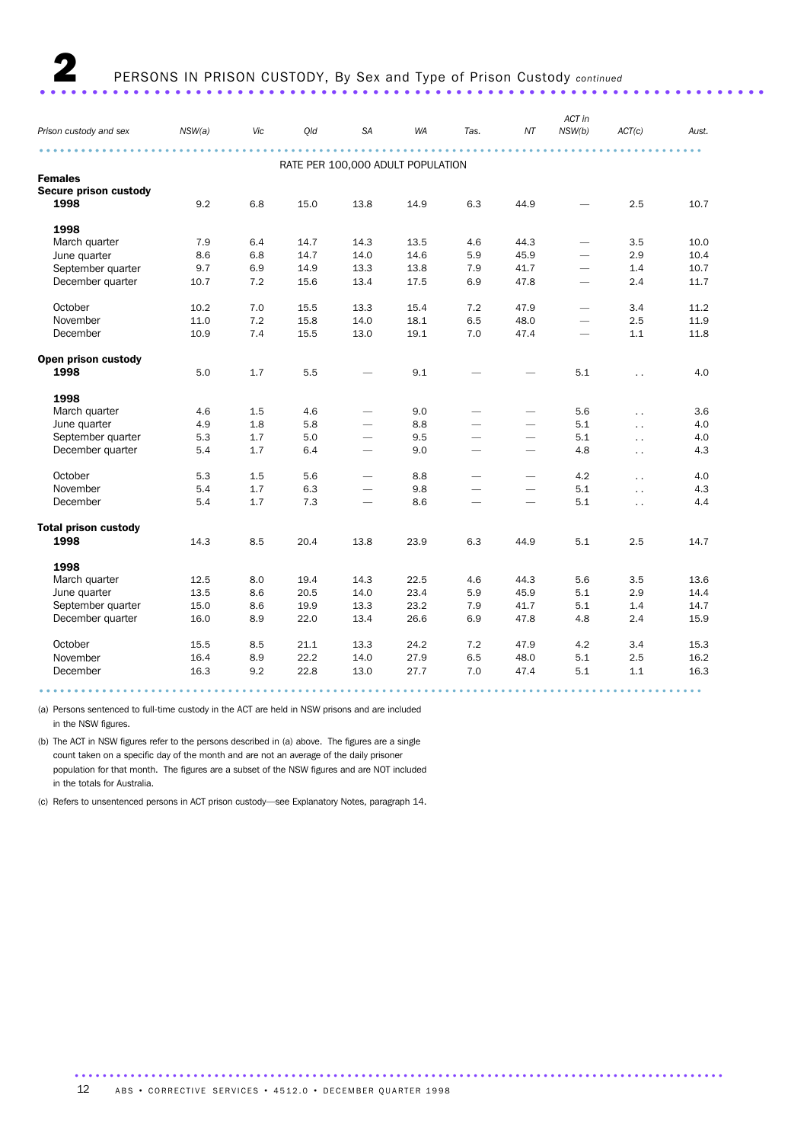### 2 PERSONS IN PRISON CUSTODY, By Sex and Type of Prison Custody *continued*

...................................................................... .

### *Prison custody and sex NSW(a) Vic Qld SA WA Tas. NT ACT in NSW(b) ACT(c) Aust.* ............................................................................................... ........... RATE PER 100,000 ADULT POPULATION Females Secure prison custody 1998 9.2 6.8 15.0 13.8 14.9 6.3 44.9 — 2.5 10.7 1998 March quarter 7.9 6.4 14.7 14.3 13.5 4.6 44.3 - 3.5 10.0<br>
June quarter 8.6 6.8 14.7 14.0 14.6 5.9 45.9 - 2.9 10.4 June quarter 8.6 6.8 14.7 14.0 14.6 5.9 45.9 — 2.9 10.4 September quarter  $9.7$   $6.9$   $14.9$   $13.3$   $13.8$   $7.9$   $41.7$   $1.4$   $10.7$ December quarter 10.7 7.2 15.6 13.4 17.5 6.9 47.8 — 2.4 11.7 October 10.2 7.0 15.5 13.3 15.4 7.2 47.9 — 3.4 11.2 November 11.0 7.2 15.8 14.0 18.1 6.5 48.0 — 2.5 11.9 December 10.9 7.4 15.5 13.0 19.1 7.0 47.4 – 1.1 11.8 Open prison custody **1998** 5.0 1.7 5.5  $-$  9.1  $-$  5.1  $\ldots$  4.0 1998<br>March quarter March quarter 4.6 1.5 4.6 — 9.0 — — 5.6 . . 3.6 June quarter 4.9 1.8 5.8 — 8.8 — — 5.1 . . 4.0 September quarter  $5.3$  1.7  $5.0$   $-$  9.5  $-$  5.1 .. 4.0 December quarter  $5.4$   $1.7$   $6.4$   $9.0$   $4.8$  ...  $4.3$ October 5.3 1.5 5.6 — 8.8 — — 4.2 . . 4.0 November 5.4 1.7 6.3 — 9.8 — – 5.1 .. 4.3 December 5.4 1.7 7.3 — 8.6 — — 5.1 . . 4.4 Total prison custody **1998** 19.1 14.3 8.5 20.4 13.8 23.9 6.3 44.9 5.1 2.5 14.7 1998<br>March quarter March quarter 12.5 8.0 19.4 14.3 22.5 4.6 44.3 5.6 3.5 13.6 June quarter 13.5 8.6 20.5 14.0 23.4 5.9 45.9 5.1 2.9 14.4 September quarter 15.0 8.6 19.9 13.3 23.2 7.9 41.7 5.1 1.4 14.7 December quarter 16.0 8.9 22.0 13.4 26.6 6.9 47.8 4.8 2.4 15.9 October 15.5 8.5 21.1 13.3 24.2 7.2 47.9 4.2 3.4 15.3 November 16.4 8.9 22.2 14.0 27.9 6.5 48.0 5.1 2.5 16.2 December 16.3 9.2 22.8 13.0 27.7 7.0 47.4 5.1 1.1 16.3 ............................................................................................... ...........

(a) Persons sentenced to full-time custody in the ACT are held in NSW prisons and are included in the NSW figures.

(b) The ACT in NSW figures refer to the persons described in (a) above. The figures are a single count taken on a specific day of the month and are not an average of the daily prisoner population for that month. The figures are a subset of the NSW figures and are NOT included in the totals for Australia.

(c) Refers to unsentenced persons in ACT prison custody—see Explanatory Notes, paragraph 14.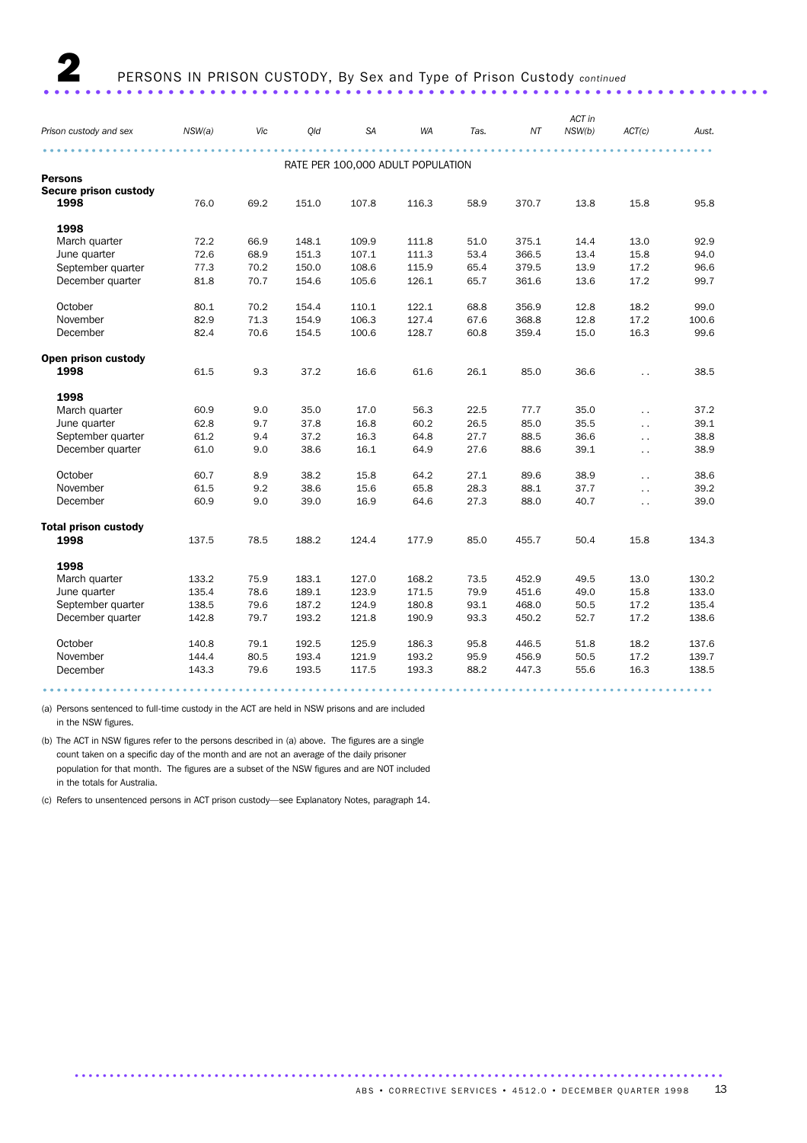|                             |        |      |       |           |                                   |      |       | ACT in |                      |       |
|-----------------------------|--------|------|-------|-----------|-----------------------------------|------|-------|--------|----------------------|-------|
| Prison custody and sex      | NSW(a) | Vic  | Qld   | <b>SA</b> | WA                                | Tas. | NΤ    | NSW(b) | ACT(c)               | Aust. |
|                             |        |      |       |           |                                   |      |       |        |                      |       |
|                             |        |      |       |           | RATE PER 100,000 ADULT POPULATION |      |       |        |                      |       |
| <b>Persons</b>              |        |      |       |           |                                   |      |       |        |                      |       |
| Secure prison custody       |        |      |       |           |                                   |      |       |        |                      |       |
| 1998                        | 76.0   | 69.2 | 151.0 | 107.8     | 116.3                             | 58.9 | 370.7 | 13.8   | 15.8                 | 95.8  |
| 1998                        |        |      |       |           |                                   |      |       |        |                      |       |
| March quarter               | 72.2   | 66.9 | 148.1 | 109.9     | 111.8                             | 51.0 | 375.1 | 14.4   | 13.0                 | 92.9  |
| June quarter                | 72.6   | 68.9 | 151.3 | 107.1     | 111.3                             | 53.4 | 366.5 | 13.4   | 15.8                 | 94.0  |
| September quarter           | 77.3   | 70.2 | 150.0 | 108.6     | 115.9                             | 65.4 | 379.5 | 13.9   | 17.2                 | 96.6  |
| December quarter            | 81.8   | 70.7 | 154.6 | 105.6     | 126.1                             | 65.7 | 361.6 | 13.6   | 17.2                 | 99.7  |
| October                     | 80.1   | 70.2 | 154.4 | 110.1     | 122.1                             | 68.8 | 356.9 | 12.8   | 18.2                 | 99.0  |
| November                    | 82.9   | 71.3 | 154.9 | 106.3     | 127.4                             | 67.6 | 368.8 | 12.8   | 17.2                 | 100.6 |
| December                    | 82.4   | 70.6 | 154.5 | 100.6     | 128.7                             | 60.8 | 359.4 | 15.0   | 16.3                 | 99.6  |
| Open prison custody         |        |      |       |           |                                   |      |       |        |                      |       |
| 1998                        | 61.5   | 9.3  | 37.2  | 16.6      | 61.6                              | 26.1 | 85.0  | 36.6   | $\ddot{\phantom{0}}$ | 38.5  |
| 1998                        |        |      |       |           |                                   |      |       |        |                      |       |
| March quarter               | 60.9   | 9.0  | 35.0  | 17.0      | 56.3                              | 22.5 | 77.7  | 35.0   | $\ddotsc$            | 37.2  |
| June quarter                | 62.8   | 9.7  | 37.8  | 16.8      | 60.2                              | 26.5 | 85.0  | 35.5   | $\ddotsc$            | 39.1  |
| September quarter           | 61.2   | 9.4  | 37.2  | 16.3      | 64.8                              | 27.7 | 88.5  | 36.6   | $\ddotsc$            | 38.8  |
| December quarter            | 61.0   | 9.0  | 38.6  | 16.1      | 64.9                              | 27.6 | 88.6  | 39.1   | $\sim$ .             | 38.9  |
|                             |        |      |       |           |                                   |      |       |        |                      |       |
| October                     | 60.7   | 8.9  | 38.2  | 15.8      | 64.2                              | 27.1 | 89.6  | 38.9   | $\ddotsc$            | 38.6  |
| November                    | 61.5   | 9.2  | 38.6  | 15.6      | 65.8                              | 28.3 | 88.1  | 37.7   | $\ddot{\phantom{a}}$ | 39.2  |
| December                    | 60.9   | 9.0  | 39.0  | 16.9      | 64.6                              | 27.3 | 88.0  | 40.7   | $\ddot{\phantom{a}}$ | 39.0  |
| <b>Total prison custody</b> |        |      |       |           |                                   |      |       |        |                      |       |
| 1998                        | 137.5  | 78.5 | 188.2 | 124.4     | 177.9                             | 85.0 | 455.7 | 50.4   | 15.8                 | 134.3 |
| 1998                        |        |      |       |           |                                   |      |       |        |                      |       |
| March quarter               | 133.2  | 75.9 | 183.1 | 127.0     | 168.2                             | 73.5 | 452.9 | 49.5   | 13.0                 | 130.2 |
| June quarter                | 135.4  | 78.6 | 189.1 | 123.9     | 171.5                             | 79.9 | 451.6 | 49.0   | 15.8                 | 133.0 |
| September quarter           | 138.5  | 79.6 | 187.2 | 124.9     | 180.8                             | 93.1 | 468.0 | 50.5   | 17.2                 | 135.4 |
| December quarter            | 142.8  | 79.7 | 193.2 | 121.8     | 190.9                             | 93.3 | 450.2 | 52.7   | 17.2                 | 138.6 |
| October                     | 140.8  | 79.1 | 192.5 | 125.9     | 186.3                             | 95.8 | 446.5 | 51.8   | 18.2                 | 137.6 |
| November                    | 144.4  | 80.5 | 193.4 | 121.9     | 193.2                             | 95.9 | 456.9 | 50.5   | 17.2                 | 139.7 |
| December                    | 143.3  | 79.6 | 193.5 | 117.5     | 193.3                             | 88.2 | 447.3 | 55.6   | 16.3                 | 138.5 |
|                             |        |      |       |           |                                   |      |       |        |                      |       |

(a) Persons sentenced to full-time custody in the ACT are held in NSW prisons and are included in the NSW figures.

(b) The ACT in NSW figures refer to the persons described in (a) above. The figures are a single count taken on a specific day of the month and are not an average of the daily prisoner population for that month. The figures are a subset of the NSW figures and are NOT included in the totals for Australia.

(c) Refers to unsentenced persons in ACT prison custody—see Explanatory Notes, paragraph 14.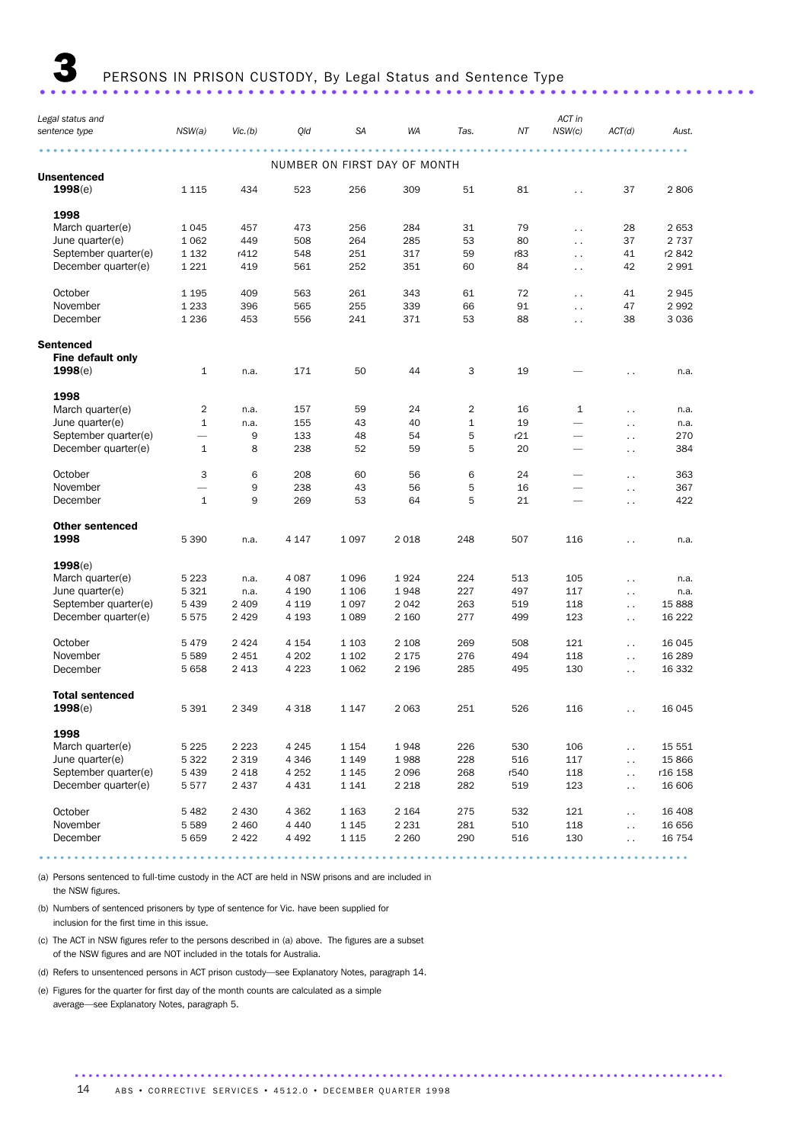3 PERSONS IN PRISON CUSTODY, By Legal Status and Sentence Type ..................................................................... .

| Legal status and<br>sentence type | NSW(a)                   | Vic.(b) | Qld     | <b>SA</b> | WA                           | Tas.         | ΝT   | ACT in<br>NSW(c)         | ACT(d)               | Aust.   |
|-----------------------------------|--------------------------|---------|---------|-----------|------------------------------|--------------|------|--------------------------|----------------------|---------|
|                                   |                          |         |         |           | NUMBER ON FIRST DAY OF MONTH |              |      |                          |                      |         |
| Unsentenced                       |                          |         |         |           |                              |              |      |                          |                      |         |
| 1998(e)                           | 1 1 1 5                  | 434     | 523     | 256       | 309                          | 51           | 81   | $\ddot{\phantom{0}}$     | 37                   | 2806    |
| 1998                              |                          |         |         |           |                              |              |      |                          |                      |         |
| March quarter(e)                  | 1 0 4 5                  | 457     | 473     | 256       | 284                          | 31           | 79   | $\ddot{\phantom{0}}$     | 28                   | 2 6 5 3 |
| June quarter(e)                   | 1 0 6 2                  | 449     | 508     | 264       | 285                          | 53           | 80   | $\ddotsc$                | 37                   | 2 7 3 7 |
| September quarter(e)              | 1 1 3 2                  | r412    | 548     | 251       | 317                          | 59           | r83  | $\ddotsc$                | 41                   | r2 842  |
| December quarter(e)               | 1 2 2 1                  | 419     | 561     | 252       | 351                          | 60           | 84   | $\ddot{\phantom{0}}$     | 42                   | 2 9 9 1 |
| October                           | 1 1 9 5                  | 409     | 563     | 261       | 343                          | 61           | 72   | $\ddot{\phantom{0}}$     | 41                   | 2945    |
| November                          | 1 2 3 3                  | 396     | 565     | 255       | 339                          | 66           | 91   | $\ddotsc$                | 47                   | 2992    |
| December                          | 1 2 3 6                  | 453     | 556     | 241       | 371                          | 53           | 88   | $\ddotsc$                | 38                   | 3 0 3 6 |
| Sentenced                         |                          |         |         |           |                              |              |      |                          |                      |         |
| <b>Fine default only</b>          |                          |         |         |           |                              |              |      |                          |                      |         |
| 1998(e)                           | $\mathbf{1}$             | n.a.    | 171     | 50        | 44                           | 3            | 19   |                          | $\ddot{\phantom{0}}$ | n.a.    |
| 1998                              |                          |         |         |           |                              |              |      |                          |                      |         |
| March quarter(e)                  | 2                        | n.a.    | 157     | 59        | 24                           | 2            | 16   | $\mathbf{1}$             | $\ddot{\phantom{0}}$ | n.a.    |
| June quarter(e)                   | $\mathbf{1}$             | n.a.    | 155     | 43        | 40                           | $\mathbf{1}$ | 19   | $\overline{\phantom{0}}$ | $\sim$               | n.a.    |
| September quarter(e)              | $\overline{\phantom{0}}$ | 9       | 133     | 48        | 54                           | 5            | r21  | $\overline{\phantom{0}}$ | $\ddot{\phantom{0}}$ | 270     |
| December quarter(e)               | $\mathbf{1}$             | 8       | 238     | 52        | 59                           | 5            | 20   |                          | $\sim$               | 384     |
| October                           | 3                        | 6       | 208     | 60        | 56                           | 6            | 24   | $\overline{\phantom{0}}$ | $\ddot{\phantom{0}}$ | 363     |
| November                          |                          | 9       | 238     | 43        | 56                           | 5            | 16   | $\overline{\phantom{0}}$ | $\sim$               | 367     |
| December                          | $\mathbf{1}$             | 9       | 269     | 53        | 64                           | 5            | 21   | $\overline{\phantom{0}}$ | $\ddotsc$            | 422     |
| <b>Other sentenced</b>            |                          |         |         |           |                              |              |      |                          |                      |         |
| 1998                              | 5 3 9 0                  | n.a.    | 4 1 4 7 | 1 0 9 7   | 2 0 18                       | 248          | 507  | 116                      | $\ddot{\phantom{0}}$ | n.a.    |
| 1998(e)                           |                          |         |         |           |                              |              |      |                          |                      |         |
| March quarter(e)                  | 5 2 2 3                  | n.a.    | 4 0 8 7 | 1096      | 1924                         | 224          | 513  | 105                      | $\ddot{\phantom{a}}$ | n.a.    |
| June quarter(e)                   | 5 3 2 1                  | n.a.    | 4 190   | 1 1 0 6   | 1948                         | 227          | 497  | 117                      | $\ddotsc$            | n.a.    |
| September quarter(e)              | 5 4 3 9                  | 2 4 0 9 | 4 1 1 9 | 1 0 9 7   | 2 0 4 2                      | 263          | 519  | 118                      | $\ddot{\phantom{0}}$ | 15 888  |
| December quarter(e)               | 5575                     | 2 4 2 9 | 4 1 9 3 | 1 0 8 9   | 2 160                        | 277          | 499  | 123                      | $\ddot{\phantom{a}}$ | 16 222  |
| October                           | 5 4 7 9                  | 2 4 2 4 | 4 1 5 4 | 1 1 0 3   | 2 1 0 8                      | 269          | 508  | 121                      | $\ddot{\phantom{0}}$ | 16 045  |
| November                          | 5 5 8 9                  | 2 4 5 1 | 4 202   | 1 1 0 2   | 2 1 7 5                      | 276          | 494  | 118                      | $\ddot{\phantom{0}}$ | 16 289  |
| December                          | 5 6 5 8                  | 2 4 1 3 | 4 2 2 3 | 1 0 6 2   | 2 1 9 6                      | 285          | 495  | 130                      | $\ddot{\phantom{0}}$ | 16 332  |
| <b>Total sentenced</b>            |                          |         |         |           |                              |              |      |                          |                      |         |
| 1998(e)                           | 5 3 9 1                  | 2 3 4 9 | 4 3 1 8 | 1 1 4 7   | 2 0 6 3                      | 251          | 526  | 116                      | $\ddot{\phantom{a}}$ | 16 045  |
| 1998                              |                          |         |         |           |                              |              |      |                          |                      |         |
| March quarter(e)                  | 5 2 2 5                  | 2 2 2 3 | 4 2 4 5 | 1 1 5 4   | 1948                         | 226          | 530  | 106                      | $\sim$ $\sim$        | 15 551  |
| June quarter(e)                   | 5 3 2 2                  | 2 3 1 9 | 4 3 4 6 | 1 1 4 9   | 1988                         | 228          | 516  | 117                      | $\sim$ .             | 15 866  |
| September quarter(e)              | 5 4 3 9                  | 2 4 1 8 | 4 2 5 2 | 1 1 4 5   | 2 0 9 6                      | 268          | r540 | 118                      | $\sim$ $\sim$        | r16 158 |
| December quarter(e)               | 5577                     | 2 4 3 7 | 4 4 3 1 | 1 1 4 1   | 2 2 1 8                      | 282          | 519  | 123                      | $\ddot{\phantom{0}}$ | 16 606  |
| October                           | 5 4 8 2                  | 2 4 3 0 | 4 3 6 2 | 1 1 6 3   | 2 1 6 4                      | 275          | 532  | 121                      | $\ddot{\phantom{0}}$ | 16 408  |
| November                          | 5 5 8 9                  | 2 4 6 0 | 4 4 4 0 | 1 1 4 5   | 2 2 3 1                      | 281          | 510  | 118                      | $\sim$ .             | 16 656  |
| December                          | 5 6 5 9                  | 2 4 2 2 | 4 4 9 2 | 1 1 1 5   | 2 2 6 0                      | 290          | 516  | 130                      | $\sim$               | 16 754  |
|                                   |                          |         |         |           |                              |              |      |                          |                      |         |

............................................................................................. .

(a) Persons sentenced to full-time custody in the ACT are held in NSW prisons and are included in the NSW figures.

(b) Numbers of sentenced prisoners by type of sentence for Vic. have been supplied for inclusion for the first time in this issue.

(c) The ACT in NSW figures refer to the persons described in (a) above. The figures are a subset of the NSW figures and are NOT included in the totals for Australia.

(d) Refers to unsentenced persons in ACT prison custody—see Explanatory Notes, paragraph 14.

(e) Figures for the quarter for first day of the month counts are calculated as a simple average—see Explanatory Notes, paragraph 5.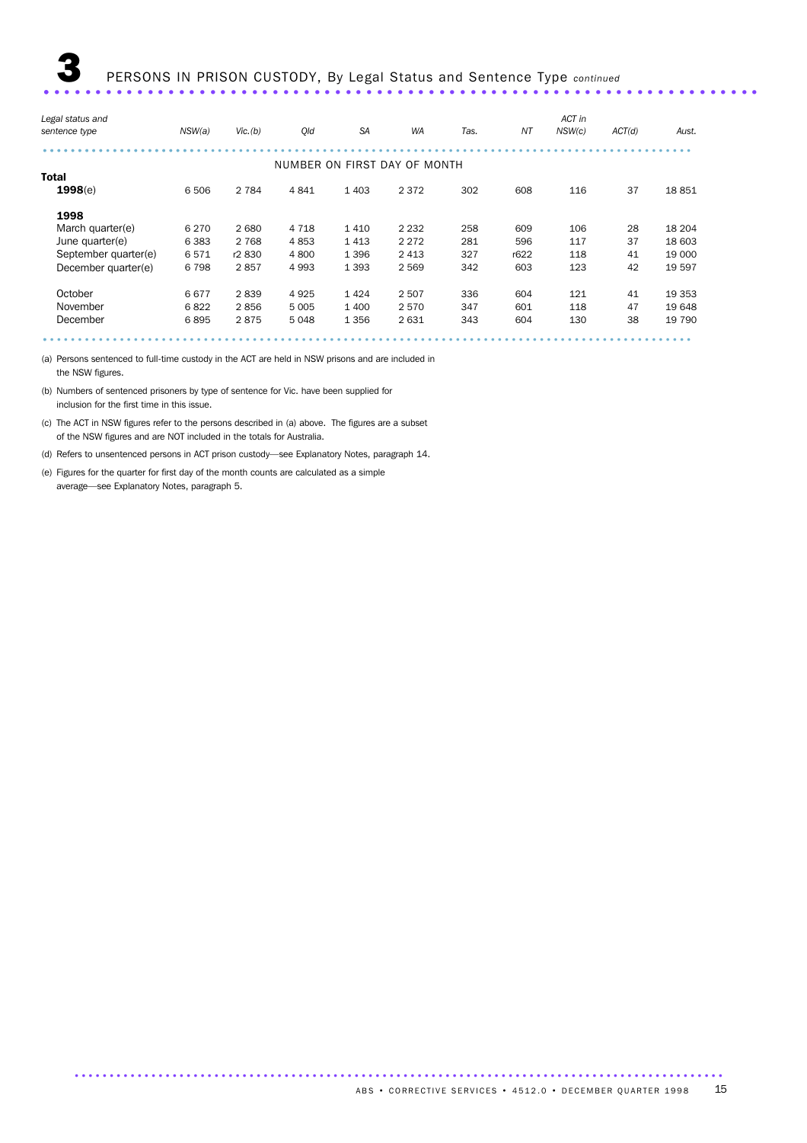| Legal status and     |         |         |         |           |                              |      |      | ACT in |        |         |
|----------------------|---------|---------|---------|-----------|------------------------------|------|------|--------|--------|---------|
| sentence type        | NSW(a)  | Vic.(b) | Old     | <b>SA</b> | <b>WA</b>                    | Tas. | ΝT   | NSW(c) | ACT(d) | Aust.   |
|                      |         |         |         |           |                              |      |      |        |        |         |
|                      |         |         |         |           | NUMBER ON FIRST DAY OF MONTH |      |      |        |        |         |
| <b>Total</b>         |         |         |         |           |                              |      |      |        |        |         |
| 1998(e)              | 6 50 6  | 2 7 8 4 | 4841    | 1 4 0 3   | 2 3 7 2                      | 302  | 608  | 116    | 37     | 18851   |
| 1998                 |         |         |         |           |                              |      |      |        |        |         |
| March quarter(e)     | 6 2 7 0 | 2680    | 4 7 1 8 | 1410      | 2 2 3 2                      | 258  | 609  | 106    | 28     | 18 204  |
| June quarter(e)      | 6 3 8 3 | 2 7 6 8 | 4853    | 1413      | 2 2 7 2                      | 281  | 596  | 117    | 37     | 18 603  |
| September quarter(e) | 6571    | r2 830  | 4 800   | 1 3 9 6   | 2 4 1 3                      | 327  | r622 | 118    | 41     | 19 000  |
| December quarter(e)  | 6798    | 2857    | 4 9 9 3 | 1 3 9 3   | 2 5 6 9                      | 342  | 603  | 123    | 42     | 19 597  |
| October              | 6677    | 2839    | 4925    | 1424      | 2 5 0 7                      | 336  | 604  | 121    | 41     | 19 3 53 |
| November             | 6822    | 2856    | 5 0 0 5 | 1 400     | 2570                         | 347  | 601  | 118    | 47     | 19 648  |
| December             | 6895    | 2875    | 5 0 4 8 | 1 3 5 6   | 2631                         | 343  | 604  | 130    | 38     | 19 790  |
|                      |         |         |         |           |                              |      |      |        |        |         |

(a) Persons sentenced to full-time custody in the ACT are held in NSW prisons and are included in the NSW figures.

(b) Numbers of sentenced prisoners by type of sentence for Vic. have been supplied for inclusion for the first time in this issue.

(c) The ACT in NSW figures refer to the persons described in (a) above. The figures are a subset of the NSW figures and are NOT included in the totals for Australia.

(d) Refers to unsentenced persons in ACT prison custody—see Explanatory Notes, paragraph 14.

(e) Figures for the quarter for first day of the month counts are calculated as a simple average—see Explanatory Notes, paragraph 5.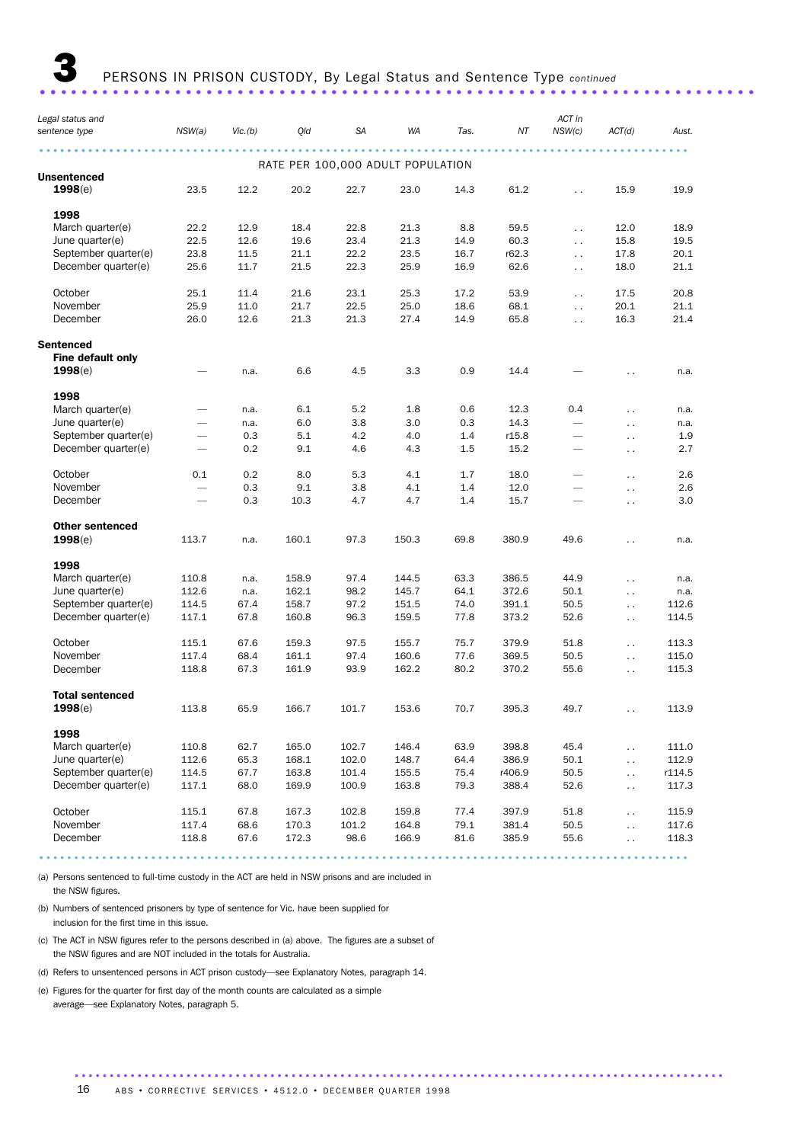3 PERSONS IN PRISON CUSTODY, By Legal Status and Sentence Type *continued* ..................................................................... ..

| Legal status and         | NSW(a) | Vic.(b) | Qld   | <b>SA</b> | WA                                | Tas. | ΝT     | ACT in<br>NSW(c)         |                      | Aust.  |
|--------------------------|--------|---------|-------|-----------|-----------------------------------|------|--------|--------------------------|----------------------|--------|
| sentence type            |        |         |       |           |                                   |      |        |                          | ACT(d)               |        |
|                          |        |         |       |           | RATE PER 100,000 ADULT POPULATION |      |        |                          |                      |        |
| <b>Unsentenced</b>       |        |         |       |           |                                   |      |        |                          |                      |        |
| 1998(e)                  | 23.5   | 12.2    | 20.2  | 22.7      | 23.0                              | 14.3 | 61.2   | $\ddotsc$                | 15.9                 | 19.9   |
| 1998                     |        |         |       |           |                                   |      |        |                          |                      |        |
| March quarter(e)         | 22.2   | 12.9    | 18.4  | 22.8      | 21.3                              | 8.8  | 59.5   | $\ddotsc$                | 12.0                 | 18.9   |
| June quarter(e)          | 22.5   | 12.6    | 19.6  | 23.4      | 21.3                              | 14.9 | 60.3   | $\ddotsc$                | 15.8                 | 19.5   |
| September quarter(e)     | 23.8   | 11.5    | 21.1  | 22.2      | 23.5                              | 16.7 | r62.3  | $\ddotsc$                | 17.8                 | 20.1   |
| December quarter(e)      | 25.6   | 11.7    | 21.5  | 22.3      | 25.9                              | 16.9 | 62.6   | $\ddotsc$                | 18.0                 | 21.1   |
| October                  | 25.1   | 11.4    | 21.6  | 23.1      | 25.3                              | 17.2 | 53.9   | $\ddot{\phantom{a}}$     | 17.5                 | 20.8   |
| November                 | 25.9   | 11.0    | 21.7  | 22.5      | 25.0                              | 18.6 | 68.1   | $\ddotsc$                | 20.1                 | 21.1   |
| December                 | 26.0   | 12.6    | 21.3  | 21.3      | 27.4                              | 14.9 | 65.8   | $\ddot{\phantom{a}}$     | 16.3                 | 21.4   |
| <b>Sentenced</b>         |        |         |       |           |                                   |      |        |                          |                      |        |
| <b>Fine default only</b> |        |         |       |           |                                   |      |        |                          |                      |        |
| 1998(e)                  |        | n.a.    | 6.6   | 4.5       | 3.3                               | 0.9  | 14.4   |                          |                      | n.a.   |
| 1998                     |        |         |       |           |                                   |      |        |                          |                      |        |
| March quarter(e)         |        | n.a.    | 6.1   | 5.2       | 1.8                               | 0.6  | 12.3   | 0.4                      | $\ddot{\phantom{0}}$ | n.a.   |
| June quarter(e)          |        | n.a.    | 6.0   | 3.8       | 3.0                               | 0.3  | 14.3   |                          | $\ddot{\phantom{0}}$ | n.a.   |
| September quarter(e)     |        | 0.3     | 5.1   | 4.2       | 4.0                               | 1.4  | r15.8  | $\overline{\phantom{0}}$ |                      | 1.9    |
| December quarter(e)      |        | 0.2     | 9.1   | 4.6       | 4.3                               | 1.5  | 15.2   | $\overline{\phantom{m}}$ | $\ddot{\phantom{0}}$ | 2.7    |
|                          |        |         |       |           |                                   |      |        |                          | $\ddot{\phantom{1}}$ |        |
| October                  | 0.1    | 0.2     | 8.0   | 5.3       | 4.1                               | 1.7  | 18.0   |                          | $\ddot{\phantom{0}}$ | 2.6    |
| November                 |        | 0.3     | 9.1   | 3.8       | 4.1                               | 1.4  | 12.0   |                          | $\ddot{\phantom{1}}$ | 2.6    |
| December                 |        | 0.3     | 10.3  | 4.7       | 4.7                               | 1.4  | 15.7   |                          | $\ddot{\phantom{0}}$ | 3.0    |
| <b>Other sentenced</b>   |        |         |       |           |                                   |      |        |                          |                      |        |
| 1998(e)                  | 113.7  | n.a.    | 160.1 | 97.3      | 150.3                             | 69.8 | 380.9  | 49.6                     | Ξ.                   | n.a.   |
| 1998                     |        |         |       |           |                                   |      |        |                          |                      |        |
| March quarter(e)         | 110.8  | n.a.    | 158.9 | 97.4      | 144.5                             | 63.3 | 386.5  | 44.9                     | $\ddot{\phantom{0}}$ | n.a.   |
| June quarter(e)          | 112.6  | n.a.    | 162.1 | 98.2      | 145.7                             | 64.1 | 372.6  | 50.1                     | $\ddot{\phantom{0}}$ | n.a.   |
| September quarter(e)     | 114.5  | 67.4    | 158.7 | 97.2      | 151.5                             | 74.0 | 391.1  | 50.5                     | $\ddot{\phantom{0}}$ | 112.6  |
| December quarter(e)      | 117.1  | 67.8    | 160.8 | 96.3      | 159.5                             | 77.8 | 373.2  | 52.6                     | $\ddot{\phantom{0}}$ | 114.5  |
| October                  | 115.1  | 67.6    | 159.3 | 97.5      | 155.7                             | 75.7 | 379.9  | 51.8                     | $\ddot{\phantom{0}}$ | 113.3  |
| November                 | 117.4  | 68.4    | 161.1 | 97.4      | 160.6                             | 77.6 | 369.5  | 50.5                     | $\ddot{\phantom{0}}$ | 115.0  |
| December                 | 118.8  | 67.3    | 161.9 | 93.9      | 162.2                             | 80.2 | 370.2  | 55.6                     | $\ddot{\phantom{0}}$ | 115.3  |
| <b>Total sentenced</b>   |        |         |       |           |                                   |      |        |                          |                      |        |
| 1998(e)                  | 113.8  | 65.9    | 166.7 | 101.7     | 153.6                             | 70.7 | 395.3  | 49.7                     | $\ddot{\phantom{0}}$ | 113.9  |
| 1998                     |        |         |       |           |                                   |      |        |                          |                      |        |
| March quarter(e)         | 110.8  | 62.7    | 165.0 | 102.7     | 146.4                             | 63.9 | 398.8  | 45.4                     | $\ddotsc$            | 111.0  |
| June quarter(e)          | 112.6  | 65.3    | 168.1 | 102.0     | 148.7                             | 64.4 | 386.9  | 50.1                     | $\ddot{\phantom{a}}$ | 112.9  |
| September quarter(e)     | 114.5  | 67.7    | 163.8 | 101.4     | 155.5                             | 75.4 | r406.9 | 50.5                     | $\ddotsc$            | r114.5 |
| December quarter(e)      | 117.1  | 68.0    | 169.9 | 100.9     | 163.8                             | 79.3 | 388.4  | 52.6                     | $\ddotsc$            | 117.3  |
|                          |        |         |       |           |                                   |      |        |                          |                      |        |
| October                  | 115.1  | 67.8    | 167.3 | 102.8     | 159.8                             | 77.4 | 397.9  | 51.8                     | $\sim$               | 115.9  |
| November                 | 117.4  | 68.6    | 170.3 | 101.2     | 164.8                             | 79.1 | 381.4  | 50.5                     | $\ddotsc$            | 117.6  |
| December                 | 118.8  | 67.6    | 172.3 | 98.6      | 166.9                             | 81.6 | 385.9  | 55.6                     | $\ddotsc$            | 118.3  |

............................................................................................. .

(a) Persons sentenced to full-time custody in the ACT are held in NSW prisons and are included in the NSW figures.

(b) Numbers of sentenced prisoners by type of sentence for Vic. have been supplied for inclusion for the first time in this issue.

(c) The ACT in NSW figures refer to the persons described in (a) above. The figures are a subset of the NSW figures and are NOT included in the totals for Australia.

(d) Refers to unsentenced persons in ACT prison custody—see Explanatory Notes, paragraph 14.

(e) Figures for the quarter for first day of the month counts are calculated as a simple average—see Explanatory Notes, paragraph 5.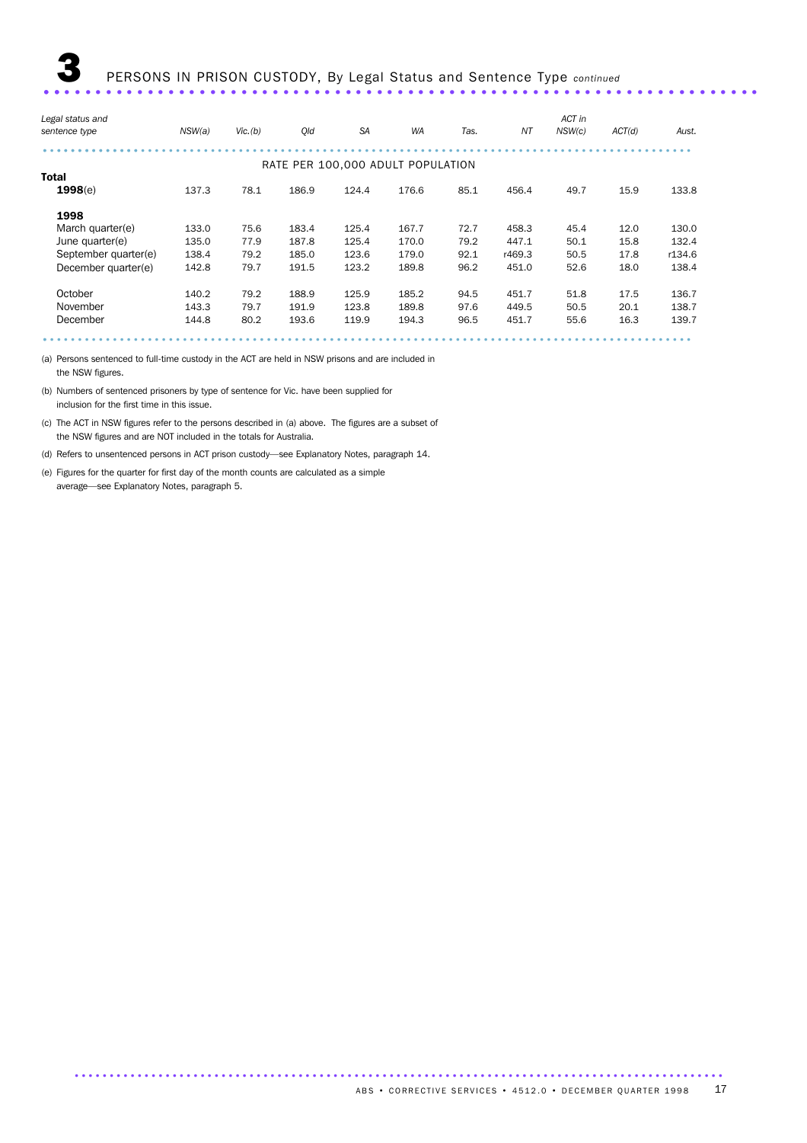| Legal status and     |        |         |       |           |                                   |      |        | ACT in |        |        |
|----------------------|--------|---------|-------|-----------|-----------------------------------|------|--------|--------|--------|--------|
| sentence type        | NSW(a) | Vic.(b) | Old   | <b>SA</b> | <b>WA</b>                         | Tas. | ΝT     | NSW(c) | ACT(d) | Aust.  |
|                      |        |         |       |           |                                   |      |        |        |        |        |
|                      |        |         |       |           | RATE PER 100,000 ADULT POPULATION |      |        |        |        |        |
| <b>Total</b>         |        |         |       |           |                                   |      |        |        |        |        |
| 1998(e)              | 137.3  | 78.1    | 186.9 | 124.4     | 176.6                             | 85.1 | 456.4  | 49.7   | 15.9   | 133.8  |
| 1998                 |        |         |       |           |                                   |      |        |        |        |        |
| March quarter(e)     | 133.0  | 75.6    | 183.4 | 125.4     | 167.7                             | 72.7 | 458.3  | 45.4   | 12.0   | 130.0  |
| June quarter(e)      | 135.0  | 77.9    | 187.8 | 125.4     | 170.0                             | 79.2 | 447.1  | 50.1   | 15.8   | 132.4  |
| September quarter(e) | 138.4  | 79.2    | 185.0 | 123.6     | 179.0                             | 92.1 | r469.3 | 50.5   | 17.8   | r134.6 |
| December quarter(e)  | 142.8  | 79.7    | 191.5 | 123.2     | 189.8                             | 96.2 | 451.0  | 52.6   | 18.0   | 138.4  |
| October              | 140.2  | 79.2    | 188.9 | 125.9     | 185.2                             | 94.5 | 451.7  | 51.8   | 17.5   | 136.7  |
| November             | 143.3  | 79.7    | 191.9 | 123.8     | 189.8                             | 97.6 | 449.5  | 50.5   | 20.1   | 138.7  |
| December             | 144.8  | 80.2    | 193.6 | 119.9     | 194.3                             | 96.5 | 451.7  | 55.6   | 16.3   | 139.7  |
|                      |        |         |       |           |                                   |      |        |        |        |        |

(a) Persons sentenced to full-time custody in the ACT are held in NSW prisons and are included in the NSW figures.

(b) Numbers of sentenced prisoners by type of sentence for Vic. have been supplied for inclusion for the first time in this issue.

(c) The ACT in NSW figures refer to the persons described in (a) above. The figures are a subset of the NSW figures and are NOT included in the totals for Australia.

(d) Refers to unsentenced persons in ACT prison custody—see Explanatory Notes, paragraph 14.

(e) Figures for the quarter for first day of the month counts are calculated as a simple average—see Explanatory Notes, paragraph 5.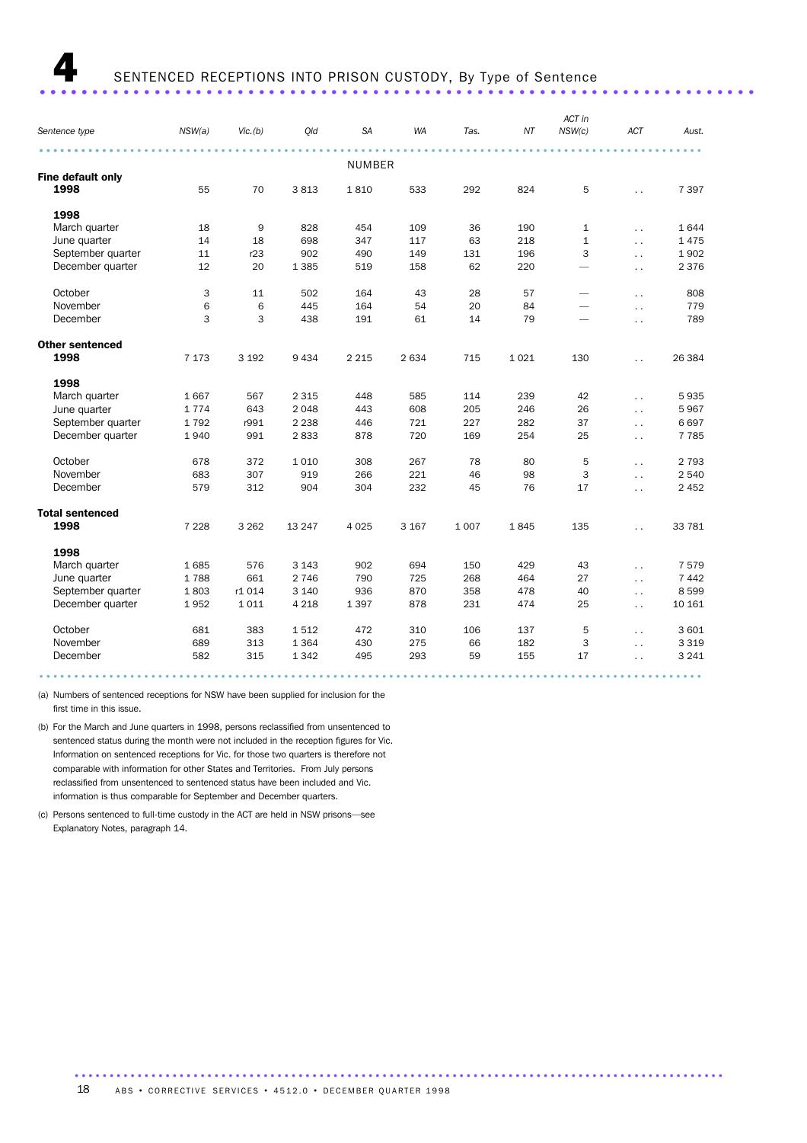## 4 SENTENCED RECEPTIONS INTO PRISON CUSTODY, By Type of Sentence ..................................................................... .....

| Sentence type          | NSW(a)  | Vic.(b) | Qld     | <b>SA</b>     | <b>WA</b> | Tas.    | NT      | ACT in<br>NSW(c)         | ACT                    | Aust.   |
|------------------------|---------|---------|---------|---------------|-----------|---------|---------|--------------------------|------------------------|---------|
|                        |         |         |         | <b>NUMBER</b> |           |         |         |                          |                        |         |
| Fine default only      |         |         |         |               |           |         |         |                          |                        |         |
| 1998                   | 55      | 70      | 3813    | 1810          | 533       | 292     | 824     | 5                        | $\ddot{\phantom{a}}$   | 7 3 9 7 |
| 1998                   |         |         |         |               |           |         |         |                          |                        |         |
| March quarter          | 18      | 9       | 828     | 454           | 109       | 36      | 190     | $\mathbf{1}$             | $\ddot{\phantom{a}}$   | 1644    |
| June quarter           | 14      | 18      | 698     | 347           | 117       | 63      | 218     | $\mathbf{1}$             | $\ddot{\phantom{0}}$   | 1475    |
| September quarter      | 11      | r23     | 902     | 490           | 149       | 131     | 196     | 3                        | $\ddot{\phantom{a}}$   | 1902    |
| December quarter       | 12      | 20      | 1 3 8 5 | 519           | 158       | 62      | 220     | $\overline{\phantom{0}}$ | $\ddot{\phantom{1}}$   | 2 3 7 6 |
| October                | 3       | 11      | 502     | 164           | 43        | 28      | 57      | $\overline{\phantom{0}}$ | $\ddot{\phantom{a}}$   | 808     |
| November               | 6       | 6       | 445     | 164           | 54        | 20      | 84      | $\overline{\phantom{0}}$ | $\ddot{\phantom{a}}$   | 779     |
| December               | 3       | 3       | 438     | 191           | 61        | 14      | 79      | $\overline{\phantom{m}}$ | $\ddot{\phantom{a}}$   | 789     |
| <b>Other sentenced</b> |         |         |         |               |           |         |         |                          |                        |         |
| 1998                   | 7 1 7 3 | 3 1 9 2 | 9 4 3 4 | 2 2 1 5       | 2 6 3 4   | 715     | 1 0 2 1 | 130                      | $\ddot{\phantom{a}}$   | 26 384  |
| 1998                   |         |         |         |               |           |         |         |                          |                        |         |
| March quarter          | 1667    | 567     | 2 3 1 5 | 448           | 585       | 114     | 239     | 42                       | $\ddot{\phantom{0}}$   | 5935    |
| June quarter           | 1774    | 643     | 2 0 4 8 | 443           | 608       | 205     | 246     | 26                       | $\ddot{\phantom{a}}$   | 5967    |
| September quarter      | 1792    | r991    | 2 2 3 8 | 446           | 721       | 227     | 282     | 37                       | $\ddot{\phantom{0}}$   | 6697    |
| December quarter       | 1940    | 991     | 2833    | 878           | 720       | 169     | 254     | 25                       | $\ddot{\phantom{0}}$   | 7 7 8 5 |
| October                | 678     | 372     | 1 0 1 0 | 308           | 267       | 78      | 80      | 5                        | $\ddot{\phantom{0}}$   | 2 7 9 3 |
| November               | 683     | 307     | 919     | 266           | 221       | 46      | 98      | 3                        | $\ddot{\phantom{0}}$   | 2 5 4 0 |
| December               | 579     | 312     | 904     | 304           | 232       | 45      | 76      | 17                       | $\ddot{\phantom{0}}$   | 2 4 5 2 |
| <b>Total sentenced</b> |         |         |         |               |           |         |         |                          |                        |         |
| 1998                   | 7 2 2 8 | 3 2 6 2 | 13 247  | 4 0 25        | 3 1 6 7   | 1 0 0 7 | 1845    | 135                      | $\ddot{\phantom{0}}$   | 33 781  |
| 1998                   |         |         |         |               |           |         |         |                          |                        |         |
| March quarter          | 1685    | 576     | 3 1 4 3 | 902           | 694       | 150     | 429     | 43                       | $\ddot{\phantom{a}}$   | 7579    |
| June quarter           | 1788    | 661     | 2 7 4 6 | 790           | 725       | 268     | 464     | 27                       | $\ddot{\phantom{a}}$ . | 7 4 4 2 |
| September quarter      | 1803    | r1 014  | 3 1 4 0 | 936           | 870       | 358     | 478     | 40                       | $\ddot{\phantom{a}}$   | 8599    |
| December quarter       | 1952    | 1011    | 4 2 1 8 | 1 3 9 7       | 878       | 231     | 474     | 25                       | $\ddot{\phantom{a}}$   | 10 161  |
| October                | 681     | 383     | 1512    | 472           | 310       | 106     | 137     | 5                        | $\ddot{\phantom{0}}$   | 3 601   |
| November               | 689     | 313     | 1 3 6 4 | 430           | 275       | 66      | 182     | 3                        | $\ddot{\phantom{0}}$   | 3 3 1 9 |
| December               | 582     | 315     | 1 3 4 2 | 495           | 293       | 59      | 155     | 17                       | $\ddot{\phantom{0}}$   | 3 2 4 1 |
|                        |         |         |         |               |           |         |         |                          |                        |         |

(a) Numbers of sentenced receptions for NSW have been supplied for inclusion for the first time in this issue.

(b) For the March and June quarters in 1998, persons reclassified from unsentenced to sentenced status during the month were not included in the reception figures for Vic. Information on sentenced receptions for Vic. for those two quarters is therefore not comparable with information for other States and Territories. From July persons reclassified from unsentenced to sentenced status have been included and Vic. information is thus comparable for September and December quarters.

(c) Persons sentenced to full-time custody in the ACT are held in NSW prisons—see Explanatory Notes, paragraph 14.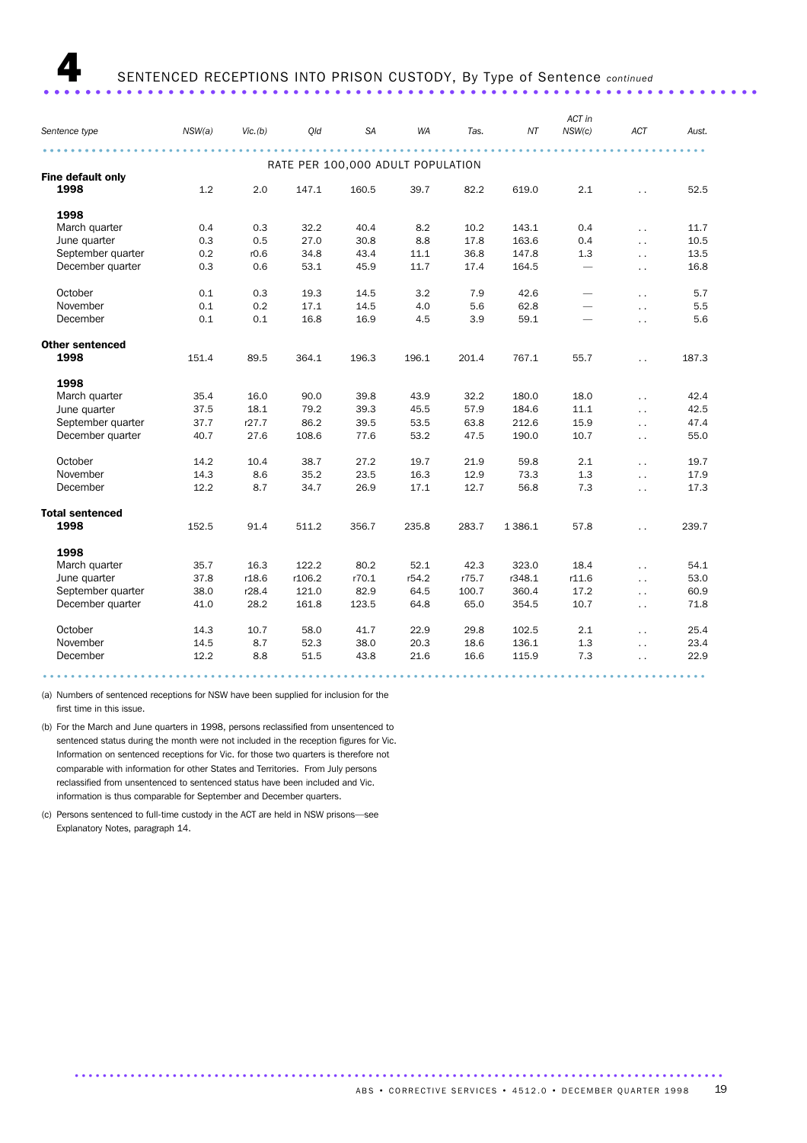**4** SENTENCED RECEPTIONS INTO PRISON CUSTODY, By Type of Sentence *continued* ..................................................................... .....

|                        |        |         |                                   |           |       |       |           | ACT in                   |                      |       |
|------------------------|--------|---------|-----------------------------------|-----------|-------|-------|-----------|--------------------------|----------------------|-------|
| Sentence type          | NSW(a) | Vic.(b) | Qld                               | <b>SA</b> | WA    | Tas.  | ΝT        | NSW(c)                   | ACT                  | Aust. |
|                        |        |         |                                   |           |       |       |           |                          |                      |       |
|                        |        |         | RATE PER 100,000 ADULT POPULATION |           |       |       |           |                          |                      |       |
| Fine default only      |        |         |                                   |           |       |       |           |                          |                      |       |
| 1998                   | 1.2    | 2.0     | 147.1                             | 160.5     | 39.7  | 82.2  | 619.0     | 2.1                      |                      | 52.5  |
| 1998                   |        |         |                                   |           |       |       |           |                          |                      |       |
| March quarter          | 0.4    | 0.3     | 32.2                              | 40.4      | 8.2   | 10.2  | 143.1     | 0.4                      | $\ddotsc$            | 11.7  |
| June quarter           | 0.3    | 0.5     | 27.0                              | 30.8      | 8.8   | 17.8  | 163.6     | 0.4                      | $\ddotsc$            | 10.5  |
| September quarter      | 0.2    | r0.6    | 34.8                              | 43.4      | 11.1  | 36.8  | 147.8     | 1.3                      | $\ddotsc$            | 13.5  |
| December quarter       | 0.3    | 0.6     | 53.1                              | 45.9      | 11.7  | 17.4  | 164.5     | $\overline{\phantom{0}}$ | $\ddot{\phantom{0}}$ | 16.8  |
| October                | 0.1    | 0.3     | 19.3                              | 14.5      | 3.2   | 7.9   | 42.6      |                          | $\ddot{\phantom{a}}$ | 5.7   |
| November               | 0.1    | 0.2     | 17.1                              | 14.5      | 4.0   | 5.6   | 62.8      | $\overline{\phantom{0}}$ | $\ddotsc$            | 5.5   |
| December               | 0.1    | 0.1     | 16.8                              | 16.9      | 4.5   | 3.9   | 59.1      |                          | $\ddotsc$            | 5.6   |
| <b>Other sentenced</b> |        |         |                                   |           |       |       |           |                          |                      |       |
| 1998                   | 151.4  | 89.5    | 364.1                             | 196.3     | 196.1 | 201.4 | 767.1     | 55.7                     | $\ddotsc$            | 187.3 |
| 1998                   |        |         |                                   |           |       |       |           |                          |                      |       |
| March quarter          | 35.4   | 16.0    | 90.0                              | 39.8      | 43.9  | 32.2  | 180.0     | 18.0                     | $\ddot{\phantom{a}}$ | 42.4  |
| June quarter           | 37.5   | 18.1    | 79.2                              | 39.3      | 45.5  | 57.9  | 184.6     | 11.1                     | $\ddotsc$            | 42.5  |
| September quarter      | 37.7   | r27.7   | 86.2                              | 39.5      | 53.5  | 63.8  | 212.6     | 15.9                     | $\ddotsc$            | 47.4  |
| December quarter       | 40.7   | 27.6    | 108.6                             | 77.6      | 53.2  | 47.5  | 190.0     | 10.7                     | $\ddotsc$            | 55.0  |
|                        |        |         |                                   |           |       |       |           |                          |                      |       |
| October                | 14.2   | 10.4    | 38.7                              | 27.2      | 19.7  | 21.9  | 59.8      | 2.1                      | $\ddotsc$            | 19.7  |
| November               | 14.3   | 8.6     | 35.2                              | 23.5      | 16.3  | 12.9  | 73.3      | 1.3                      | $\ddot{\phantom{a}}$ | 17.9  |
| December               | 12.2   | 8.7     | 34.7                              | 26.9      | 17.1  | 12.7  | 56.8      | 7.3                      | $\ddotsc$            | 17.3  |
| <b>Total sentenced</b> |        |         |                                   |           |       |       |           |                          |                      |       |
| 1998                   | 152.5  | 91.4    | 511.2                             | 356.7     | 235.8 | 283.7 | 1 3 8 6.1 | 57.8                     |                      | 239.7 |
| 1998                   |        |         |                                   |           |       |       |           |                          |                      |       |
| March quarter          | 35.7   | 16.3    | 122.2                             | 80.2      | 52.1  | 42.3  | 323.0     | 18.4                     | $\ddotsc$            | 54.1  |
| June quarter           | 37.8   | r18.6   | r106.2                            | r70.1     | r54.2 | r75.7 | r348.1    | r11.6                    | $\ddotsc$            | 53.0  |
| September quarter      | 38.0   | r28.4   | 121.0                             | 82.9      | 64.5  | 100.7 | 360.4     | 17.2                     | $\ddotsc$            | 60.9  |
| December quarter       | 41.0   | 28.2    | 161.8                             | 123.5     | 64.8  | 65.0  | 354.5     | 10.7                     | $\ddot{\phantom{a}}$ | 71.8  |
| October                | 14.3   | 10.7    | 58.0                              | 41.7      | 22.9  | 29.8  | 102.5     | 2.1                      | $\ddotsc$            | 25.4  |
| November               | 14.5   | 8.7     | 52.3                              | 38.0      | 20.3  | 18.6  | 136.1     | 1.3                      | $\ddotsc$            | 23.4  |
| December               | 12.2   | 8.8     | 51.5                              | 43.8      | 21.6  | 16.6  | 115.9     | 7.3                      | $\ddot{\phantom{a}}$ | 22.9  |
|                        |        |         |                                   |           |       |       |           |                          |                      |       |

(a) Numbers of sentenced receptions for NSW have been supplied for inclusion for the first time in this issue.

(b) For the March and June quarters in 1998, persons reclassified from unsentenced to sentenced status during the month were not included in the reception figures for Vic. Information on sentenced receptions for Vic. for those two quarters is therefore not comparable with information for other States and Territories. From July persons reclassified from unsentenced to sentenced status have been included and Vic. information is thus comparable for September and December quarters.

(c) Persons sentenced to full-time custody in the ACT are held in NSW prisons—see Explanatory Notes, paragraph 14.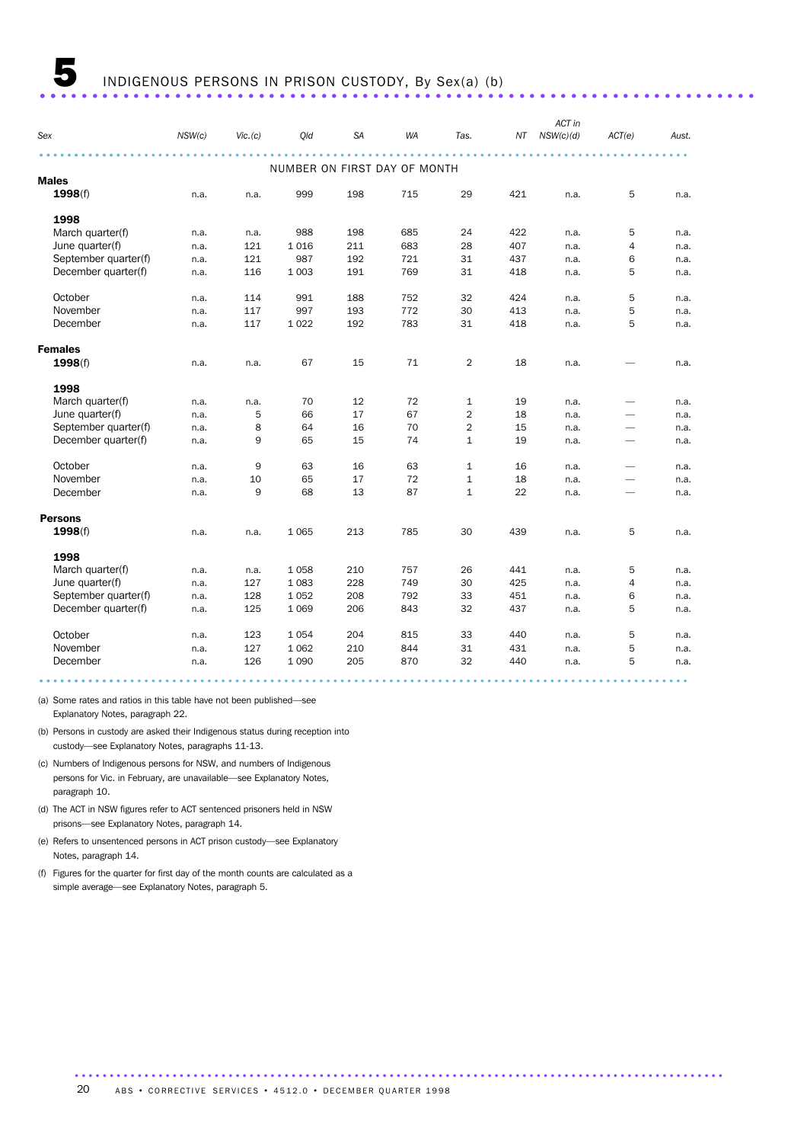|                      |        |          |                              |           |     |                |     | ACT in    |                          |       |
|----------------------|--------|----------|------------------------------|-----------|-----|----------------|-----|-----------|--------------------------|-------|
| Sex                  | NSW(c) | Vic. (c) | Qld                          | <b>SA</b> | WA  | Tas.           | ΝT  | NSW(c)(d) | ACT(e)                   | Aust. |
|                      |        |          |                              |           |     |                |     |           |                          |       |
| <b>Males</b>         |        |          | NUMBER ON FIRST DAY OF MONTH |           |     |                |     |           |                          |       |
|                      |        |          |                              |           |     |                |     |           |                          |       |
| 1998(f)              | n.a.   | n.a.     | 999                          | 198       | 715 | 29             | 421 | n.a.      | 5                        | n.a.  |
| 1998                 |        |          |                              |           |     |                |     |           |                          |       |
| March quarter(f)     | n.a.   | n.a.     | 988                          | 198       | 685 | 24             | 422 | n.a.      | 5                        | n.a.  |
| June quarter(f)      | n.a.   | 121      | 1 0 1 6                      | 211       | 683 | 28             | 407 | n.a.      | 4                        | n.a.  |
| September quarter(f) | n.a.   | 121      | 987                          | 192       | 721 | 31             | 437 | n.a.      | 6                        | n.a.  |
| December quarter(f)  | n.a.   | 116      | 1 0 0 3                      | 191       | 769 | 31             | 418 | n.a.      | 5                        | n.a.  |
| October              | n.a.   | 114      | 991                          | 188       | 752 | 32             | 424 | n.a.      | 5                        | n.a.  |
| November             | n.a.   | 117      | 997                          | 193       | 772 | 30             | 413 | n.a.      | 5                        | n.a.  |
| December             | n.a.   | 117      | 1 0 2 2                      | 192       | 783 | 31             | 418 | n.a.      | 5                        | n.a.  |
| <b>Females</b>       |        |          |                              |           |     |                |     |           |                          |       |
| 1998(f)              | n.a.   | n.a.     | 67                           | 15        | 71  | $\overline{2}$ | 18  | n.a.      |                          | n.a.  |
| 1998                 |        |          |                              |           |     |                |     |           |                          |       |
| March quarter(f)     | n.a.   | n.a.     | 70                           | 12        | 72  | $\mathbf{1}$   | 19  | n.a.      | $\overline{\phantom{0}}$ | n.a.  |
| June quarter(f)      | n.a.   | 5        | 66                           | 17        | 67  | $\overline{2}$ | 18  | n.a.      | -                        | n.a.  |
| September quarter(f) | n.a.   | 8        | 64                           | 16        | 70  | $\overline{2}$ | 15  | n.a.      | -                        | n.a.  |
| December quarter(f)  | n.a.   | 9        | 65                           | 15        | 74  | $\mathbf{1}$   | 19  | n.a.      |                          | n.a.  |
| October              | n.a.   | 9        | 63                           | 16        | 63  | $\mathbf{1}$   | 16  | n.a.      | $\overline{\phantom{0}}$ | n.a.  |
| November             | n.a.   | 10       | 65                           | 17        | 72  | $\mathbf{1}$   | 18  | n.a.      | $\overline{\phantom{0}}$ | n.a.  |
| December             | n.a.   | 9        | 68                           | 13        | 87  | $\mathbf{1}$   | 22  | n.a.      | -                        | n.a.  |
| <b>Persons</b>       |        |          |                              |           |     |                |     |           |                          |       |
| 1998(f)              | n.a.   | n.a.     | 1065                         | 213       | 785 | 30             | 439 | n.a.      | 5                        | n.a.  |
| 1998                 |        |          |                              |           |     |                |     |           |                          |       |
| March quarter(f)     | n.a.   | n.a.     | 1058                         | 210       | 757 | 26             | 441 | n.a.      | 5                        | n.a.  |
| June quarter(f)      | n.a.   | 127      | 1 0 8 3                      | 228       | 749 | 30             | 425 | n.a.      | 4                        | n.a.  |
| September quarter(f) | n.a.   | 128      | 1 0 5 2                      | 208       | 792 | 33             | 451 | n.a.      | 6                        | n.a.  |
| December quarter(f)  | n.a.   | 125      | 1 0 6 9                      | 206       | 843 | 32             | 437 | n.a.      | 5                        | n.a.  |
| October              | n.a.   | 123      | 1 0 5 4                      | 204       | 815 | 33             | 440 | n.a.      | 5                        | n.a.  |
| November             | n.a.   | 127      | 1 0 6 2                      | 210       | 844 | 31             | 431 | n.a.      | 5                        | n.a.  |
| December             | n.a.   | 126      | 1 0 9 0                      | 205       | 870 | 32             | 440 | n.a.      | 5                        | n.a.  |

(a) Some rates and ratios in this table have not been published—see Explanatory Notes, paragraph 22.

(b) Persons in custody are asked their Indigenous status during reception into custody—see Explanatory Notes, paragraphs 11-13.

(c) Numbers of Indigenous persons for NSW, and numbers of Indigenous persons for Vic. in February, are unavailable—see Explanatory Notes, paragraph 10.

(d) The ACT in NSW figures refer to ACT sentenced prisoners held in NSW prisons—see Explanatory Notes, paragraph 14.

(e) Refers to unsentenced persons in ACT prison custody—see Explanatory Notes, paragraph 14.

(f) Figures for the quarter for first day of the month counts are calculated as a simple average—see Explanatory Notes, paragraph 5.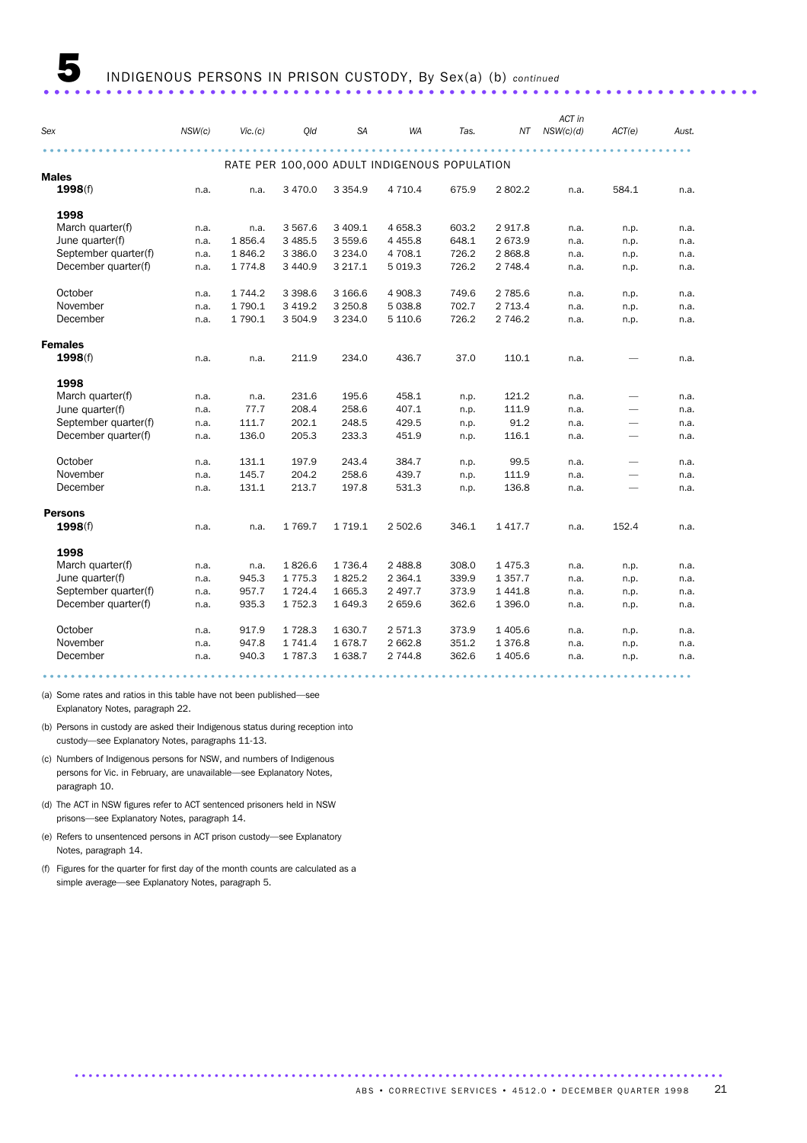|                      |        |           |             |             |                                              |       |             | ACT in    |                          |       |
|----------------------|--------|-----------|-------------|-------------|----------------------------------------------|-------|-------------|-----------|--------------------------|-------|
| Sex                  | NSW(c) | Vic. (c)  | Qld         | <b>SA</b>   | WA                                           | Tas.  | ΝT          | NSW(c)(d) | ACT(e)                   | Aust. |
|                      |        |           |             |             |                                              |       |             |           |                          |       |
| <b>Males</b>         |        |           |             |             | RATE PER 100,000 ADULT INDIGENOUS POPULATION |       |             |           |                          |       |
| 1998(f)              | n.a.   | n.a.      | 3 4 7 0.0   | 3 3 5 4 .9  | 4 7 1 0.4                                    | 675.9 | 2802.2      | n.a.      | 584.1                    | n.a.  |
| 1998                 |        |           |             |             |                                              |       |             |           |                          |       |
| March quarter(f)     | n.a.   | n.a.      | 3 567.6     | 3 409.1     | 4 6 5 8.3                                    | 603.2 | 2917.8      | n.a.      | n.p.                     | n.a.  |
| June quarter(f)      | n.a.   | 1856.4    | 3 4 8 5.5   | 3 559.6     | 4 4 5 5.8                                    | 648.1 | 2 673.9     | n.a.      | n.p.                     | n.a.  |
| September quarter(f) | n.a.   | 1846.2    | 3 3 8 6.0   | 3 2 3 4 . 0 | 4 708.1                                      | 726.2 | 2868.8      | n.a.      | n.p.                     | n.a.  |
| December quarter(f)  | n.a.   | 1 7 7 4.8 | 3 4 4 0.9   | 3 2 1 7 . 1 | 5 0 1 9.3                                    | 726.2 | 2 748.4     | n.a.      | n.p.                     | n.a.  |
| October              | n.a.   | 1 7 4 4.2 | 3 3 9 8.6   | 3 166.6     | 4 908.3                                      | 749.6 | 2 785.6     | n.a.      | n.p.                     | n.a.  |
| November             | n.a.   | 1 790.1   | 3 4 1 9.2   | 3 2 5 0.8   | 5 0 38.8                                     | 702.7 | 2 7 1 3.4   | n.a.      | n.p.                     | n.a.  |
| December             | n.a.   | 1 790.1   | 3 504.9     | 3 2 3 4 .0  | 5 110.6                                      | 726.2 | 2 746.2     | n.a.      | n.p.                     | n.a.  |
| <b>Females</b>       |        |           |             |             |                                              |       |             |           |                          |       |
| 1998(f)              | n.a.   | n.a.      | 211.9       | 234.0       | 436.7                                        | 37.0  | 110.1       | n.a.      |                          | n.a.  |
| 1998                 |        |           |             |             |                                              |       |             |           |                          |       |
| March quarter(f)     | n.a.   | n.a.      | 231.6       | 195.6       | 458.1                                        | n.p.  | 121.2       | n.a.      | $\overline{\phantom{0}}$ | n.a.  |
| June quarter(f)      | n.a.   | 77.7      | 208.4       | 258.6       | 407.1                                        | n.p.  | 111.9       | n.a.      | $\overline{\phantom{0}}$ | n.a.  |
| September quarter(f) | n.a.   | 111.7     | 202.1       | 248.5       | 429.5                                        | n.p.  | 91.2        | n.a.      |                          | n.a.  |
| December quarter(f)  | n.a.   | 136.0     | 205.3       | 233.3       | 451.9                                        | n.p.  | 116.1       | n.a.      |                          | n.a.  |
| October              | n.a.   | 131.1     | 197.9       | 243.4       | 384.7                                        | n.p.  | 99.5        | n.a.      | $\overline{\phantom{0}}$ | n.a.  |
| November             | n.a.   | 145.7     | 204.2       | 258.6       | 439.7                                        | n.p.  | 111.9       | n.a.      | $\overline{\phantom{0}}$ | n.a.  |
| December             | n.a.   | 131.1     | 213.7       | 197.8       | 531.3                                        | n.p.  | 136.8       | n.a.      |                          | n.a.  |
| <b>Persons</b>       |        |           |             |             |                                              |       |             |           |                          |       |
| 1998(f)              | n.a.   | n.a.      | 1769.7      | 1 7 1 9.1   | 2 502.6                                      | 346.1 | 1 4 1 7 . 7 | n.a.      | 152.4                    | n.a.  |
| 1998                 |        |           |             |             |                                              |       |             |           |                          |       |
| March quarter(f)     | n.a.   | n.a.      | 1826.6      | 1 7 3 6.4   | 2 488.8                                      | 308.0 | 1 475.3     | n.a.      | n.p.                     | n.a.  |
| June quarter(f)      | n.a.   | 945.3     | 1 7 7 5 . 3 | 1825.2      | 2 3 6 4 . 1                                  | 339.9 | 1 3 5 7 . 7 | n.a.      | n.p.                     | n.a.  |
| September quarter(f) | n.a.   | 957.7     | 1 7 2 4 . 4 | 1 665.3     | 2 497.7                                      | 373.9 | 1 4 4 1.8   | n.a.      | n.p.                     | n.a.  |
| December quarter(f)  | n.a.   | 935.3     | 1752.3      | 1 649.3     | 2 659.6                                      | 362.6 | 1 396.0     | n.a.      | n.p.                     | n.a.  |
| October              | n.a.   | 917.9     | 1728.3      | 1 630.7     | 2 571.3                                      | 373.9 | 1 405.6     | n.a.      | n.p.                     | n.a.  |
| November             | n.a.   | 947.8     | 1 741.4     | 1678.7      | 2 662.8                                      | 351.2 | 1 376.8     | n.a.      | n.p.                     | n.a.  |
| December             | n.a.   | 940.3     | 1787.3      | 1638.7      | 2 744.8                                      | 362.6 | 1 405.6     | n.a.      | n.p.                     | n.a.  |

(a) Some rates and ratios in this table have not been published—see Explanatory Notes, paragraph 22.

(b) Persons in custody are asked their Indigenous status during reception into custody—see Explanatory Notes, paragraphs 11-13.

(c) Numbers of Indigenous persons for NSW, and numbers of Indigenous persons for Vic. in February, are unavailable—see Explanatory Notes, paragraph 10.

(d) The ACT in NSW figures refer to ACT sentenced prisoners held in NSW prisons—see Explanatory Notes, paragraph 14.

(e) Refers to unsentenced persons in ACT prison custody—see Explanatory Notes, paragraph 14.

(f) Figures for the quarter for first day of the month counts are calculated as a simple average—see Explanatory Notes, paragraph 5.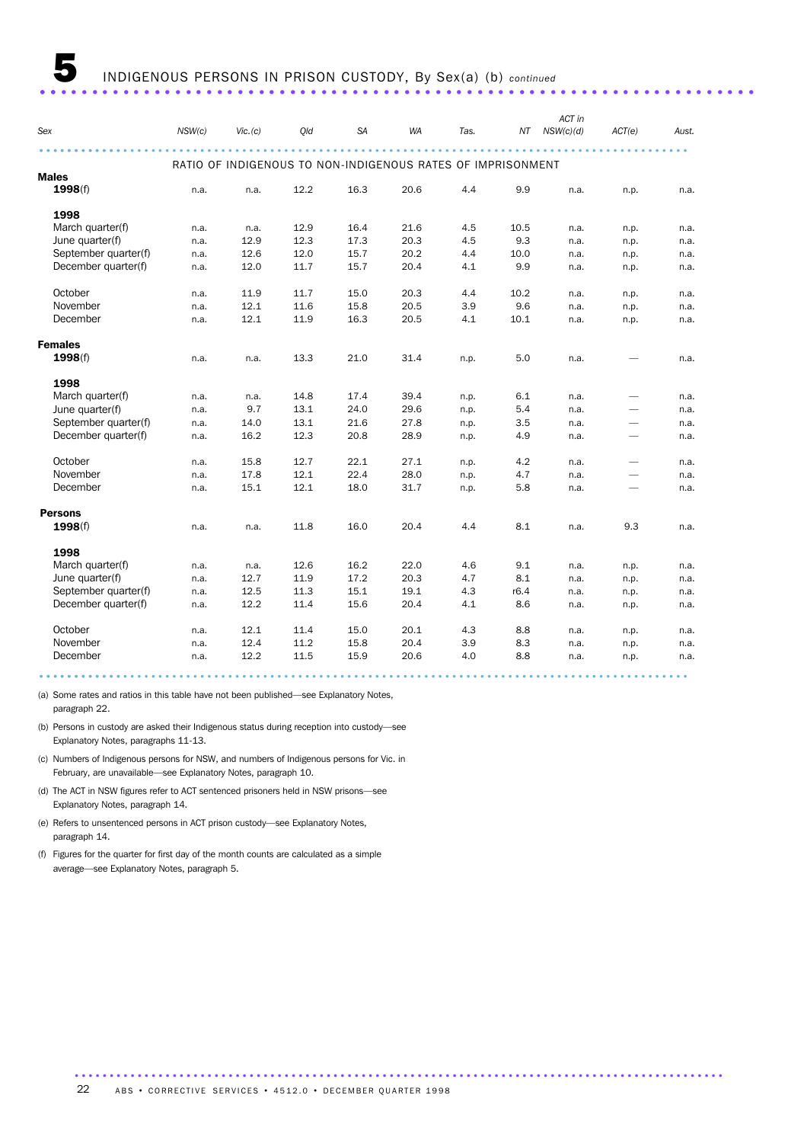| Sex                  | NSW(c) | Vic. (c)                                                    | Qld  | <b>SA</b> | WA   | Tas. | NΤ   | ACT in<br>NSW(c)(d) | ACT(e)                   | Aust. |
|----------------------|--------|-------------------------------------------------------------|------|-----------|------|------|------|---------------------|--------------------------|-------|
|                      |        | RATIO OF INDIGENOUS TO NON-INDIGENOUS RATES OF IMPRISONMENT |      |           |      |      |      |                     |                          |       |
| <b>Males</b>         |        |                                                             |      |           |      |      |      |                     |                          |       |
| 1998(f)              | n.a.   | n.a.                                                        | 12.2 | 16.3      | 20.6 | 4.4  | 9.9  | n.a.                | n.p.                     | n.a.  |
| 1998                 |        |                                                             |      |           |      |      |      |                     |                          |       |
| March quarter(f)     | n.a.   | n.a.                                                        | 12.9 | 16.4      | 21.6 | 4.5  | 10.5 | n.a.                | n.p.                     | n.a.  |
| June quarter(f)      | n.a.   | 12.9                                                        | 12.3 | 17.3      | 20.3 | 4.5  | 9.3  | n.a.                | n.p.                     | n.a.  |
| September quarter(f) | n.a.   | 12.6                                                        | 12.0 | 15.7      | 20.2 | 4.4  | 10.0 | n.a.                | n.p.                     | n.a.  |
| December quarter(f)  | n.a.   | 12.0                                                        | 11.7 | 15.7      | 20.4 | 4.1  | 9.9  | n.a.                | n.p.                     | n.a.  |
| October              | n.a.   | 11.9                                                        | 11.7 | 15.0      | 20.3 | 4.4  | 10.2 | n.a.                | n.p.                     | n.a.  |
| November             | n.a.   | 12.1                                                        | 11.6 | 15.8      | 20.5 | 3.9  | 9.6  | n.a.                | n.p.                     | n.a.  |
| December             | n.a.   | 12.1                                                        | 11.9 | 16.3      | 20.5 | 4.1  | 10.1 | n.a.                | n.p.                     | n.a.  |
| <b>Females</b>       |        |                                                             |      |           |      |      |      |                     |                          |       |
| 1998(f)              | n.a.   | n.a.                                                        | 13.3 | 21.0      | 31.4 | n.p. | 5.0  | n.a.                |                          | n.a.  |
| 1998                 |        |                                                             |      |           |      |      |      |                     |                          |       |
| March quarter(f)     | n.a.   | n.a.                                                        | 14.8 | 17.4      | 39.4 | n.p. | 6.1  | n.a.                |                          | n.a.  |
| June quarter(f)      | n.a.   | 9.7                                                         | 13.1 | 24.0      | 29.6 | n.p. | 5.4  | n.a.                | $\overline{\phantom{0}}$ | n.a.  |
| September quarter(f) | n.a.   | 14.0                                                        | 13.1 | 21.6      | 27.8 | n.p. | 3.5  | n.a.                | $\overline{\phantom{0}}$ | n.a.  |
| December quarter(f)  | n.a.   | 16.2                                                        | 12.3 | 20.8      | 28.9 | n.p. | 4.9  | n.a.                | $\overline{\phantom{0}}$ | n.a.  |
| October              | n.a.   | 15.8                                                        | 12.7 | 22.1      | 27.1 | n.p. | 4.2  | n.a.                | $\overline{\phantom{0}}$ | n.a.  |
| November             | n.a.   | 17.8                                                        | 12.1 | 22.4      | 28.0 | n.p. | 4.7  | n.a.                |                          | n.a.  |
| December             | n.a.   | 15.1                                                        | 12.1 | 18.0      | 31.7 | n.p. | 5.8  | n.a.                |                          | n.a.  |
| <b>Persons</b>       |        |                                                             |      |           |      |      |      |                     |                          |       |
| 1998(f)              | n.a.   | n.a.                                                        | 11.8 | 16.0      | 20.4 | 4.4  | 8.1  | n.a.                | 9.3                      | n.a.  |
| 1998                 |        |                                                             |      |           |      |      |      |                     |                          |       |
| March quarter(f)     | n.a.   | n.a.                                                        | 12.6 | 16.2      | 22.0 | 4.6  | 9.1  | n.a.                | n.p.                     | n.a.  |
| June quarter(f)      | n.a.   | 12.7                                                        | 11.9 | 17.2      | 20.3 | 4.7  | 8.1  | n.a.                | n.p.                     | n.a.  |
| September quarter(f) | n.a.   | 12.5                                                        | 11.3 | 15.1      | 19.1 | 4.3  | r6.4 | n.a.                | n.p.                     | n.a.  |
| December quarter(f)  | n.a.   | 12.2                                                        | 11.4 | 15.6      | 20.4 | 4.1  | 8.6  | n.a.                | n.p.                     | n.a.  |
| October              | n.a.   | 12.1                                                        | 11.4 | 15.0      | 20.1 | 4.3  | 8.8  | n.a.                | n.p.                     | n.a.  |
| November             | n.a.   | 12.4                                                        | 11.2 | 15.8      | 20.4 | 3.9  | 8.3  | n.a.                | n.p.                     | n.a.  |
| December             | n.a.   | 12.2                                                        | 11.5 | 15.9      | 20.6 | 4.0  | 8.8  | n.a.                | n.p.                     | n.a.  |

(a) Some rates and ratios in this table have not been published—see Explanatory Notes, paragraph 22.

(b) Persons in custody are asked their Indigenous status during reception into custody—see Explanatory Notes, paragraphs 11-13.

(c) Numbers of Indigenous persons for NSW, and numbers of Indigenous persons for Vic. in February, are unavailable—see Explanatory Notes, paragraph 10.

(d) The ACT in NSW figures refer to ACT sentenced prisoners held in NSW prisons—see Explanatory Notes, paragraph 14.

(e) Refers to unsentenced persons in ACT prison custody—see Explanatory Notes, paragraph 14.

(f) Figures for the quarter for first day of the month counts are calculated as a simple average—see Explanatory Notes, paragraph 5.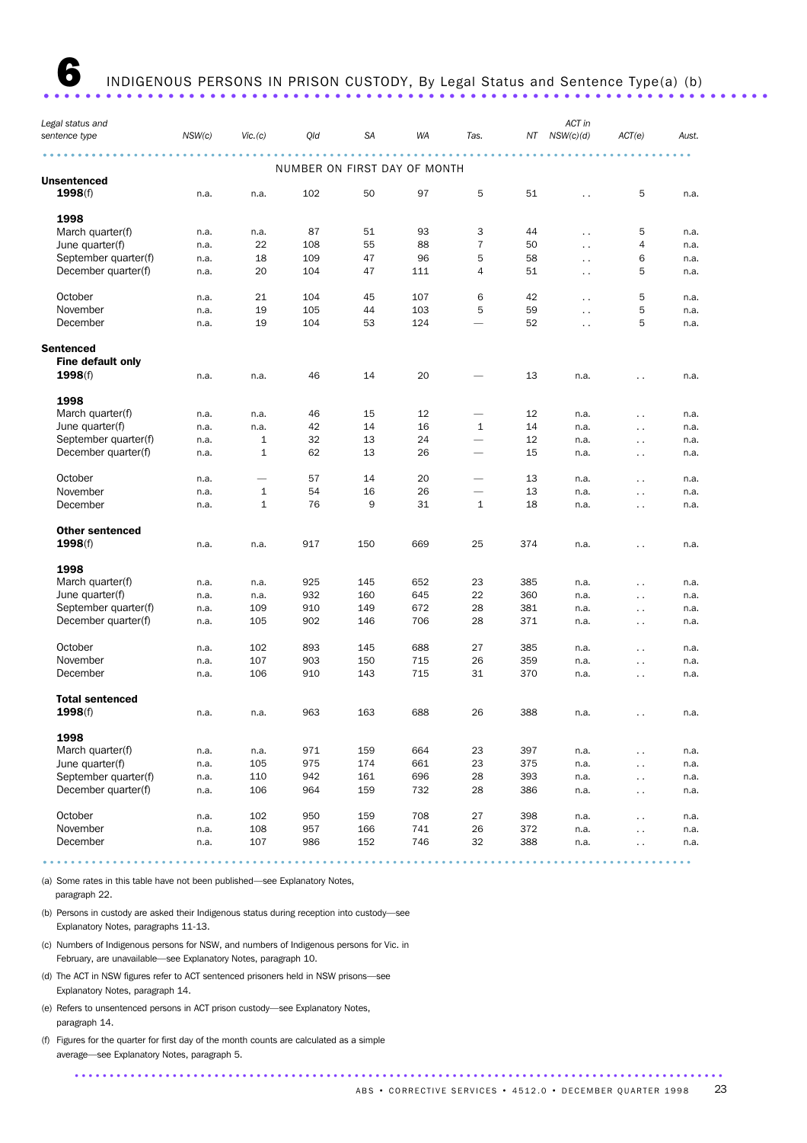INDIGENOUS PERSONS IN PRISON CUSTODY, By Legal Status and Sentence Type(a) (b)

|                                   |        |               |                              |           |     |                          |     | ACT in               |                      |       |
|-----------------------------------|--------|---------------|------------------------------|-----------|-----|--------------------------|-----|----------------------|----------------------|-------|
| Legal status and<br>sentence type | NSW(c) | $V$ ic. $(c)$ | Qld                          | <b>SA</b> | WA  | Tas.                     | NΤ  | NSW(c)(d)            | ACT(e)               | Aust. |
|                                   |        |               | NUMBER ON FIRST DAY OF MONTH |           |     |                          |     |                      |                      |       |
| <b>Unsentenced</b>                |        |               |                              |           |     |                          |     |                      |                      |       |
| 1998(f)                           | n.a.   | n.a.          | 102                          | 50        | 97  | 5                        | 51  | $\ddot{\phantom{0}}$ | 5                    | n.a.  |
| 1998                              |        |               |                              |           |     |                          |     |                      |                      |       |
| March quarter(f)                  | n.a.   | n.a.          | 87                           | 51        | 93  | 3                        | 44  | $\ddot{\phantom{0}}$ | 5                    | n.a.  |
| June quarter(f)                   | n.a.   | 22            | 108                          | 55        | 88  | $\overline{7}$           | 50  | $\ddotsc$            | 4                    | n.a.  |
| September quarter(f)              | n.a.   | 18            | 109                          | 47        | 96  | 5                        | 58  | $\ddot{\phantom{0}}$ | 6                    | n.a.  |
| December quarter(f)               | n.a.   | 20            | 104                          | 47        | 111 | $\overline{4}$           | 51  | $\sim$               | 5                    | n.a.  |
| October                           | n.a.   | 21            | 104                          | 45        | 107 | 6                        | 42  | $\ddot{\phantom{0}}$ | 5                    | n.a.  |
| November                          | n.a.   | 19            | 105                          | 44        | 103 | 5                        | 59  | $\ddotsc$            | 5                    | n.a.  |
| December                          | n.a.   | 19            | 104                          | 53        | 124 | $\overline{\phantom{0}}$ | 52  | $\ddot{\phantom{0}}$ | 5                    | n.a.  |
| <b>Sentenced</b>                  |        |               |                              |           |     |                          |     |                      |                      |       |
| Fine default only                 |        |               |                              |           |     |                          |     |                      |                      |       |
| 1998(f)                           | n.a.   | n.a.          | 46                           | 14        | 20  |                          | 13  | n.a.                 | $\ddot{\phantom{0}}$ | n.a.  |
| 1998                              |        |               |                              |           |     |                          |     |                      |                      |       |
| March quarter(f)                  | n.a.   | n.a.          | 46                           | 15        | 12  | $\overline{\phantom{0}}$ | 12  | n.a.                 | $\ddot{\phantom{0}}$ | n.a.  |
| June quarter(f)                   | n.a.   | n.a.          | 42                           | 14        | 16  | 1                        | 14  | n.a.                 | $\ddotsc$            | n.a.  |
| September quarter(f)              | n.a.   | $\mathbf 1$   | 32                           | 13        | 24  | $\overline{\phantom{0}}$ | 12  | n.a.                 | $\sim$ .             | n.a.  |
| December quarter(f)               | n.a.   | 1             | 62                           | 13        | 26  | $\overline{\phantom{0}}$ | 15  | n.a.                 | $\ddotsc$            | n.a.  |
| October                           | n.a.   |               | 57                           | 14        | 20  |                          | 13  | n.a.                 | $\ddotsc$            | n.a.  |
| November                          | n.a.   | $\mathbf{1}$  | 54                           | 16        | 26  | $\overline{\phantom{0}}$ | 13  | n.a.                 | $\ddot{\phantom{0}}$ | n.a.  |
| December                          | n.a.   | $\mathbf{1}$  | 76                           | 9         | 31  | $\mathbf{1}$             | 18  | n.a.                 | $\ddotsc$            | n.a.  |
| <b>Other sentenced</b>            |        |               |                              |           |     |                          |     |                      |                      |       |
| 1998(f)                           | n.a.   | n.a.          | 917                          | 150       | 669 | 25                       | 374 | n.a.                 | $\ddotsc$            | n.a.  |
| 1998                              |        |               |                              |           |     |                          |     |                      |                      |       |
| March quarter(f)                  | n.a.   | n.a.          | 925                          | 145       | 652 | 23                       | 385 | n.a.                 | $\ddotsc$            | n.a.  |
| June quarter(f)                   | n.a.   | n.a.          | 932                          | 160       | 645 | 22                       | 360 | n.a.                 | $\ddot{\phantom{0}}$ | n.a.  |
| September quarter(f)              | n.a.   | 109           | 910                          | 149       | 672 | 28                       | 381 | n.a.                 | $\ddotsc$            | n.a.  |
| December quarter(f)               | n.a.   | 105           | 902                          | 146       | 706 | 28                       | 371 | n.a.                 | $\ddot{\phantom{0}}$ | n.a.  |
| October                           | n.a.   | 102           | 893                          | 145       | 688 | 27                       | 385 | n.a.                 | $\ddot{\phantom{a}}$ | n.a.  |
| November                          | n.a.   | 107           | 903                          | 150       | 715 | 26                       | 359 | n.a.                 | $\ddotsc$            | n.a.  |
| December                          | n.a.   | 106           | 910                          | 143       | 715 | 31                       | 370 | n.a.                 | $\sim$               | n.a.  |
| <b>Total sentenced</b>            |        |               |                              |           |     |                          |     |                      |                      |       |
| 1998(f)                           | n.a.   | n.a.          | 963                          | 163       | 688 | 26                       | 388 | n.a.                 | $\ddot{\phantom{0}}$ | n.a.  |
| 1998                              |        |               |                              |           |     |                          |     |                      |                      |       |
| March quarter(f)                  | n.a.   | n.a.          | 971                          | 159       | 664 | 23                       | 397 | n.a.                 | $\ddot{\phantom{0}}$ | n.a.  |
| June quarter(f)                   | n.a.   | 105           | 975                          | 174       | 661 | 23                       | 375 | n.a.                 | . .                  | n.a.  |
| September quarter(f)              | n.a.   | 110           | 942                          | 161       | 696 | 28                       | 393 | n.a.                 | $\ddot{\phantom{0}}$ | n.a.  |
| December quarter(f)               | n.a.   | 106           | 964                          | 159       | 732 | 28                       | 386 | n.a.                 | $\sim$               | n.a.  |
| October                           | n.a.   | 102           | 950                          | 159       | 708 | 27                       | 398 | n.a.                 | $\ddot{\phantom{0}}$ | n.a.  |
| November                          | n.a.   | 108           | 957                          | 166       | 741 | 26                       | 372 | n.a.                 | . .                  | n.a.  |
| December                          | n.a.   | 107           | 986                          | 152       | 746 | 32                       | 388 | n.a.                 |                      | n.a.  |

(a) Some rates in this table have not been published—see Explanatory Notes, paragraph 22.

(b) Persons in custody are asked their Indigenous status during reception into custody—see Explanatory Notes, paragraphs 11-13.

- (c) Numbers of Indigenous persons for NSW, and numbers of Indigenous persons for Vic. in February, are unavailable—see Explanatory Notes, paragraph 10.
- (d) The ACT in NSW figures refer to ACT sentenced prisoners held in NSW prisons—see Explanatory Notes, paragraph 14.
- (e) Refers to unsentenced persons in ACT prison custody—see Explanatory Notes, paragraph 14.
- (f) Figures for the quarter for first day of the month counts are calculated as a simple average—see Explanatory Notes, paragraph 5.

............................................................................................. ABS • CORRECTIVE SERVICES • 4512.0 • DECEMBER QUARTER 1998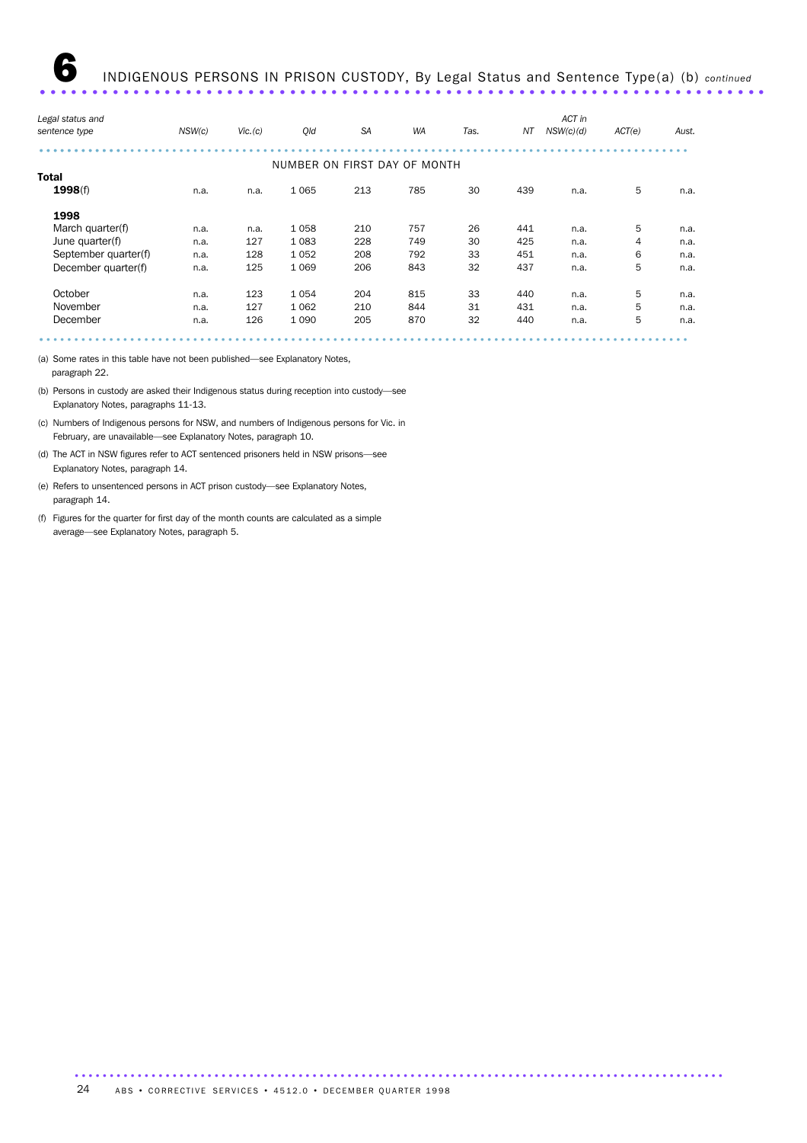| Legal status and     |        |         |                              |           |           |      |     | ACT in    |        |       |
|----------------------|--------|---------|------------------------------|-----------|-----------|------|-----|-----------|--------|-------|
| sentence type        | NSW(c) | Vic.(c) | Qld                          | <b>SA</b> | <b>WA</b> | Tas. | NΤ  | NSW(c)(d) | ACT(e) | Aust. |
|                      |        |         | NUMBER ON FIRST DAY OF MONTH |           |           |      |     |           |        |       |
| <b>Total</b>         |        |         |                              |           |           |      |     |           |        |       |
| 1998(f)              | n.a.   | n.a.    | 1065                         | 213       | 785       | 30   | 439 | n.a.      | 5      | n.a.  |
| 1998                 |        |         |                              |           |           |      |     |           |        |       |
| March quarter(f)     | n.a.   | n.a.    | 1058                         | 210       | 757       | 26   | 441 | n.a.      | 5      | n.a.  |
| June quarter(f)      | n.a.   | 127     | 1083                         | 228       | 749       | 30   | 425 | n.a.      | 4      | n.a.  |
| September quarter(f) | n.a.   | 128     | 1052                         | 208       | 792       | 33   | 451 | n.a.      | 6      | n.a.  |
| December quarter(f)  | n.a.   | 125     | 1 0 6 9                      | 206       | 843       | 32   | 437 | n.a.      | 5      | n.a.  |
| October              | n.a.   | 123     | 1054                         | 204       | 815       | 33   | 440 | n.a.      | 5      | n.a.  |
| November             | n.a.   | 127     | 1062                         | 210       | 844       | 31   | 431 | n.a.      | 5      | n.a.  |
| December             | n.a.   | 126     | 1 0 9 0                      | 205       | 870       | 32   | 440 | n.a.      | 5      | n.a.  |
|                      |        |         |                              |           |           |      |     |           |        |       |
|                      |        |         |                              |           |           |      |     |           |        |       |

(a) Some rates in this table have not been published—see Explanatory Notes, paragraph 22.

(b) Persons in custody are asked their Indigenous status during reception into custody—see Explanatory Notes, paragraphs 11-13.

(c) Numbers of Indigenous persons for NSW, and numbers of Indigenous persons for Vic. in February, are unavailable—see Explanatory Notes, paragraph 10.

(d) The ACT in NSW figures refer to ACT sentenced prisoners held in NSW prisons—see Explanatory Notes, paragraph 14.

(e) Refers to unsentenced persons in ACT prison custody—see Explanatory Notes, paragraph 14.

(f) Figures for the quarter for first day of the month counts are calculated as a simple average—see Explanatory Notes, paragraph 5.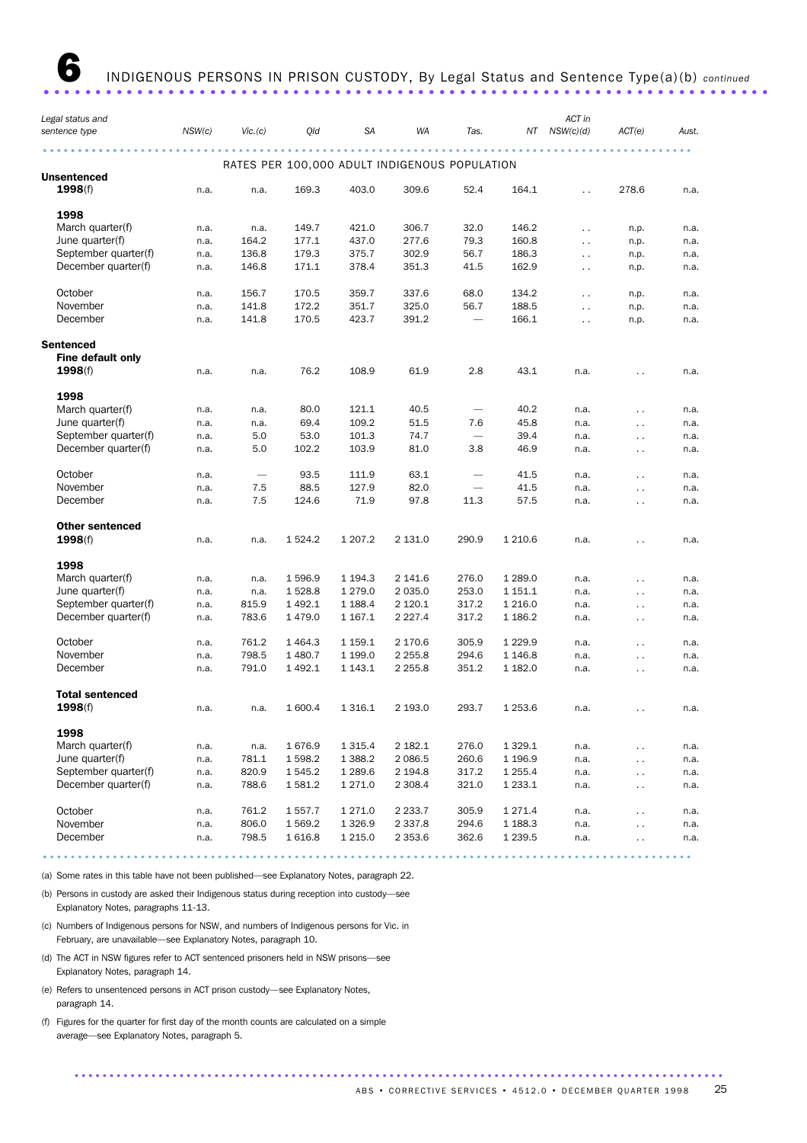| RATES PER 100,000 ADULT INDIGENOUS POPULATION<br>Unsentenced<br>1998(f)<br>52.4<br>169.3<br>403.0<br>309.6<br>164.1<br>278.6<br>n.a.<br>n.a.<br>$\ddot{\phantom{0}}$<br>1998<br>March quarter(f)<br>149.7<br>421.0<br>306.7<br>32.0<br>146.2<br>n.a.<br>n.a.<br>n.p.<br>$\ddotsc$<br>June quarter(f)<br>277.6<br>164.2<br>177.1<br>437.0<br>79.3<br>160.8<br>n.a.<br>$\ddotsc$<br>n.p.<br>September quarter(f)<br>136.8<br>179.3<br>375.7<br>302.9<br>56.7<br>186.3<br>n.a.<br>n.p.<br>$\ddot{\phantom{0}}$<br>378.4<br>162.9<br>December quarter(f)<br>146.8<br>171.1<br>351.3<br>41.5<br>n.a.<br>n.p.<br>$\ddot{\phantom{0}}$<br>October<br>68.0<br>156.7<br>170.5<br>359.7<br>337.6<br>134.2<br>n.a.<br>n.p.<br>$\ddot{\phantom{a}}$<br>November<br>351.7<br>325.0<br>188.5<br>141.8<br>172.2<br>56.7<br>n.a.<br>n.p.<br>$\ddotsc$<br>December<br>423.7<br>141.8<br>170.5<br>391.2<br>166.1<br>$\overline{\phantom{0}}$<br>n.a.<br>$\ddotsc$<br>n.p.<br>Sentenced<br>Fine default only<br>2.8<br>1998(f)<br>76.2<br>108.9<br>61.9<br>43.1<br>n.a.<br>n.a.<br>n.a.<br>. .<br>1998<br>March quarter(f)<br>80.0<br>121.1<br>40.5<br>40.2<br>n.a.<br>n.a.<br>n.a.<br>$\ddot{\phantom{0}}$<br>June quarter(f)<br>109.2<br>69.4<br>51.5<br>7.6<br>45.8<br>n.a.<br>n.a.<br>n.a.<br>$\ddot{\phantom{0}}$<br>September quarter(f)<br>53.0<br>101.3<br>74.7<br>39.4<br>5.0<br>n.a.<br>n.a.<br>$\ddot{\phantom{0}}$<br>December quarter(f)<br>5.0<br>102.2<br>103.9<br>81.0<br>3.8<br>46.9<br>n.a.<br>n.a.<br>$\sim$ $\sim$<br>October<br>63.1<br>93.5<br>111.9<br>41.5<br>n.a.<br>n.a.<br>$\ddotsc$<br>November<br>82.0<br>7.5<br>88.5<br>127.9<br>41.5<br>n.a.<br>$\overbrace{\phantom{1232211}}$<br>n.a.<br>$\ddot{\phantom{0}}$<br>December<br>7.5<br>71.9<br>97.8<br>57.5<br>124.6<br>11.3<br>n.a.<br>n.a.<br>$\ddot{\phantom{0}}$<br><b>Other sentenced</b><br>1 207.2<br>2 131.0<br>1998(f)<br>1 5 2 4 . 2<br>290.9<br>1 2 1 0.6<br>n.a.<br>n.a.<br>n.a.<br>$\ddot{\phantom{0}}$<br>1998<br>March quarter(f)<br>1 289.0<br>1 596.9<br>1 194.3<br>2 141.6<br>276.0<br>n.a.<br>n.a.<br>n.a.<br>$\ddot{\phantom{0}}$<br>253.0<br>June quarter(f)<br>1 5 28.8<br>1 279.0<br>2 0 3 5 .0<br>1 151.1<br>n.a.<br>n.a.<br>n.a.<br>$\ddot{\phantom{0}}$<br>September quarter(f)<br>815.9<br>1 4 9 2.1<br>1 1 88.4<br>2 120.1<br>317.2<br>1 2 1 6 .0<br>n.a.<br>n.a.<br>$\ddotsc$<br>December quarter(f)<br>783.6<br>1 167.1<br>2 2 2 7 . 4<br>317.2<br>1 186.2<br>1479.0<br>n.a.<br>n.a.<br>$\ddot{\phantom{0}}$<br>October<br>761.2<br>1 4 6 4 . 3<br>1 159.1<br>2 170.6<br>305.9<br>1 2 2 9.9<br>n.a.<br>n.a.<br>$\ddot{\phantom{0}}$<br>November<br>798.5<br>1 480.7<br>1 199.0<br>2 2 5 5.8<br>294.6<br>1 1 4 6 .8<br>n.a.<br>n.a.<br>$\sim$ $\sim$<br>December<br>791.0<br>1 4 9 2.1<br>2 2 5 5.8<br>351.2<br>1 143.1<br>1 182.0<br>n.a.<br>n.a.<br>$\sim$ $\sim$<br><b>Total sentenced</b><br>1998(f)<br>1 600.4<br>1 3 1 6 . 1<br>2 193.0<br>293.7<br>1 2 5 3.6<br>n.a.<br>n.a.<br>n.a.<br>. .<br>1998<br>1 3 1 5 .4<br>2 182.1<br>276.0<br>1 3 2 9 . 1<br>March quarter(f)<br>1676.9<br>n.a.<br>n.a.<br>n.a.<br>$\sim$<br>June quarter(f)<br>1598.2<br>1 3 8 8.2<br>2 086.5<br>1 1 9 6.9<br>781.1<br>260.6<br>n.a.<br>n.a.<br>. .<br>September quarter(f)<br>820.9<br>1545.2<br>1 289.6<br>2 194.8<br>317.2<br>1 2 5 5.4<br>n.a.<br>n.a.<br>. .<br>December quarter(f)<br>1581.2<br>1 271.0<br>2 3 0 8.4<br>321.0<br>1 2 3 3.1<br>788.6<br>n.a.<br>n.a.<br>$\ddot{\phantom{0}}$<br>October<br>2 2 3 3.7<br>305.9<br>1 271.4<br>761.2<br>1 557.7<br>1 271.0<br>n.a.<br>n.a.<br>$\sim$ | Legal status and<br>sentence type | NSW(c) | $V$ ic. $(c)$ | Qld    | <b>SA</b> | WA         | Tas.  | NΤ        | ACT in<br>NSW(c)(d) | ACT(e)                 | Aust. |
|-----------------------------------------------------------------------------------------------------------------------------------------------------------------------------------------------------------------------------------------------------------------------------------------------------------------------------------------------------------------------------------------------------------------------------------------------------------------------------------------------------------------------------------------------------------------------------------------------------------------------------------------------------------------------------------------------------------------------------------------------------------------------------------------------------------------------------------------------------------------------------------------------------------------------------------------------------------------------------------------------------------------------------------------------------------------------------------------------------------------------------------------------------------------------------------------------------------------------------------------------------------------------------------------------------------------------------------------------------------------------------------------------------------------------------------------------------------------------------------------------------------------------------------------------------------------------------------------------------------------------------------------------------------------------------------------------------------------------------------------------------------------------------------------------------------------------------------------------------------------------------------------------------------------------------------------------------------------------------------------------------------------------------------------------------------------------------------------------------------------------------------------------------------------------------------------------------------------------------------------------------------------------------------------------------------------------------------------------------------------------------------------------------------------------------------------------------------------------------------------------------------------------------------------------------------------------------------------------------------------------------------------------------------------------------------------------------------------------------------------------------------------------------------------------------------------------------------------------------------------------------------------------------------------------------------------------------------------------------------------------------------------------------------------------------------------------------------------------------------------------------------------------------------------------------------------------------------------------------------------------------------------------------------------------------------------------------------------------------------------------------------------------------------------------------------------------------------------------------------------------------------------------------------------------------------------------------------|-----------------------------------|--------|---------------|--------|-----------|------------|-------|-----------|---------------------|------------------------|-------|
|                                                                                                                                                                                                                                                                                                                                                                                                                                                                                                                                                                                                                                                                                                                                                                                                                                                                                                                                                                                                                                                                                                                                                                                                                                                                                                                                                                                                                                                                                                                                                                                                                                                                                                                                                                                                                                                                                                                                                                                                                                                                                                                                                                                                                                                                                                                                                                                                                                                                                                                                                                                                                                                                                                                                                                                                                                                                                                                                                                                                                                                                                                                                                                                                                                                                                                                                                                                                                                                                                                                                                                                   |                                   |        |               |        |           |            |       |           |                     |                        |       |
|                                                                                                                                                                                                                                                                                                                                                                                                                                                                                                                                                                                                                                                                                                                                                                                                                                                                                                                                                                                                                                                                                                                                                                                                                                                                                                                                                                                                                                                                                                                                                                                                                                                                                                                                                                                                                                                                                                                                                                                                                                                                                                                                                                                                                                                                                                                                                                                                                                                                                                                                                                                                                                                                                                                                                                                                                                                                                                                                                                                                                                                                                                                                                                                                                                                                                                                                                                                                                                                                                                                                                                                   |                                   |        |               |        |           |            |       |           |                     |                        |       |
|                                                                                                                                                                                                                                                                                                                                                                                                                                                                                                                                                                                                                                                                                                                                                                                                                                                                                                                                                                                                                                                                                                                                                                                                                                                                                                                                                                                                                                                                                                                                                                                                                                                                                                                                                                                                                                                                                                                                                                                                                                                                                                                                                                                                                                                                                                                                                                                                                                                                                                                                                                                                                                                                                                                                                                                                                                                                                                                                                                                                                                                                                                                                                                                                                                                                                                                                                                                                                                                                                                                                                                                   |                                   |        |               |        |           |            |       |           |                     |                        | n.a.  |
|                                                                                                                                                                                                                                                                                                                                                                                                                                                                                                                                                                                                                                                                                                                                                                                                                                                                                                                                                                                                                                                                                                                                                                                                                                                                                                                                                                                                                                                                                                                                                                                                                                                                                                                                                                                                                                                                                                                                                                                                                                                                                                                                                                                                                                                                                                                                                                                                                                                                                                                                                                                                                                                                                                                                                                                                                                                                                                                                                                                                                                                                                                                                                                                                                                                                                                                                                                                                                                                                                                                                                                                   |                                   |        |               |        |           |            |       |           |                     |                        |       |
|                                                                                                                                                                                                                                                                                                                                                                                                                                                                                                                                                                                                                                                                                                                                                                                                                                                                                                                                                                                                                                                                                                                                                                                                                                                                                                                                                                                                                                                                                                                                                                                                                                                                                                                                                                                                                                                                                                                                                                                                                                                                                                                                                                                                                                                                                                                                                                                                                                                                                                                                                                                                                                                                                                                                                                                                                                                                                                                                                                                                                                                                                                                                                                                                                                                                                                                                                                                                                                                                                                                                                                                   |                                   |        |               |        |           |            |       |           |                     |                        | n.a.  |
|                                                                                                                                                                                                                                                                                                                                                                                                                                                                                                                                                                                                                                                                                                                                                                                                                                                                                                                                                                                                                                                                                                                                                                                                                                                                                                                                                                                                                                                                                                                                                                                                                                                                                                                                                                                                                                                                                                                                                                                                                                                                                                                                                                                                                                                                                                                                                                                                                                                                                                                                                                                                                                                                                                                                                                                                                                                                                                                                                                                                                                                                                                                                                                                                                                                                                                                                                                                                                                                                                                                                                                                   |                                   |        |               |        |           |            |       |           |                     |                        | n.a.  |
|                                                                                                                                                                                                                                                                                                                                                                                                                                                                                                                                                                                                                                                                                                                                                                                                                                                                                                                                                                                                                                                                                                                                                                                                                                                                                                                                                                                                                                                                                                                                                                                                                                                                                                                                                                                                                                                                                                                                                                                                                                                                                                                                                                                                                                                                                                                                                                                                                                                                                                                                                                                                                                                                                                                                                                                                                                                                                                                                                                                                                                                                                                                                                                                                                                                                                                                                                                                                                                                                                                                                                                                   |                                   |        |               |        |           |            |       |           |                     |                        | n.a.  |
|                                                                                                                                                                                                                                                                                                                                                                                                                                                                                                                                                                                                                                                                                                                                                                                                                                                                                                                                                                                                                                                                                                                                                                                                                                                                                                                                                                                                                                                                                                                                                                                                                                                                                                                                                                                                                                                                                                                                                                                                                                                                                                                                                                                                                                                                                                                                                                                                                                                                                                                                                                                                                                                                                                                                                                                                                                                                                                                                                                                                                                                                                                                                                                                                                                                                                                                                                                                                                                                                                                                                                                                   |                                   |        |               |        |           |            |       |           |                     |                        | n.a.  |
|                                                                                                                                                                                                                                                                                                                                                                                                                                                                                                                                                                                                                                                                                                                                                                                                                                                                                                                                                                                                                                                                                                                                                                                                                                                                                                                                                                                                                                                                                                                                                                                                                                                                                                                                                                                                                                                                                                                                                                                                                                                                                                                                                                                                                                                                                                                                                                                                                                                                                                                                                                                                                                                                                                                                                                                                                                                                                                                                                                                                                                                                                                                                                                                                                                                                                                                                                                                                                                                                                                                                                                                   |                                   |        |               |        |           |            |       |           |                     |                        | n.a.  |
|                                                                                                                                                                                                                                                                                                                                                                                                                                                                                                                                                                                                                                                                                                                                                                                                                                                                                                                                                                                                                                                                                                                                                                                                                                                                                                                                                                                                                                                                                                                                                                                                                                                                                                                                                                                                                                                                                                                                                                                                                                                                                                                                                                                                                                                                                                                                                                                                                                                                                                                                                                                                                                                                                                                                                                                                                                                                                                                                                                                                                                                                                                                                                                                                                                                                                                                                                                                                                                                                                                                                                                                   |                                   |        |               |        |           |            |       |           |                     |                        | n.a.  |
|                                                                                                                                                                                                                                                                                                                                                                                                                                                                                                                                                                                                                                                                                                                                                                                                                                                                                                                                                                                                                                                                                                                                                                                                                                                                                                                                                                                                                                                                                                                                                                                                                                                                                                                                                                                                                                                                                                                                                                                                                                                                                                                                                                                                                                                                                                                                                                                                                                                                                                                                                                                                                                                                                                                                                                                                                                                                                                                                                                                                                                                                                                                                                                                                                                                                                                                                                                                                                                                                                                                                                                                   |                                   |        |               |        |           |            |       |           |                     |                        | n.a.  |
|                                                                                                                                                                                                                                                                                                                                                                                                                                                                                                                                                                                                                                                                                                                                                                                                                                                                                                                                                                                                                                                                                                                                                                                                                                                                                                                                                                                                                                                                                                                                                                                                                                                                                                                                                                                                                                                                                                                                                                                                                                                                                                                                                                                                                                                                                                                                                                                                                                                                                                                                                                                                                                                                                                                                                                                                                                                                                                                                                                                                                                                                                                                                                                                                                                                                                                                                                                                                                                                                                                                                                                                   |                                   |        |               |        |           |            |       |           |                     |                        |       |
|                                                                                                                                                                                                                                                                                                                                                                                                                                                                                                                                                                                                                                                                                                                                                                                                                                                                                                                                                                                                                                                                                                                                                                                                                                                                                                                                                                                                                                                                                                                                                                                                                                                                                                                                                                                                                                                                                                                                                                                                                                                                                                                                                                                                                                                                                                                                                                                                                                                                                                                                                                                                                                                                                                                                                                                                                                                                                                                                                                                                                                                                                                                                                                                                                                                                                                                                                                                                                                                                                                                                                                                   |                                   |        |               |        |           |            |       |           |                     |                        |       |
|                                                                                                                                                                                                                                                                                                                                                                                                                                                                                                                                                                                                                                                                                                                                                                                                                                                                                                                                                                                                                                                                                                                                                                                                                                                                                                                                                                                                                                                                                                                                                                                                                                                                                                                                                                                                                                                                                                                                                                                                                                                                                                                                                                                                                                                                                                                                                                                                                                                                                                                                                                                                                                                                                                                                                                                                                                                                                                                                                                                                                                                                                                                                                                                                                                                                                                                                                                                                                                                                                                                                                                                   |                                   |        |               |        |           |            |       |           |                     |                        | n.a.  |
|                                                                                                                                                                                                                                                                                                                                                                                                                                                                                                                                                                                                                                                                                                                                                                                                                                                                                                                                                                                                                                                                                                                                                                                                                                                                                                                                                                                                                                                                                                                                                                                                                                                                                                                                                                                                                                                                                                                                                                                                                                                                                                                                                                                                                                                                                                                                                                                                                                                                                                                                                                                                                                                                                                                                                                                                                                                                                                                                                                                                                                                                                                                                                                                                                                                                                                                                                                                                                                                                                                                                                                                   |                                   |        |               |        |           |            |       |           |                     |                        |       |
|                                                                                                                                                                                                                                                                                                                                                                                                                                                                                                                                                                                                                                                                                                                                                                                                                                                                                                                                                                                                                                                                                                                                                                                                                                                                                                                                                                                                                                                                                                                                                                                                                                                                                                                                                                                                                                                                                                                                                                                                                                                                                                                                                                                                                                                                                                                                                                                                                                                                                                                                                                                                                                                                                                                                                                                                                                                                                                                                                                                                                                                                                                                                                                                                                                                                                                                                                                                                                                                                                                                                                                                   |                                   |        |               |        |           |            |       |           |                     |                        | n.a.  |
|                                                                                                                                                                                                                                                                                                                                                                                                                                                                                                                                                                                                                                                                                                                                                                                                                                                                                                                                                                                                                                                                                                                                                                                                                                                                                                                                                                                                                                                                                                                                                                                                                                                                                                                                                                                                                                                                                                                                                                                                                                                                                                                                                                                                                                                                                                                                                                                                                                                                                                                                                                                                                                                                                                                                                                                                                                                                                                                                                                                                                                                                                                                                                                                                                                                                                                                                                                                                                                                                                                                                                                                   |                                   |        |               |        |           |            |       |           |                     |                        | n.a.  |
|                                                                                                                                                                                                                                                                                                                                                                                                                                                                                                                                                                                                                                                                                                                                                                                                                                                                                                                                                                                                                                                                                                                                                                                                                                                                                                                                                                                                                                                                                                                                                                                                                                                                                                                                                                                                                                                                                                                                                                                                                                                                                                                                                                                                                                                                                                                                                                                                                                                                                                                                                                                                                                                                                                                                                                                                                                                                                                                                                                                                                                                                                                                                                                                                                                                                                                                                                                                                                                                                                                                                                                                   |                                   |        |               |        |           |            |       |           |                     |                        | n.a.  |
|                                                                                                                                                                                                                                                                                                                                                                                                                                                                                                                                                                                                                                                                                                                                                                                                                                                                                                                                                                                                                                                                                                                                                                                                                                                                                                                                                                                                                                                                                                                                                                                                                                                                                                                                                                                                                                                                                                                                                                                                                                                                                                                                                                                                                                                                                                                                                                                                                                                                                                                                                                                                                                                                                                                                                                                                                                                                                                                                                                                                                                                                                                                                                                                                                                                                                                                                                                                                                                                                                                                                                                                   |                                   |        |               |        |           |            |       |           |                     |                        | n.a.  |
|                                                                                                                                                                                                                                                                                                                                                                                                                                                                                                                                                                                                                                                                                                                                                                                                                                                                                                                                                                                                                                                                                                                                                                                                                                                                                                                                                                                                                                                                                                                                                                                                                                                                                                                                                                                                                                                                                                                                                                                                                                                                                                                                                                                                                                                                                                                                                                                                                                                                                                                                                                                                                                                                                                                                                                                                                                                                                                                                                                                                                                                                                                                                                                                                                                                                                                                                                                                                                                                                                                                                                                                   |                                   |        |               |        |           |            |       |           |                     |                        | n.a.  |
|                                                                                                                                                                                                                                                                                                                                                                                                                                                                                                                                                                                                                                                                                                                                                                                                                                                                                                                                                                                                                                                                                                                                                                                                                                                                                                                                                                                                                                                                                                                                                                                                                                                                                                                                                                                                                                                                                                                                                                                                                                                                                                                                                                                                                                                                                                                                                                                                                                                                                                                                                                                                                                                                                                                                                                                                                                                                                                                                                                                                                                                                                                                                                                                                                                                                                                                                                                                                                                                                                                                                                                                   |                                   |        |               |        |           |            |       |           |                     |                        | n.a.  |
|                                                                                                                                                                                                                                                                                                                                                                                                                                                                                                                                                                                                                                                                                                                                                                                                                                                                                                                                                                                                                                                                                                                                                                                                                                                                                                                                                                                                                                                                                                                                                                                                                                                                                                                                                                                                                                                                                                                                                                                                                                                                                                                                                                                                                                                                                                                                                                                                                                                                                                                                                                                                                                                                                                                                                                                                                                                                                                                                                                                                                                                                                                                                                                                                                                                                                                                                                                                                                                                                                                                                                                                   |                                   |        |               |        |           |            |       |           |                     |                        | n.a.  |
|                                                                                                                                                                                                                                                                                                                                                                                                                                                                                                                                                                                                                                                                                                                                                                                                                                                                                                                                                                                                                                                                                                                                                                                                                                                                                                                                                                                                                                                                                                                                                                                                                                                                                                                                                                                                                                                                                                                                                                                                                                                                                                                                                                                                                                                                                                                                                                                                                                                                                                                                                                                                                                                                                                                                                                                                                                                                                                                                                                                                                                                                                                                                                                                                                                                                                                                                                                                                                                                                                                                                                                                   |                                   |        |               |        |           |            |       |           |                     |                        |       |
|                                                                                                                                                                                                                                                                                                                                                                                                                                                                                                                                                                                                                                                                                                                                                                                                                                                                                                                                                                                                                                                                                                                                                                                                                                                                                                                                                                                                                                                                                                                                                                                                                                                                                                                                                                                                                                                                                                                                                                                                                                                                                                                                                                                                                                                                                                                                                                                                                                                                                                                                                                                                                                                                                                                                                                                                                                                                                                                                                                                                                                                                                                                                                                                                                                                                                                                                                                                                                                                                                                                                                                                   |                                   |        |               |        |           |            |       |           |                     |                        | n.a.  |
|                                                                                                                                                                                                                                                                                                                                                                                                                                                                                                                                                                                                                                                                                                                                                                                                                                                                                                                                                                                                                                                                                                                                                                                                                                                                                                                                                                                                                                                                                                                                                                                                                                                                                                                                                                                                                                                                                                                                                                                                                                                                                                                                                                                                                                                                                                                                                                                                                                                                                                                                                                                                                                                                                                                                                                                                                                                                                                                                                                                                                                                                                                                                                                                                                                                                                                                                                                                                                                                                                                                                                                                   |                                   |        |               |        |           |            |       |           |                     |                        |       |
|                                                                                                                                                                                                                                                                                                                                                                                                                                                                                                                                                                                                                                                                                                                                                                                                                                                                                                                                                                                                                                                                                                                                                                                                                                                                                                                                                                                                                                                                                                                                                                                                                                                                                                                                                                                                                                                                                                                                                                                                                                                                                                                                                                                                                                                                                                                                                                                                                                                                                                                                                                                                                                                                                                                                                                                                                                                                                                                                                                                                                                                                                                                                                                                                                                                                                                                                                                                                                                                                                                                                                                                   |                                   |        |               |        |           |            |       |           |                     |                        | n.a.  |
|                                                                                                                                                                                                                                                                                                                                                                                                                                                                                                                                                                                                                                                                                                                                                                                                                                                                                                                                                                                                                                                                                                                                                                                                                                                                                                                                                                                                                                                                                                                                                                                                                                                                                                                                                                                                                                                                                                                                                                                                                                                                                                                                                                                                                                                                                                                                                                                                                                                                                                                                                                                                                                                                                                                                                                                                                                                                                                                                                                                                                                                                                                                                                                                                                                                                                                                                                                                                                                                                                                                                                                                   |                                   |        |               |        |           |            |       |           |                     |                        | n.a.  |
|                                                                                                                                                                                                                                                                                                                                                                                                                                                                                                                                                                                                                                                                                                                                                                                                                                                                                                                                                                                                                                                                                                                                                                                                                                                                                                                                                                                                                                                                                                                                                                                                                                                                                                                                                                                                                                                                                                                                                                                                                                                                                                                                                                                                                                                                                                                                                                                                                                                                                                                                                                                                                                                                                                                                                                                                                                                                                                                                                                                                                                                                                                                                                                                                                                                                                                                                                                                                                                                                                                                                                                                   |                                   |        |               |        |           |            |       |           |                     |                        | n.a.  |
|                                                                                                                                                                                                                                                                                                                                                                                                                                                                                                                                                                                                                                                                                                                                                                                                                                                                                                                                                                                                                                                                                                                                                                                                                                                                                                                                                                                                                                                                                                                                                                                                                                                                                                                                                                                                                                                                                                                                                                                                                                                                                                                                                                                                                                                                                                                                                                                                                                                                                                                                                                                                                                                                                                                                                                                                                                                                                                                                                                                                                                                                                                                                                                                                                                                                                                                                                                                                                                                                                                                                                                                   |                                   |        |               |        |           |            |       |           |                     |                        | n.a.  |
|                                                                                                                                                                                                                                                                                                                                                                                                                                                                                                                                                                                                                                                                                                                                                                                                                                                                                                                                                                                                                                                                                                                                                                                                                                                                                                                                                                                                                                                                                                                                                                                                                                                                                                                                                                                                                                                                                                                                                                                                                                                                                                                                                                                                                                                                                                                                                                                                                                                                                                                                                                                                                                                                                                                                                                                                                                                                                                                                                                                                                                                                                                                                                                                                                                                                                                                                                                                                                                                                                                                                                                                   |                                   |        |               |        |           |            |       |           |                     |                        | n.a.  |
|                                                                                                                                                                                                                                                                                                                                                                                                                                                                                                                                                                                                                                                                                                                                                                                                                                                                                                                                                                                                                                                                                                                                                                                                                                                                                                                                                                                                                                                                                                                                                                                                                                                                                                                                                                                                                                                                                                                                                                                                                                                                                                                                                                                                                                                                                                                                                                                                                                                                                                                                                                                                                                                                                                                                                                                                                                                                                                                                                                                                                                                                                                                                                                                                                                                                                                                                                                                                                                                                                                                                                                                   |                                   |        |               |        |           |            |       |           |                     |                        | n.a.  |
|                                                                                                                                                                                                                                                                                                                                                                                                                                                                                                                                                                                                                                                                                                                                                                                                                                                                                                                                                                                                                                                                                                                                                                                                                                                                                                                                                                                                                                                                                                                                                                                                                                                                                                                                                                                                                                                                                                                                                                                                                                                                                                                                                                                                                                                                                                                                                                                                                                                                                                                                                                                                                                                                                                                                                                                                                                                                                                                                                                                                                                                                                                                                                                                                                                                                                                                                                                                                                                                                                                                                                                                   |                                   |        |               |        |           |            |       |           |                     |                        | n.a.  |
|                                                                                                                                                                                                                                                                                                                                                                                                                                                                                                                                                                                                                                                                                                                                                                                                                                                                                                                                                                                                                                                                                                                                                                                                                                                                                                                                                                                                                                                                                                                                                                                                                                                                                                                                                                                                                                                                                                                                                                                                                                                                                                                                                                                                                                                                                                                                                                                                                                                                                                                                                                                                                                                                                                                                                                                                                                                                                                                                                                                                                                                                                                                                                                                                                                                                                                                                                                                                                                                                                                                                                                                   |                                   |        |               |        |           |            |       |           |                     |                        |       |
|                                                                                                                                                                                                                                                                                                                                                                                                                                                                                                                                                                                                                                                                                                                                                                                                                                                                                                                                                                                                                                                                                                                                                                                                                                                                                                                                                                                                                                                                                                                                                                                                                                                                                                                                                                                                                                                                                                                                                                                                                                                                                                                                                                                                                                                                                                                                                                                                                                                                                                                                                                                                                                                                                                                                                                                                                                                                                                                                                                                                                                                                                                                                                                                                                                                                                                                                                                                                                                                                                                                                                                                   |                                   |        |               |        |           |            |       |           |                     |                        | n.a.  |
|                                                                                                                                                                                                                                                                                                                                                                                                                                                                                                                                                                                                                                                                                                                                                                                                                                                                                                                                                                                                                                                                                                                                                                                                                                                                                                                                                                                                                                                                                                                                                                                                                                                                                                                                                                                                                                                                                                                                                                                                                                                                                                                                                                                                                                                                                                                                                                                                                                                                                                                                                                                                                                                                                                                                                                                                                                                                                                                                                                                                                                                                                                                                                                                                                                                                                                                                                                                                                                                                                                                                                                                   |                                   |        |               |        |           |            |       |           |                     |                        |       |
|                                                                                                                                                                                                                                                                                                                                                                                                                                                                                                                                                                                                                                                                                                                                                                                                                                                                                                                                                                                                                                                                                                                                                                                                                                                                                                                                                                                                                                                                                                                                                                                                                                                                                                                                                                                                                                                                                                                                                                                                                                                                                                                                                                                                                                                                                                                                                                                                                                                                                                                                                                                                                                                                                                                                                                                                                                                                                                                                                                                                                                                                                                                                                                                                                                                                                                                                                                                                                                                                                                                                                                                   |                                   |        |               |        |           |            |       |           |                     |                        | n.a.  |
|                                                                                                                                                                                                                                                                                                                                                                                                                                                                                                                                                                                                                                                                                                                                                                                                                                                                                                                                                                                                                                                                                                                                                                                                                                                                                                                                                                                                                                                                                                                                                                                                                                                                                                                                                                                                                                                                                                                                                                                                                                                                                                                                                                                                                                                                                                                                                                                                                                                                                                                                                                                                                                                                                                                                                                                                                                                                                                                                                                                                                                                                                                                                                                                                                                                                                                                                                                                                                                                                                                                                                                                   |                                   |        |               |        |           |            |       |           |                     |                        | n.a.  |
|                                                                                                                                                                                                                                                                                                                                                                                                                                                                                                                                                                                                                                                                                                                                                                                                                                                                                                                                                                                                                                                                                                                                                                                                                                                                                                                                                                                                                                                                                                                                                                                                                                                                                                                                                                                                                                                                                                                                                                                                                                                                                                                                                                                                                                                                                                                                                                                                                                                                                                                                                                                                                                                                                                                                                                                                                                                                                                                                                                                                                                                                                                                                                                                                                                                                                                                                                                                                                                                                                                                                                                                   |                                   |        |               |        |           |            |       |           |                     |                        | n.a.  |
|                                                                                                                                                                                                                                                                                                                                                                                                                                                                                                                                                                                                                                                                                                                                                                                                                                                                                                                                                                                                                                                                                                                                                                                                                                                                                                                                                                                                                                                                                                                                                                                                                                                                                                                                                                                                                                                                                                                                                                                                                                                                                                                                                                                                                                                                                                                                                                                                                                                                                                                                                                                                                                                                                                                                                                                                                                                                                                                                                                                                                                                                                                                                                                                                                                                                                                                                                                                                                                                                                                                                                                                   |                                   |        |               |        |           |            |       |           |                     |                        | n.a.  |
|                                                                                                                                                                                                                                                                                                                                                                                                                                                                                                                                                                                                                                                                                                                                                                                                                                                                                                                                                                                                                                                                                                                                                                                                                                                                                                                                                                                                                                                                                                                                                                                                                                                                                                                                                                                                                                                                                                                                                                                                                                                                                                                                                                                                                                                                                                                                                                                                                                                                                                                                                                                                                                                                                                                                                                                                                                                                                                                                                                                                                                                                                                                                                                                                                                                                                                                                                                                                                                                                                                                                                                                   |                                   |        |               |        |           |            |       |           |                     |                        | n.a.  |
|                                                                                                                                                                                                                                                                                                                                                                                                                                                                                                                                                                                                                                                                                                                                                                                                                                                                                                                                                                                                                                                                                                                                                                                                                                                                                                                                                                                                                                                                                                                                                                                                                                                                                                                                                                                                                                                                                                                                                                                                                                                                                                                                                                                                                                                                                                                                                                                                                                                                                                                                                                                                                                                                                                                                                                                                                                                                                                                                                                                                                                                                                                                                                                                                                                                                                                                                                                                                                                                                                                                                                                                   | November                          | n.a.   | 806.0         | 1569.2 | 1 3 2 6.9 | 2 3 3 7 .8 | 294.6 | 1 1 8 8.3 | n.a.                | $\ddot{\phantom{1}}$ . | n.a.  |
| December<br>798.5<br>1616.8<br>1 2 1 5 .0<br>2 3 5 3.6<br>362.6<br>1 2 3 9.5<br>n.a.<br>n.a.<br>$\sim$ $\sim$                                                                                                                                                                                                                                                                                                                                                                                                                                                                                                                                                                                                                                                                                                                                                                                                                                                                                                                                                                                                                                                                                                                                                                                                                                                                                                                                                                                                                                                                                                                                                                                                                                                                                                                                                                                                                                                                                                                                                                                                                                                                                                                                                                                                                                                                                                                                                                                                                                                                                                                                                                                                                                                                                                                                                                                                                                                                                                                                                                                                                                                                                                                                                                                                                                                                                                                                                                                                                                                                     |                                   |        |               |        |           |            |       |           |                     |                        | n.a.  |

............................................................................................. .

(a) Some rates in this table have not been published—see Explanatory Notes, paragraph 22.

(b) Persons in custody are asked their Indigenous status during reception into custody—see Explanatory Notes, paragraphs 11-13.

(c) Numbers of Indigenous persons for NSW, and numbers of Indigenous persons for Vic. in February, are unavailable—see Explanatory Notes, paragraph 10.

(d) The ACT in NSW figures refer to ACT sentenced prisoners held in NSW prisons—see Explanatory Notes, paragraph 14.

(e) Refers to unsentenced persons in ACT prison custody—see Explanatory Notes, paragraph 14.

(f) Figures for the quarter for first day of the month counts are calculated on a simple average—see Explanatory Notes, paragraph 5.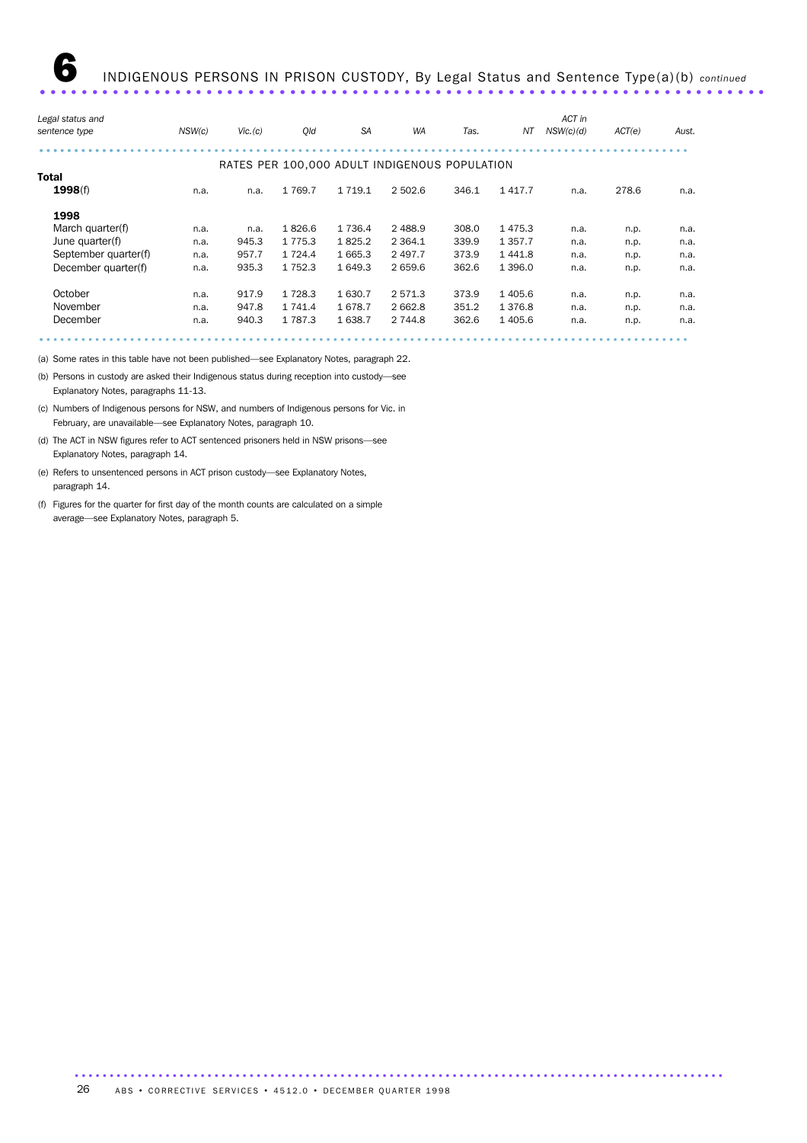|      |        |             | <b>SA</b>   | <b>WA</b>   |       | NΤ          | ACT in                                        |           | Aust.  |
|------|--------|-------------|-------------|-------------|-------|-------------|-----------------------------------------------|-----------|--------|
|      |        |             |             |             |       |             |                                               |           |        |
|      |        |             |             |             |       |             |                                               |           |        |
|      |        |             |             |             |       |             |                                               |           |        |
| n.a. | n.a.   | 1 7 6 9.7   | 1 7 1 9 . 1 | 2 502.6     | 346.1 | 1417.7      | n.a.                                          | 278.6     | n.a.   |
|      |        |             |             |             |       |             |                                               |           |        |
| n.a. | n.a.   | 1826.6      | 1 7 3 6.4   | 2 4 8 8.9   | 308.0 | 1475.3      | n.a.                                          | n.p.      | n.a.   |
| n.a. | 945.3  | 1 7 7 5 . 3 | 1825.2      | 2 3 6 4 . 1 | 339.9 | 1 3 5 7 . 7 | n.a.                                          | n.p.      | n.a.   |
| n.a. | 957.7  | 1 7 2 4 . 4 | 1 665.3     | 2 4 9 7.7   | 373.9 | 1 4 4 1 .8  | n.a.                                          | n.p.      | n.a.   |
| n.a. | 935.3  | 1 7 5 2.3   | 1 649.3     | 2 659.6     | 362.6 | 1 3 9 6.0   | n.a.                                          | n.p.      | n.a.   |
| n.a. | 917.9  | 1 7 2 8.3   | 1 630.7     | 2 5 7 1 . 3 | 373.9 | 1 4 0 5.6   | n.a.                                          | n.p.      | n.a.   |
| n.a. | 947.8  | 1 741.4     | 1678.7      | 2 6 6 2.8   | 351.2 | 1 3 7 6.8   | n.a.                                          | n.p.      | n.a.   |
| n.a. | 940.3  | 1 7 8 7 . 3 | 1638.7      | 2 744.8     | 362.6 | 1 4 0 5.6   | n.a.                                          | n.p.      | n.a.   |
|      |        |             |             |             |       |             |                                               |           |        |
|      | NSW(c) | Vic.(c)     | Qld         |             |       | Tas.        | RATES PER 100,000 ADULT INDIGENOUS POPULATION | NSW(c)(d) | ACT(e) |

(a) Some rates in this table have not been published—see Explanatory Notes, paragraph 22.

(b) Persons in custody are asked their Indigenous status during reception into custody—see Explanatory Notes, paragraphs 11-13.

(c) Numbers of Indigenous persons for NSW, and numbers of Indigenous persons for Vic. in February, are unavailable—see Explanatory Notes, paragraph 10.

(d) The ACT in NSW figures refer to ACT sentenced prisoners held in NSW prisons—see Explanatory Notes, paragraph 14.

(e) Refers to unsentenced persons in ACT prison custody—see Explanatory Notes, paragraph 14.

(f) Figures for the quarter for first day of the month counts are calculated on a simple average—see Explanatory Notes, paragraph 5.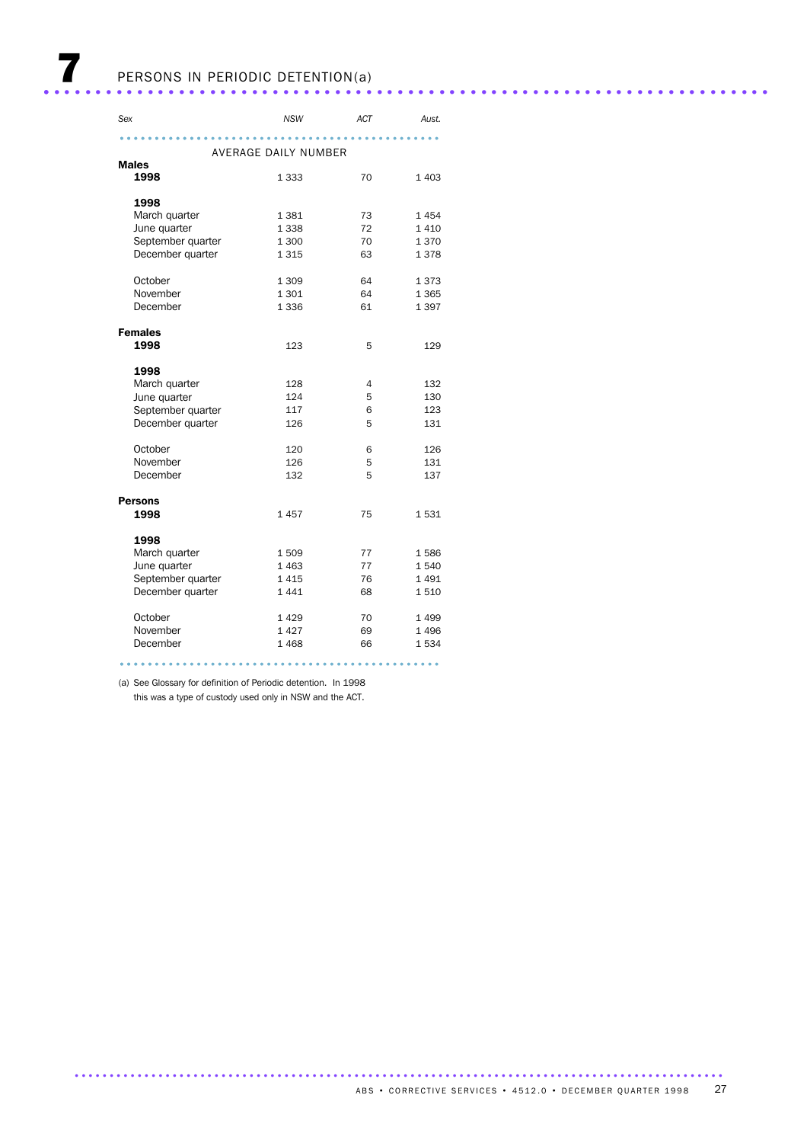| Sex               | <b>NSW</b>           | ACT | Aust.   |
|-------------------|----------------------|-----|---------|
|                   |                      |     |         |
|                   | AVERAGE DAILY NUMBER |     |         |
| <b>Males</b>      |                      |     |         |
| 1998              | 1 3 3 3              | 70  | 1 4 0 3 |
|                   |                      |     |         |
| 1998              |                      |     |         |
| March quarter     | 1 3 8 1              | 73  | 1454    |
| June quarter      | 1 3 3 8              | 72  | 1410    |
| September quarter | 1 300                | 70  | 1370    |
| December quarter  | 1315                 | 63  | 1378    |
| October           | 1 3 0 9              | 64  | 1373    |
| November          | 1 3 0 1              | 64  | 1 3 6 5 |
| December          | 1 3 3 6              | 61  | 1 3 9 7 |
|                   |                      |     |         |
| <b>Females</b>    |                      |     |         |
| 1998              | 123                  | 5   | 129     |
| 1998              |                      |     |         |
| March quarter     | 128                  | 4   | 132     |
| June quarter      | 124                  | 5   | 130     |
| September quarter | 117                  | 6   | 123     |
| December quarter  | 126                  | 5   | 131     |
|                   |                      |     |         |
| October           | 120                  | 6   | 126     |
| November          | 126                  | 5   | 131     |
| December          | 132                  | 5   | 137     |
|                   |                      |     |         |
| <b>Persons</b>    |                      |     |         |
| 1998              | 1457                 | 75  | 1531    |
| 1998              |                      |     |         |
| March quarter     | 1509                 | 77  | 1586    |
| June quarter      | 1 4 6 3              | 77  | 1540    |
| September quarter | 1415                 | 76  | 1491    |
| December quarter  | 1441                 | 68  | 1510    |
| October           | 1429                 | 70  | 1 4 9 9 |
| November          | 1427                 | 69  | 1 4 9 6 |
| December          | 1468                 | 66  | 1534    |
|                   |                      |     |         |
|                   |                      |     |         |

(a) See Glossary for definition of Periodic detention. In 1998

this was a type of custody used only in NSW and the ACT.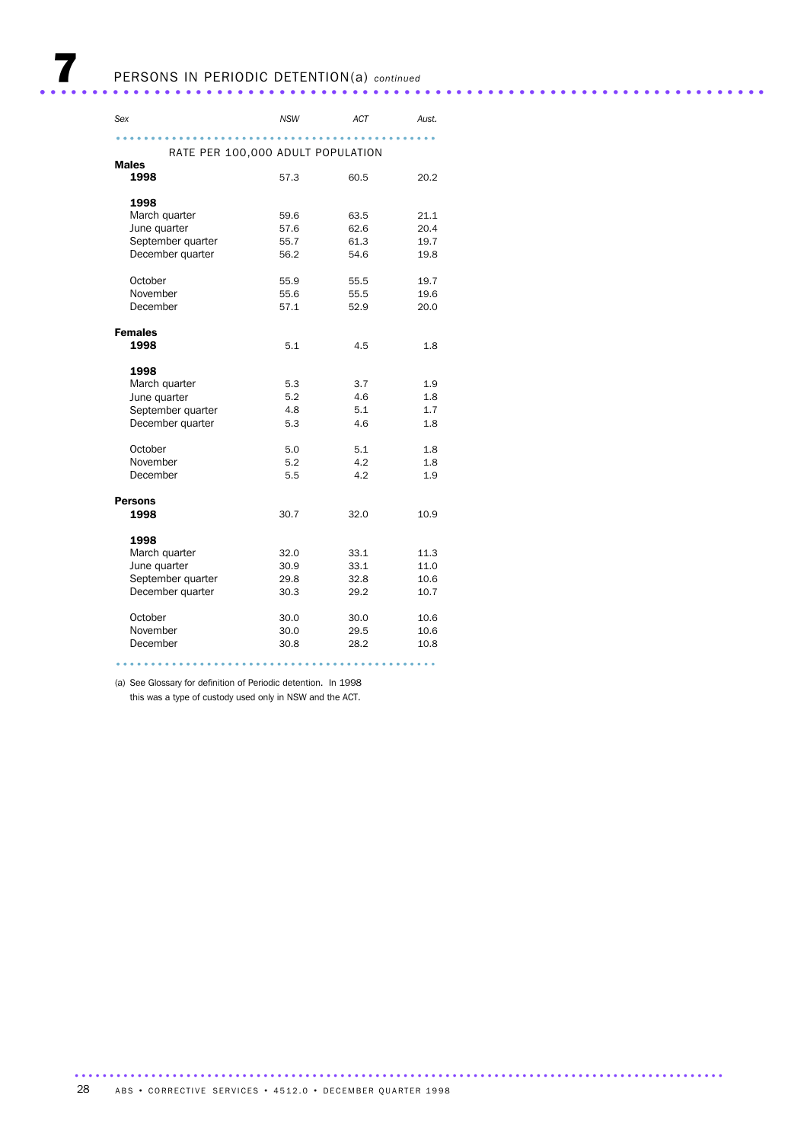| Sex                               | <b>NSW</b> | ACT  | Aust. |
|-----------------------------------|------------|------|-------|
|                                   |            |      |       |
| RATE PER 100,000 ADULT POPULATION |            |      |       |
| <b>Males</b>                      |            |      |       |
| 1998                              | 57.3       | 60.5 | 20.2  |
|                                   |            |      |       |
| 1998<br>March quarter             | 59.6       | 63.5 | 21.1  |
| June quarter                      | 57.6       | 62.6 | 20.4  |
| September quarter                 | 55.7       | 61.3 | 19.7  |
| December quarter                  | 56.2       | 54.6 | 19.8  |
|                                   |            |      |       |
| October                           | 55.9       | 55.5 | 19.7  |
| November                          | 55.6       | 55.5 | 19.6  |
| December                          | 57.1       | 52.9 | 20.0  |
|                                   |            |      |       |
| <b>Females</b>                    |            |      |       |
| 1998                              | 5.1        | 4.5  | 1.8   |
|                                   |            |      |       |
| 1998<br>March quarter             | 5.3        | 3.7  | 1.9   |
| June quarter                      | 5.2        | 4.6  | 1.8   |
| September quarter                 | 4.8        | 5.1  | 1.7   |
| December quarter                  | 5.3        | 4.6  | 1.8   |
|                                   |            |      |       |
| October                           | 5.0        | 5.1  | 1.8   |
| November                          | 5.2        | 4.2  | 1.8   |
| December                          | 5.5        | 4.2  | 1.9   |
|                                   |            |      |       |
| <b>Persons</b>                    |            |      |       |
| 1998                              | 30.7       | 32.0 | 10.9  |
| 1998                              |            |      |       |
| March quarter                     | 32.0       | 33.1 | 11.3  |
| June quarter                      | 30.9       | 33.1 | 11.0  |
| September quarter                 | 29.8       | 32.8 | 10.6  |
| December quarter                  | 30.3       | 29.2 | 10.7  |
|                                   |            |      |       |
| October                           | 30.0       | 30.0 | 10.6  |
| November                          | 30.0       | 29.5 | 10.6  |
| December                          | 30.8       | 28.2 | 10.8  |
|                                   |            |      |       |

(a) See Glossary for definition of Periodic detention. In 1998

this was a type of custody used only in NSW and the ACT.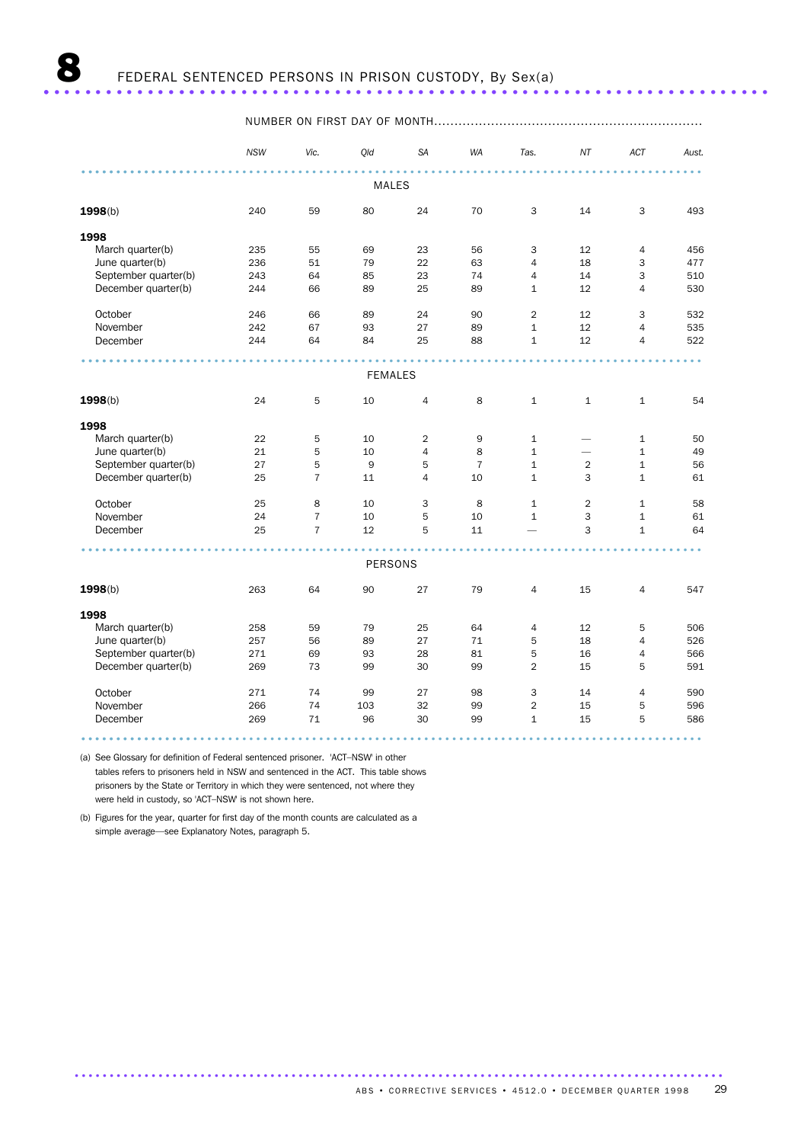|                      | <b>NSW</b> | Vic.           | Qld            | <b>SA</b>      | WA             | Tas.           | NT             | ACT            | Aust.                |
|----------------------|------------|----------------|----------------|----------------|----------------|----------------|----------------|----------------|----------------------|
|                      |            |                | <b>MALES</b>   |                |                |                |                |                |                      |
| 1998(b)              | 240        | 59             | 80             | 24             | 70             | 3              | 14             | 3              | 493                  |
| 1998                 |            |                |                |                |                |                |                |                |                      |
| March quarter(b)     | 235        | 55             | 69             | 23             | 56             | 3              | 12             | $\overline{4}$ | 456                  |
| June quarter(b)      | 236        | 51             | 79             | 22             | 63             | $\overline{4}$ | 18             | 3              | 477                  |
| September quarter(b) | 243        | 64             | 85             | 23             | 74             | 4              | 14             | 3              | 510                  |
| December quarter(b)  | 244        | 66             | 89             | 25             | 89             | $\mathbf{1}$   | 12             | $\overline{4}$ | 530                  |
| October              | 246        | 66             | 89             | 24             | 90             | $\overline{2}$ | 12             | 3              | 532                  |
| November             | 242        | 67             | 93             | 27             | 89             | $\mathbf 1$    | 12             | $\overline{4}$ | 535                  |
| December             | 244        | 64             | 84             | 25             | 88             | $\mathbf{1}$   | 12             | $\overline{4}$ | 522                  |
|                      |            |                |                |                |                |                |                |                | $\ddot{\phantom{a}}$ |
|                      |            |                | <b>FEMALES</b> |                |                |                |                |                |                      |
| 1998(b)              | 24         | 5              | 10             | 4              | 8              | $\mathbf{1}$   | $\mathbf{1}$   | $\mathbf{1}$   | 54                   |
| 1998                 |            |                |                |                |                |                |                |                |                      |
| March quarter(b)     | 22         | 5              | 10             | $\overline{2}$ | 9              | $\mathbf{1}$   |                | $\mathbf{1}$   | 50                   |
| June quarter(b)      | 21         | 5              | 10             | $\overline{4}$ | 8              | $\mathbf{1}$   | -              | $\mathbf{1}$   | 49                   |
| September quarter(b) | 27         | 5              | 9              | 5              | $\overline{7}$ | $\mathbf 1$    | $\overline{2}$ | $\mathbf{1}$   | 56                   |
| December quarter(b)  | 25         | $\overline{7}$ | 11             | $\overline{4}$ | 10             | $\mathbf{1}$   | 3              | $\mathbf{1}$   | 61                   |
| October              | 25         | 8              | 10             | 3              | 8              | $\mathbf{1}$   | $\overline{2}$ | $\mathbf{1}$   | 58                   |
| November             | 24         | $\overline{7}$ | 10             | 5              | 10             | $\mathbf{1}$   | 3              | $\mathbf{1}$   | 61                   |
| December             | 25         | $\overline{7}$ | 12             | 5              | 11             |                | 3              | $\mathbf{1}$   | 64                   |
|                      |            |                |                |                |                |                |                |                |                      |
|                      |            |                | <b>PERSONS</b> |                |                |                |                |                |                      |
| 1998(b)              | 263        | 64             | 90             | 27             | 79             | $\overline{4}$ | 15             | $\overline{4}$ | 547                  |
| 1998                 |            |                |                |                |                |                |                |                |                      |
| March quarter(b)     | 258        | 59             | 79             | 25             | 64             | $\overline{4}$ | 12             | 5              | 506                  |
| June quarter(b)      | 257        | 56             | 89             | 27             | 71             | 5              | 18             | $\overline{4}$ | 526                  |
| September quarter(b) | 271        | 69             | 93             | 28             | 81             | 5              | 16             | $\overline{4}$ | 566                  |
| December quarter(b)  | 269        | 73             | 99             | 30             | 99             | $\overline{2}$ | 15             | 5              | 591                  |
| October              | 271        | 74             | 99             | 27             | 98             | 3              | 14             | $\overline{4}$ | 590                  |
| November             | 266        | 74             | 103            | 32             | 99             | $\overline{2}$ | 15             | 5              | 596                  |
| December             | 269        | 71             | 96             | 30             | 99             | $\mathbf{1}$   | 15             | 5              | 586                  |
|                      |            |                |                |                |                |                |                |                |                      |

.............................................................................................

(a) See Glossary for definition of Federal sentenced prisoner. 'ACT–NSW' in other

tables refers to prisoners held in NSW and sentenced in the ACT. This table shows prisoners by the State or Territory in which they were sentenced, not where they were held in custody, so 'ACT–NSW' is not shown here.

(b) Figures for the year, quarter for first day of the month counts are calculated as a simple average—see Explanatory Notes, paragraph 5.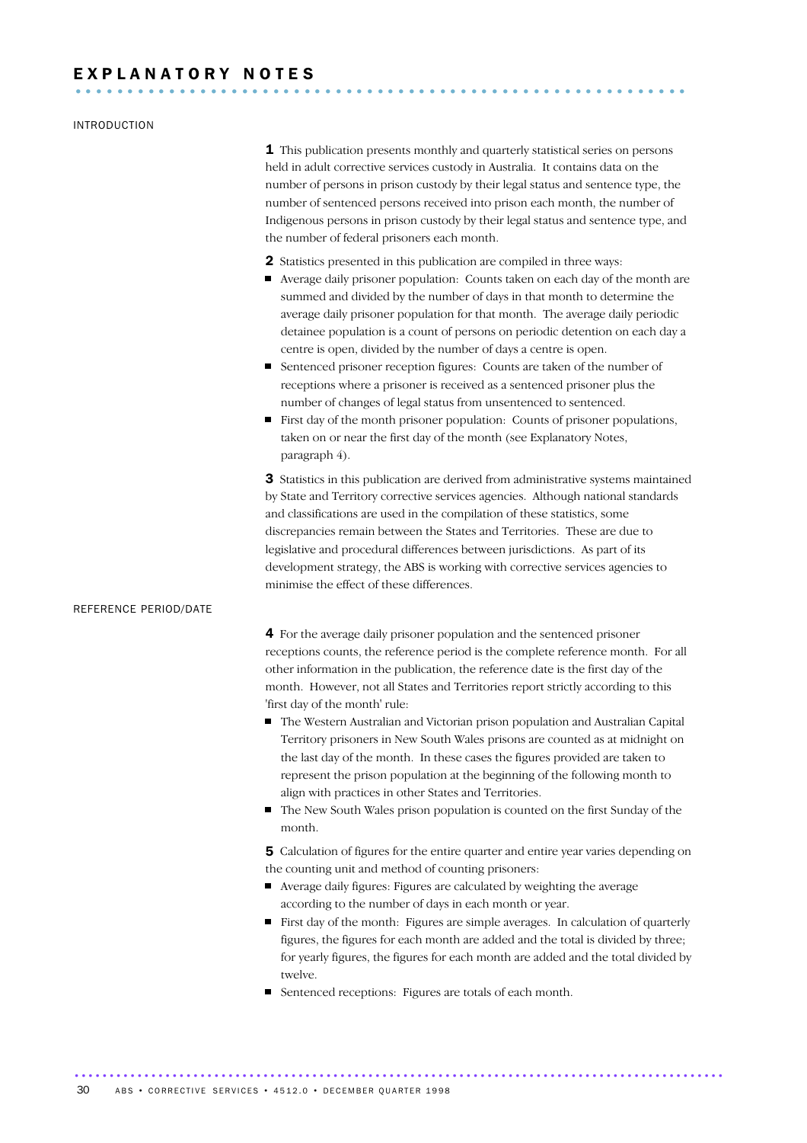## E X P L A N A T O R Y N O T E S ...........................................................

### INTRODUCTION

**1** This publication presents monthly and quarterly statistical series on persons held in adult corrective services custody in Australia. It contains data on the number of persons in prison custody by their legal status and sentence type, the number of sentenced persons received into prison each month, the number of Indigenous persons in prison custody by their legal status and sentence type, and the number of federal prisoners each month.

- 2 Statistics presented in this publication are compiled in three ways:
- Average daily prisoner population: Counts taken on each day of the month are summed and divided by the number of days in that month to determine the average daily prisoner population for that month. The average daily periodic detainee population is a count of persons on periodic detention on each day a centre is open, divided by the number of days a centre is open.
- Sentenced prisoner reception figures: Counts are taken of the number of receptions where a prisoner is received as a sentenced prisoner plus the number of changes of legal status from unsentenced to sentenced.
- First day of the month prisoner population: Counts of prisoner populations, taken on or near the first day of the month (see Explanatory Notes, paragraph 4).

3 Statistics in this publication are derived from administrative systems maintained by State and Territory corrective services agencies. Although national standards and classifications are used in the compilation of these statistics, some discrepancies remain between the States and Territories. These are due to legislative and procedural differences between jurisdictions. As part of its development strategy, the ABS is working with corrective services agencies to minimise the effect of these differences.

### REFERENCE PERIOD/DATE

4 For the average daily prisoner population and the sentenced prisoner receptions counts, the reference period is the complete reference month. For all other information in the publication, the reference date is the first day of the month. However, not all States and Territories report strictly according to this 'first day of the month' rule:

- The Western Australian and Victorian prison population and Australian Capital Territory prisoners in New South Wales prisons are counted as at midnight on the last day of the month. In these cases the figures provided are taken to represent the prison population at the beginning of the following month to align with practices in other States and Territories.
- The New South Wales prison population is counted on the first Sunday of the month.

5 Calculation of figures for the entire quarter and entire year varies depending on the counting unit and method of counting prisoners:

- Average daily figures: Figures are calculated by weighting the average according to the number of days in each month or year.
- First day of the month: Figures are simple averages. In calculation of quarterly figures, the figures for each month are added and the total is divided by three; for yearly figures, the figures for each month are added and the total divided by twelve.
- Sentenced receptions: Figures are totals of each month.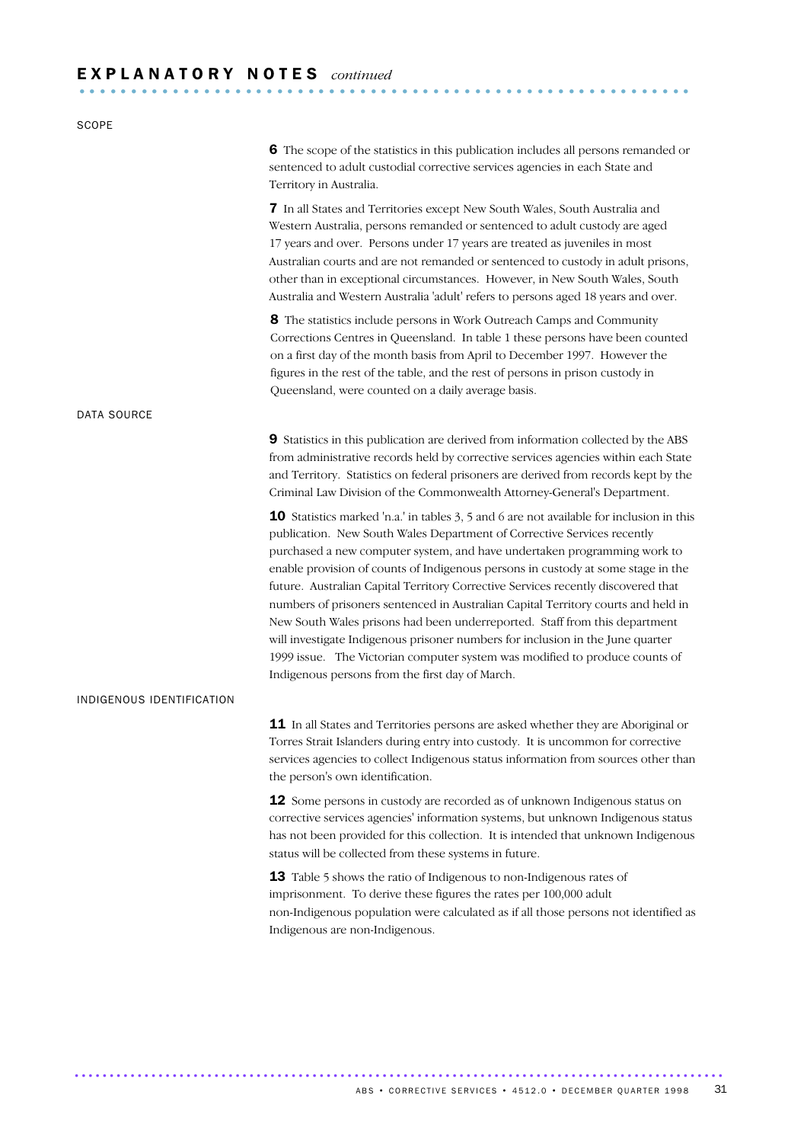| <b>SCOPE</b>              |                                                                                                                                                                                                                                                                                                                                                                                                                                                                                                                                                                                                                                                                                                                                                                                                                 |
|---------------------------|-----------------------------------------------------------------------------------------------------------------------------------------------------------------------------------------------------------------------------------------------------------------------------------------------------------------------------------------------------------------------------------------------------------------------------------------------------------------------------------------------------------------------------------------------------------------------------------------------------------------------------------------------------------------------------------------------------------------------------------------------------------------------------------------------------------------|
|                           | 6 The scope of the statistics in this publication includes all persons remanded or<br>sentenced to adult custodial corrective services agencies in each State and<br>Territory in Australia.                                                                                                                                                                                                                                                                                                                                                                                                                                                                                                                                                                                                                    |
|                           | 7 In all States and Territories except New South Wales, South Australia and<br>Western Australia, persons remanded or sentenced to adult custody are aged<br>17 years and over. Persons under 17 years are treated as juveniles in most<br>Australian courts and are not remanded or sentenced to custody in adult prisons,<br>other than in exceptional circumstances. However, in New South Wales, South<br>Australia and Western Australia 'adult' refers to persons aged 18 years and over.                                                                                                                                                                                                                                                                                                                 |
|                           | 8 The statistics include persons in Work Outreach Camps and Community<br>Corrections Centres in Queensland. In table 1 these persons have been counted<br>on a first day of the month basis from April to December 1997. However the<br>figures in the rest of the table, and the rest of persons in prison custody in<br>Queensland, were counted on a daily average basis.                                                                                                                                                                                                                                                                                                                                                                                                                                    |
| DATA SOURCE               |                                                                                                                                                                                                                                                                                                                                                                                                                                                                                                                                                                                                                                                                                                                                                                                                                 |
|                           | 9 Statistics in this publication are derived from information collected by the ABS<br>from administrative records held by corrective services agencies within each State<br>and Territory. Statistics on federal prisoners are derived from records kept by the<br>Criminal Law Division of the Commonwealth Attorney-General's Department.                                                                                                                                                                                                                                                                                                                                                                                                                                                                     |
|                           | 10 Statistics marked 'n.a.' in tables 3, 5 and 6 are not available for inclusion in this<br>publication. New South Wales Department of Corrective Services recently<br>purchased a new computer system, and have undertaken programming work to<br>enable provision of counts of Indigenous persons in custody at some stage in the<br>future. Australian Capital Territory Corrective Services recently discovered that<br>numbers of prisoners sentenced in Australian Capital Territory courts and held in<br>New South Wales prisons had been underreported. Staff from this department<br>will investigate Indigenous prisoner numbers for inclusion in the June quarter<br>1999 issue. The Victorian computer system was modified to produce counts of<br>Indigenous persons from the first day of March. |
| INDIGENOUS IDENTIFICATION |                                                                                                                                                                                                                                                                                                                                                                                                                                                                                                                                                                                                                                                                                                                                                                                                                 |
|                           | 11 In all States and Territories persons are asked whether they are Aboriginal or<br>Torres Strait Islanders during entry into custody. It is uncommon for corrective<br>services agencies to collect Indigenous status information from sources other than<br>the person's own identification.                                                                                                                                                                                                                                                                                                                                                                                                                                                                                                                 |
|                           | 12 Some persons in custody are recorded as of unknown Indigenous status on<br>corrective services agencies' information systems, but unknown Indigenous status<br>has not been provided for this collection. It is intended that unknown Indigenous<br>status will be collected from these systems in future.                                                                                                                                                                                                                                                                                                                                                                                                                                                                                                   |
|                           | 13 Table 5 shows the ratio of Indigenous to non-Indigenous rates of<br>imprisonment. To derive these figures the rates per 100,000 adult<br>non-Indigenous population were calculated as if all those persons not identified as<br>Indigenous are non-Indigenous.                                                                                                                                                                                                                                                                                                                                                                                                                                                                                                                                               |
|                           |                                                                                                                                                                                                                                                                                                                                                                                                                                                                                                                                                                                                                                                                                                                                                                                                                 |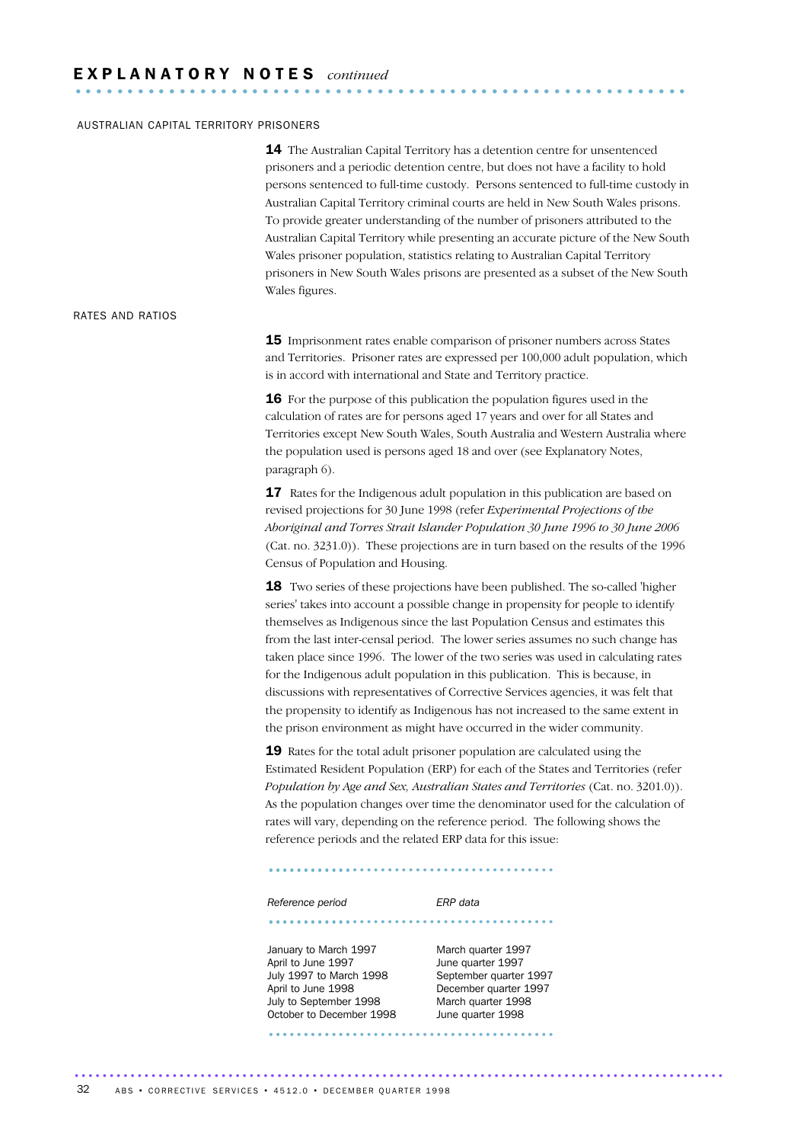### AUSTRALIAN CAPITAL TERRITORY PRISONERS

14 The Australian Capital Territory has a detention centre for unsentenced prisoners and a periodic detention centre, but does not have a facility to hold persons sentenced to full-time custody. Persons sentenced to full-time custody in Australian Capital Territory criminal courts are held in New South Wales prisons. To provide greater understanding of the number of prisoners attributed to the Australian Capital Territory while presenting an accurate picture of the New South Wales prisoner population, statistics relating to Australian Capital Territory prisoners in New South Wales prisons are presented as a subset of the New South Wales figures.

### RATES AND RATIOS

15 Imprisonment rates enable comparison of prisoner numbers across States and Territories. Prisoner rates are expressed per 100,000 adult population, which is in accord with international and State and Territory practice.

**16** For the purpose of this publication the population figures used in the calculation of rates are for persons aged 17 years and over for all States and Territories except New South Wales, South Australia and Western Australia where the population used is persons aged 18 and over (see Explanatory Notes, paragraph 6).

**17** Rates for the Indigenous adult population in this publication are based on revised projections for 30 June 1998 (refer *Experimental Projections of the Aboriginal and Torres Strait Islander Population 30 June 1996 to 30 June 2006* (Cat. no. 3231.0)). These projections are in turn based on the results of the 1996 Census of Population and Housing.

18 Two series of these projections have been published. The so-called 'higher series' takes into account a possible change in propensity for people to identify themselves as Indigenous since the last Population Census and estimates this from the last inter-censal period. The lower series assumes no such change has taken place since 1996. The lower of the two series was used in calculating rates for the Indigenous adult population in this publication. This is because, in discussions with representatives of Corrective Services agencies, it was felt that the propensity to identify as Indigenous has not increased to the same extent in the prison environment as might have occurred in the wider community.

19 Rates for the total adult prisoner population are calculated using the Estimated Resident Population (ERP) for each of the States and Territories (refer *Population by Age and Sex, Australian States and Territories* (Cat. no. 3201.0)). As the population changes over time the denominator used for the calculation of rates will vary, depending on the reference period. The following shows the reference periods and the related ERP data for this issue:

#### *Reference period ERP data*

......................................... ............

......................................... ............

### January to March 1997 March quarter 1997 April to June 1997 **June quarter** 1997 July 1997 to March 1998 September quarter 1997 April to June 1998 December quarter 1997 July to September 1998 March quarter 1998

October to December 1998 June quarter 1998 ......................................... ............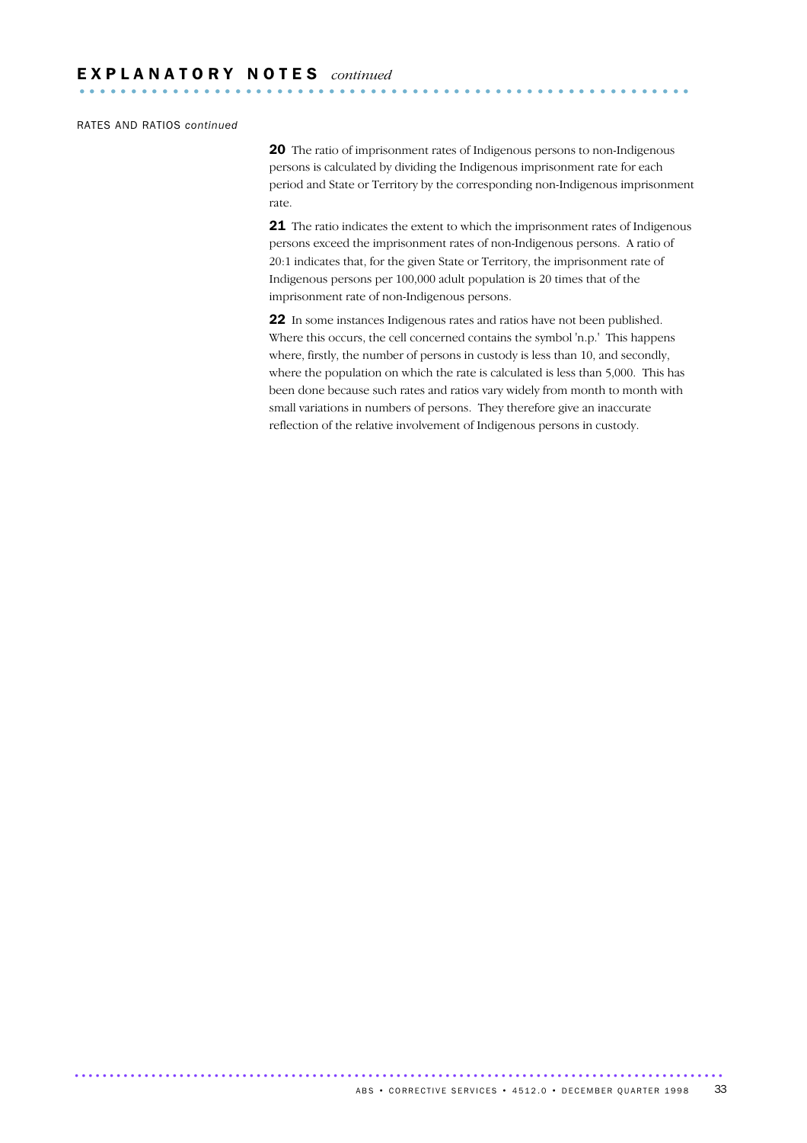### RATES AND RATIOS *continued*

20 The ratio of imprisonment rates of Indigenous persons to non-Indigenous persons is calculated by dividing the Indigenous imprisonment rate for each period and State or Territory by the corresponding non-Indigenous imprisonment rate.

21 The ratio indicates the extent to which the imprisonment rates of Indigenous persons exceed the imprisonment rates of non-Indigenous persons. A ratio of 20:1 indicates that, for the given State or Territory, the imprisonment rate of Indigenous persons per 100,000 adult population is 20 times that of the imprisonment rate of non-Indigenous persons.

22 In some instances Indigenous rates and ratios have not been published. Where this occurs, the cell concerned contains the symbol 'n.p.' This happens where, firstly, the number of persons in custody is less than 10, and secondly, where the population on which the rate is calculated is less than 5,000. This has been done because such rates and ratios vary widely from month to month with small variations in numbers of persons. They therefore give an inaccurate reflection of the relative involvement of Indigenous persons in custody.